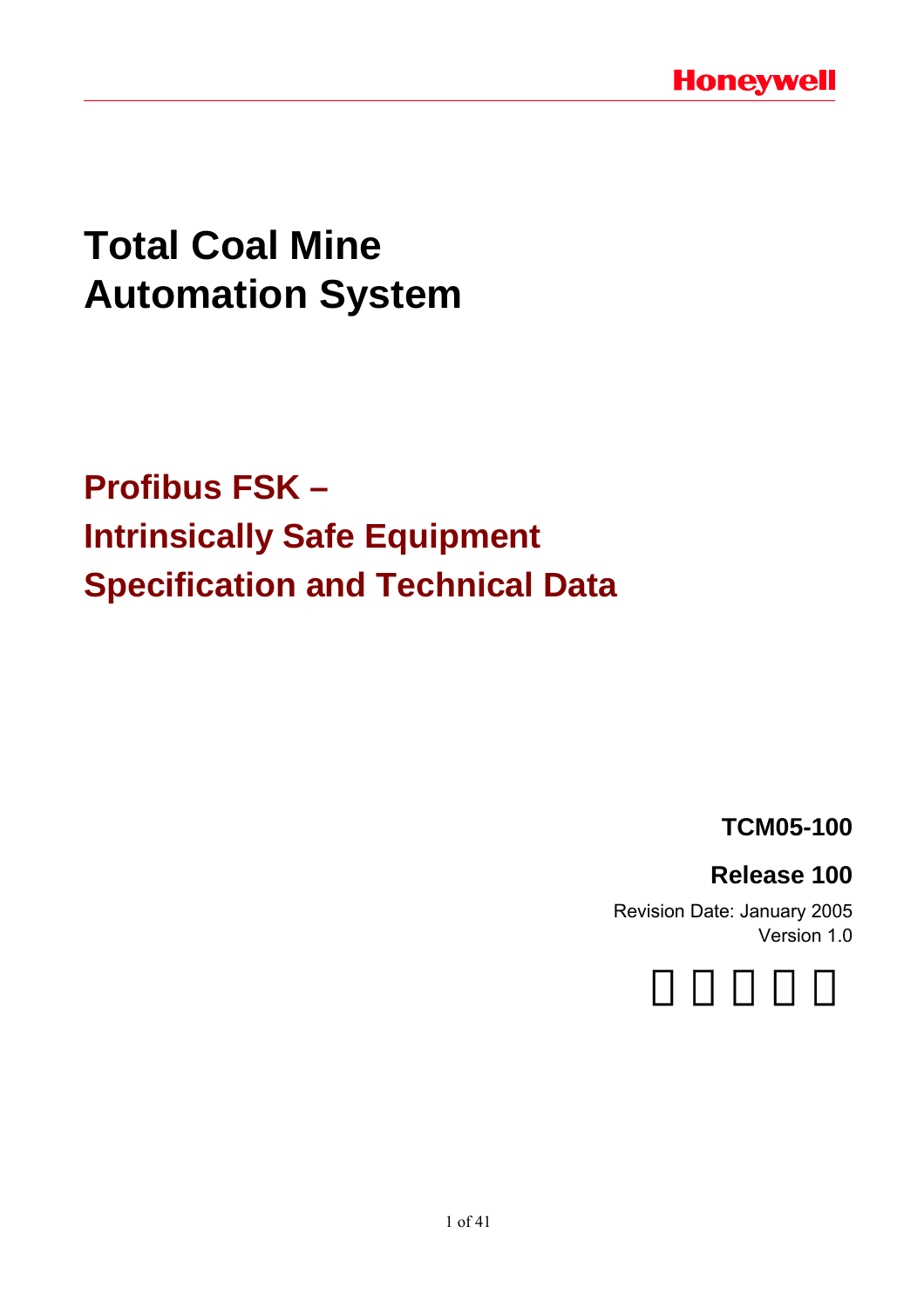# **Total Coal Mine Automation System**

# **Profibus FSK – Intrinsically Safe Equipment Specification and Technical Data**

**TCM05-100** 

## **Release 100**

Revision Date: January 2005 Version 1.0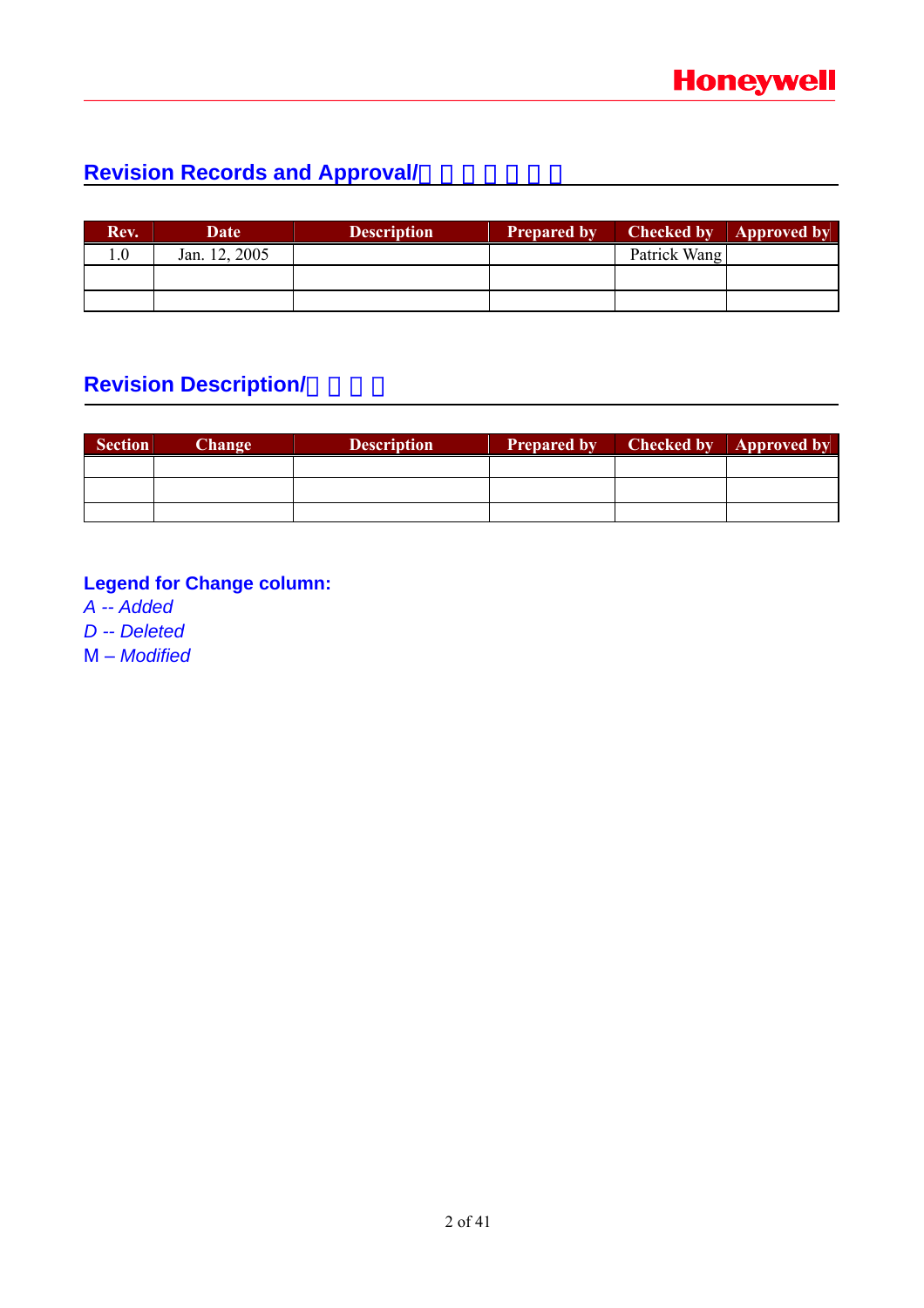## **Revision Records and Approval/**

| Rev. | Date          | <b>Description</b> | <b>Prepared by</b> | <b>Checked by</b> | <b>Approved by</b> |
|------|---------------|--------------------|--------------------|-------------------|--------------------|
| 0.1  | Jan. 12, 2005 |                    |                    | Patrick Wang      |                    |
|      |               |                    |                    |                   |                    |
|      |               |                    |                    |                   |                    |

## **Revision Description/**

| <b>Section</b> | Change | <b>Description</b> | <b>Prepared by</b> | <b>Checked by Approved by</b> |
|----------------|--------|--------------------|--------------------|-------------------------------|
|                |        |                    |                    |                               |
|                |        |                    |                    |                               |
|                |        |                    |                    |                               |

### **Legend for Change column:**

*A -- Added* 

*D -- Deleted* 

M – *Modified*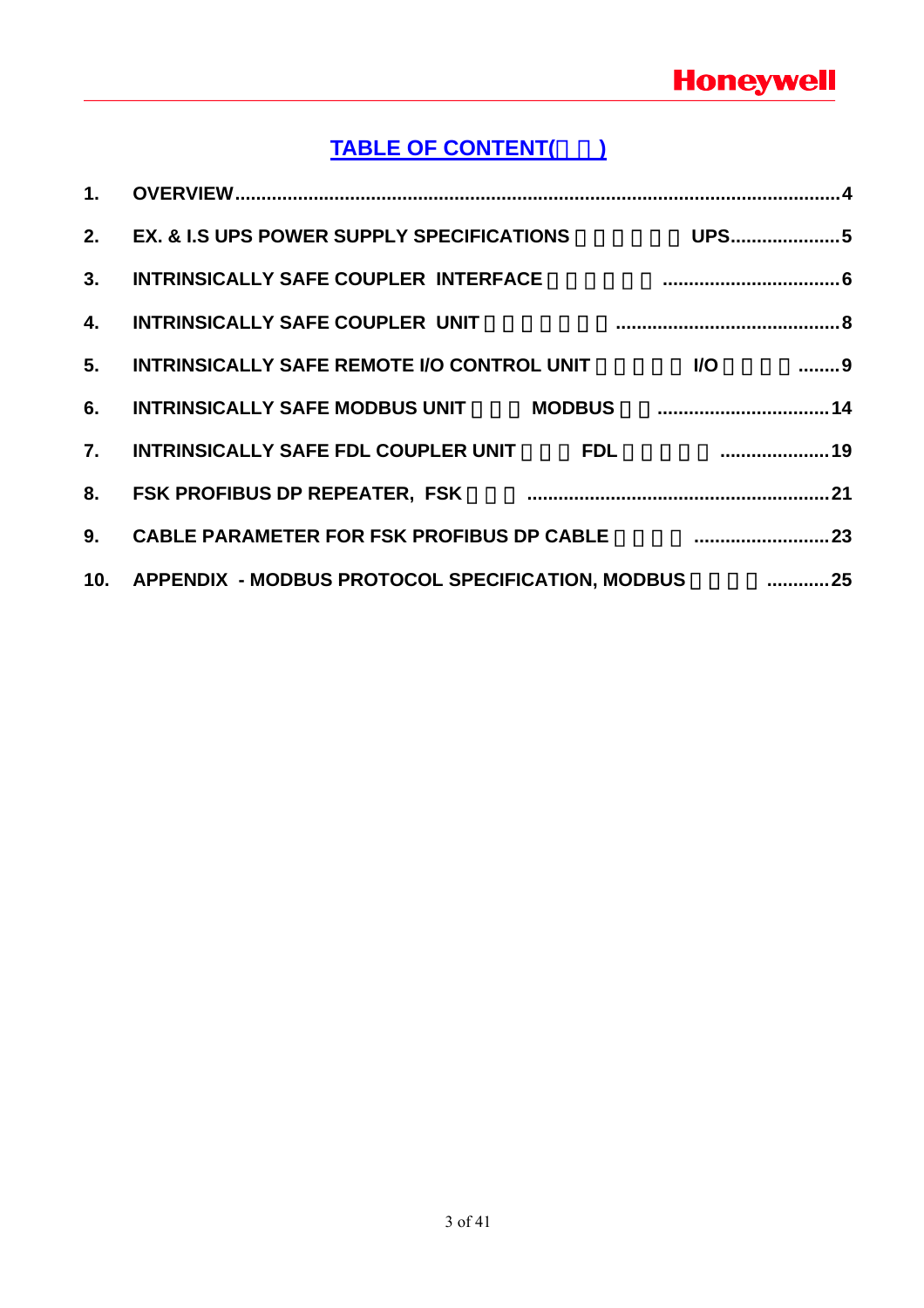## **TABLE OF CONTENT(**目录**)**

| 1 <sub>1</sub>   |                                                          |                                 |
|------------------|----------------------------------------------------------|---------------------------------|
|                  | 2. EX. & I.S UPS POWER SUPPLY SPECIFICATIONS             | <b>UPS5</b>                     |
| 3 <sub>1</sub>   | INTRINSICALLY SAFE COUPLER INTERFACE                     |                                 |
| 4.               | <b>INTRINSICALLY SAFE COUPLER UNIT</b>                   |                                 |
| 5.               | <b>INTRINSICALLY SAFE REMOTE I/O CONTROL UNIT</b>        | $\ldots \ldots \ldots 9$<br>I/O |
| 6.               | INTRINSICALLY SAFE MODBUS UNIT MODBUS MODIS 2011         |                                 |
| $\overline{7}$ . | <b>INTRINSICALLY SAFE FDL COUPLER UNIT</b><br><b>FDL</b> | $\sim$ 19                       |
| 8.               |                                                          |                                 |
| 9 <sub>1</sub>   | <b>CABLE PARAMETER FOR FSK PROFIBUS DP CABLE</b>         |                                 |
|                  | 10. APPENDIX - MODBUS PROTOCOL SPECIFICATION, MODBUS 25  |                                 |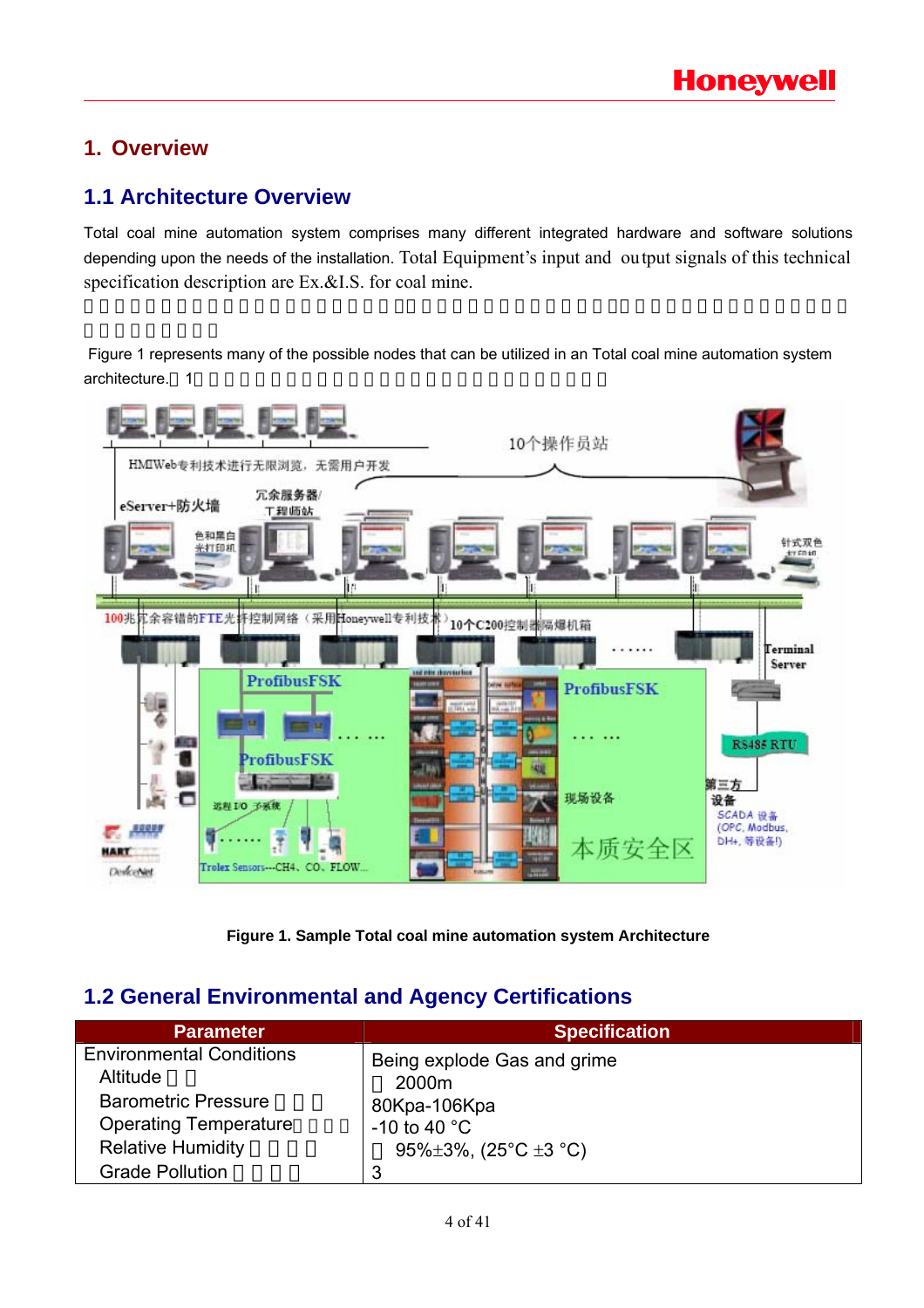### **1. Overview**

### **1.1 Architecture Overview**

Total coal mine automation system comprises many different integrated hardware and software solutions depending upon the needs of the installation. Total Equipment's input and output signals of this technical specification description are Ex.&I.S. for coal mine.

 Figure 1 represents many of the possible nodes that can be utilized in an Total coal mine automation system architecture. 1



**Figure 1. Sample Total coal mine automation system Architecture** 

### **1.2 General Environmental and Agency Certifications**

| <b>Parameter</b>                            | <b>Specification</b>                 |
|---------------------------------------------|--------------------------------------|
| <b>Environmental Conditions</b><br>Altitude | Being explode Gas and grime<br>2000m |
| <b>Barometric Pressure</b>                  | 80Kpa-106Kpa                         |
| <b>Operating Temperature</b>                | -10 to 40 $^{\circ}$ C               |
| <b>Relative Humidity</b>                    | 95% $\pm$ 3%, (25°C $\pm$ 3 °C)      |
| <b>Grade Pollution</b>                      | 3                                    |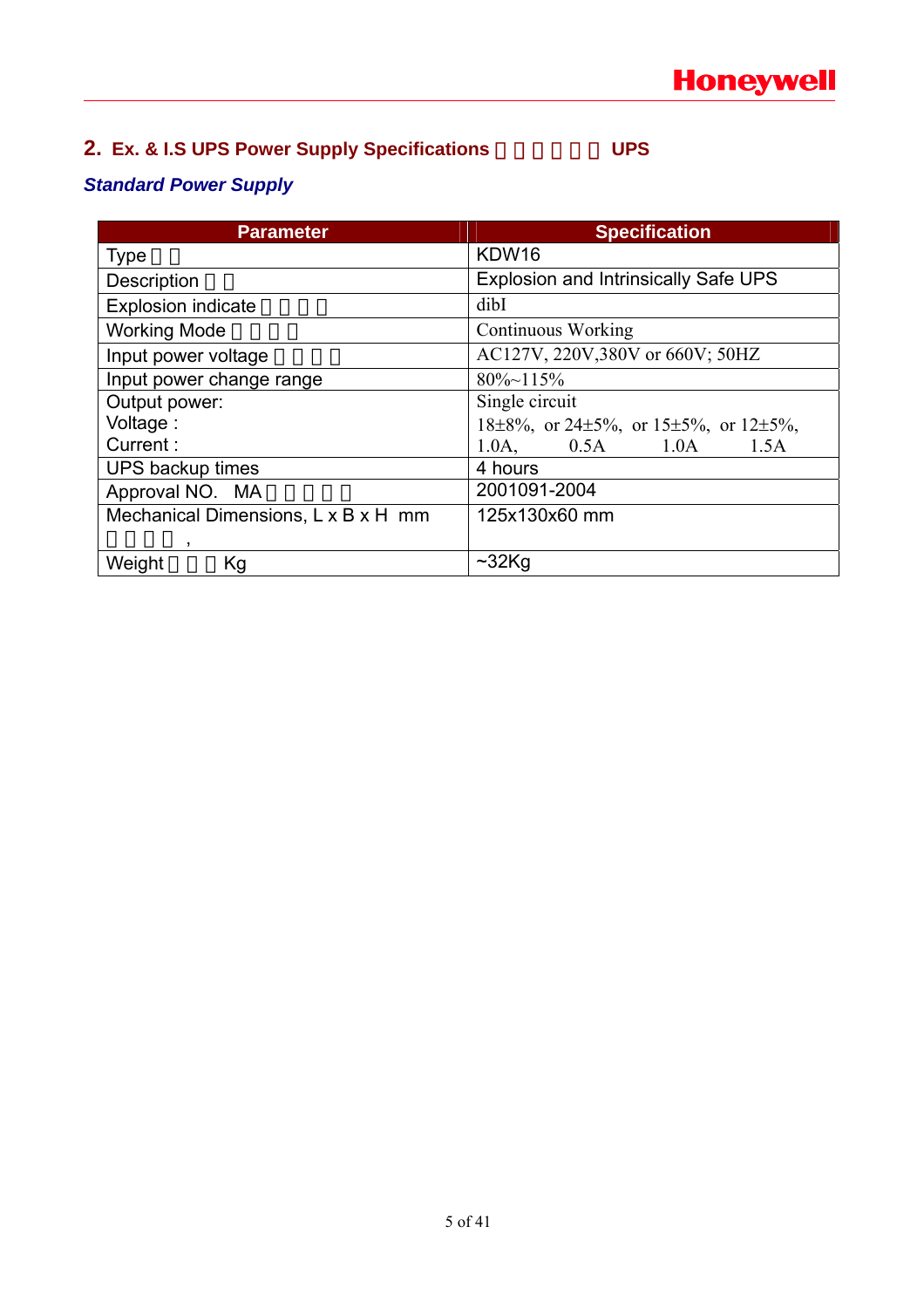## **2. Ex. & I.S UPS Power Supply Specifications**  $UPS$

### *Standard Power Supply*

| <b>Parameter</b>                    | <b>Specification</b>                                         |  |
|-------------------------------------|--------------------------------------------------------------|--|
| <b>Type</b>                         | KDW16                                                        |  |
| Description                         | <b>Explosion and Intrinsically Safe UPS</b>                  |  |
| <b>Explosion indicate</b>           | dibI                                                         |  |
| <b>Working Mode</b>                 | <b>Continuous Working</b>                                    |  |
| Input power voltage                 | AC127V, 220V, 380V or 660V; 50HZ                             |  |
| Input power change range            | $80\% \sim 115\%$                                            |  |
| Output power:                       | Single circuit                                               |  |
| Voltage:                            | $18\pm8\%$ , or $24\pm5\%$ , or $15\pm5\%$ , or $12\pm5\%$ , |  |
| Current:                            | $1.0A,$ $0.5A$ $1.0A$<br>1.5A                                |  |
| UPS backup times                    | 4 hours                                                      |  |
| Approval NO. MA                     | 2001091-2004                                                 |  |
| Mechanical Dimensions, L x B x H mm | 125x130x60 mm                                                |  |
| ,                                   |                                                              |  |
| Weight<br>Kg                        | $~232$ Kg                                                    |  |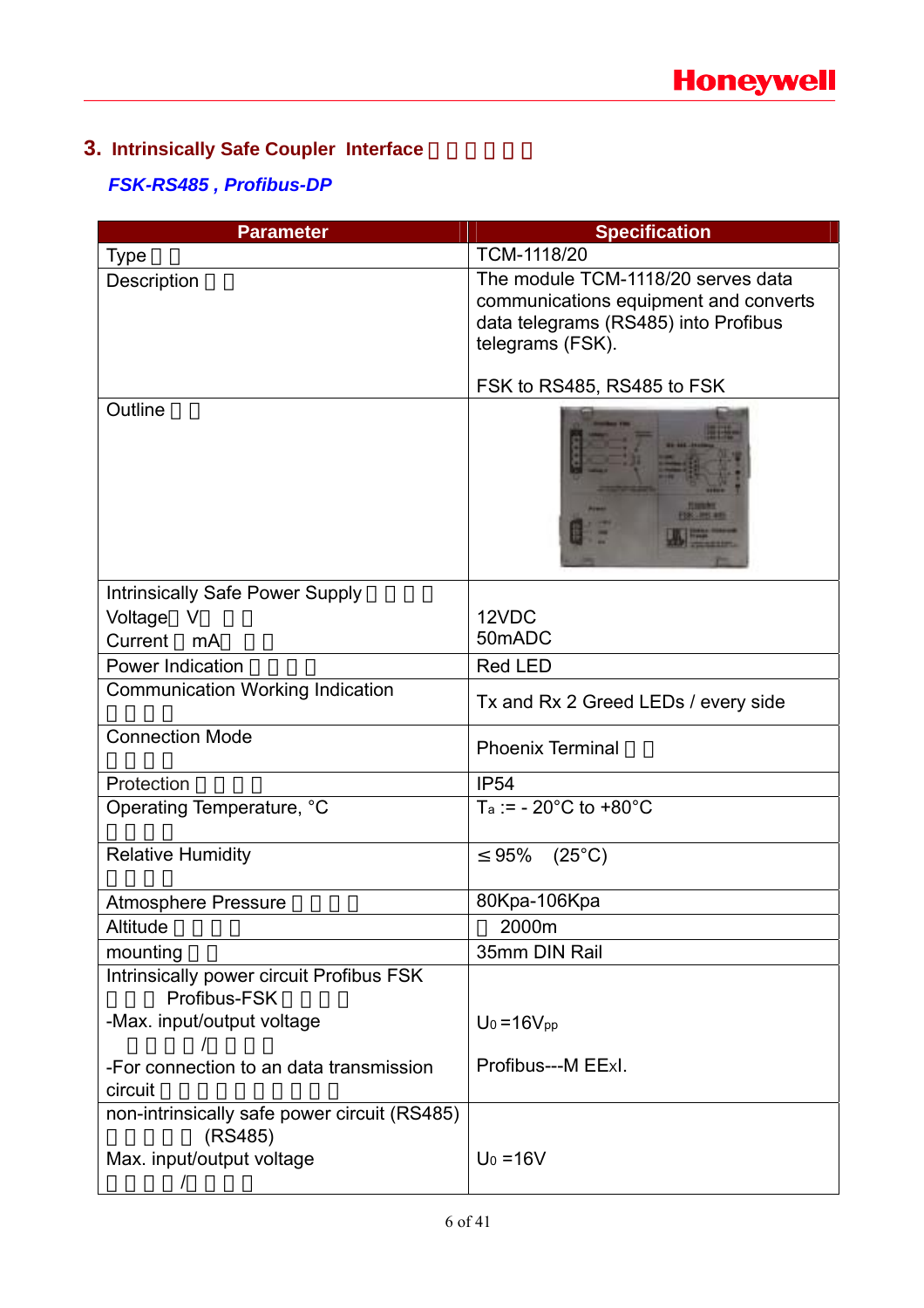## **3. Intrinsically Safe Coupler Interface**

### *FSK-RS485 , Profibus-DP*

| <b>Parameter</b>                                                                     | <b>Specification</b>                                                                                                                    |
|--------------------------------------------------------------------------------------|-----------------------------------------------------------------------------------------------------------------------------------------|
| <b>Type</b>                                                                          | TCM-1118/20                                                                                                                             |
| Description                                                                          | The module TCM-1118/20 serves data<br>communications equipment and converts<br>data telegrams (RS485) into Profibus<br>telegrams (FSK). |
|                                                                                      | FSK to RS485, RS485 to FSK                                                                                                              |
| Outline                                                                              |                                                                                                                                         |
| Intrinsically Safe Power Supply                                                      |                                                                                                                                         |
| Voltage<br>V                                                                         | 12VDC                                                                                                                                   |
| Current<br>mA                                                                        | 50mADC                                                                                                                                  |
| <b>Power Indication</b>                                                              | <b>Red LED</b>                                                                                                                          |
| <b>Communication Working Indication</b>                                              | Tx and Rx 2 Greed LEDs / every side                                                                                                     |
| <b>Connection Mode</b>                                                               | <b>Phoenix Terminal</b>                                                                                                                 |
| Protection                                                                           | <b>IP54</b>                                                                                                                             |
| Operating Temperature, °C                                                            | $Ta := -20^{\circ}C$ to $+80^{\circ}C$                                                                                                  |
| <b>Relative Humidity</b>                                                             | $(25^{\circ}C)$<br>95%                                                                                                                  |
| <b>Atmosphere Pressure</b>                                                           | 80Kpa-106Kpa                                                                                                                            |
| Altitude                                                                             | 2000m                                                                                                                                   |
| mounting                                                                             | 35mm DIN Rail                                                                                                                           |
| Intrinsically power circuit Profibus FSK<br>Profibus-FSK                             |                                                                                                                                         |
| -Max. input/output voltage                                                           | $U_0 = 16V_{pp}$                                                                                                                        |
| -For connection to an data transmission<br>circuit                                   | Profibus---M EExI.                                                                                                                      |
| non-intrinsically safe power circuit (RS485)<br>(RS485)<br>Max. input/output voltage | $U_0 = 16V$                                                                                                                             |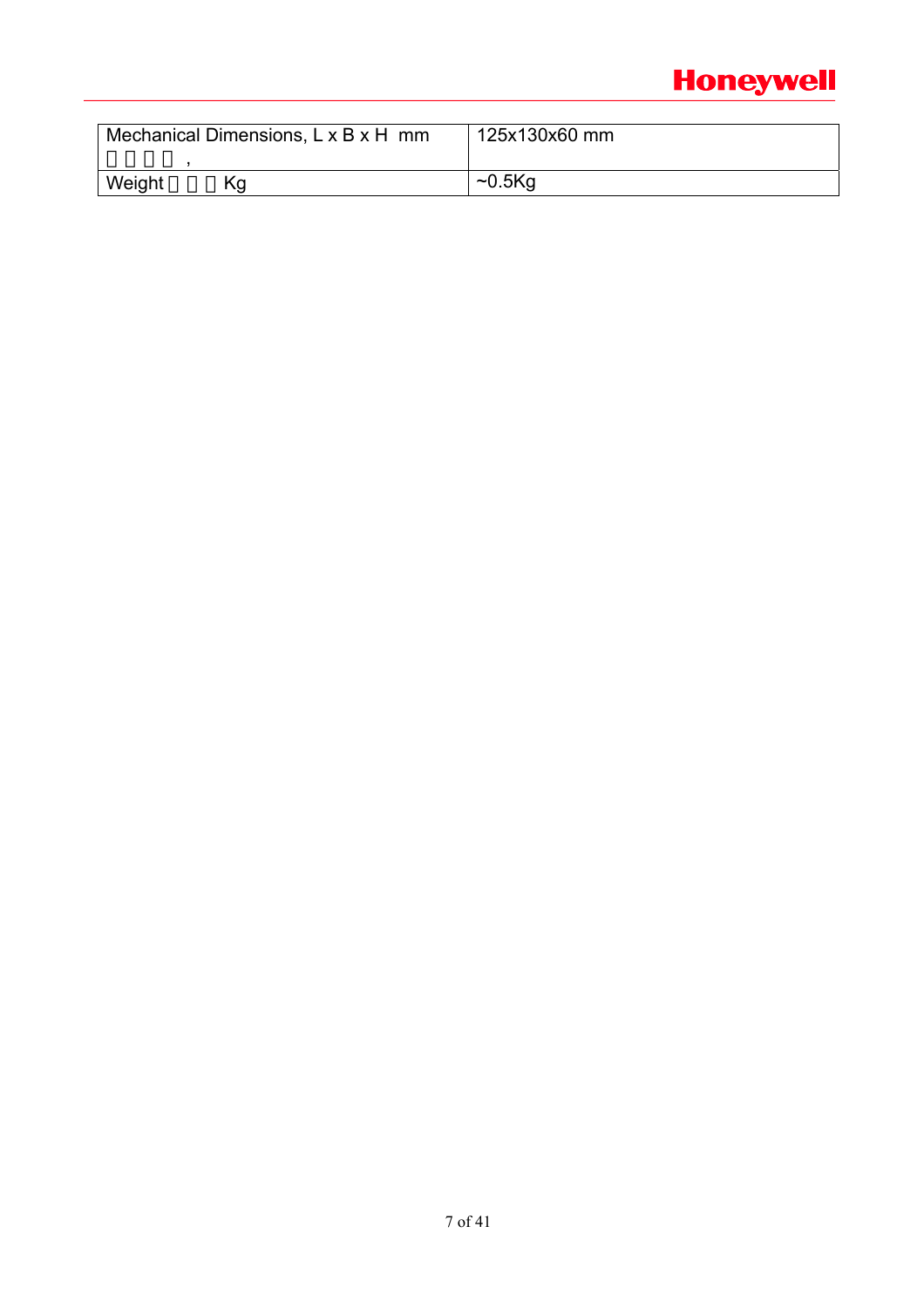## **Honeywell**

| Mechanical Dimensions, L x B x H mm | 125x130x60 mm             |  |
|-------------------------------------|---------------------------|--|
| Weight<br>۲a                        | $\sim$ 0.5 $\mathrm{K}$ q |  |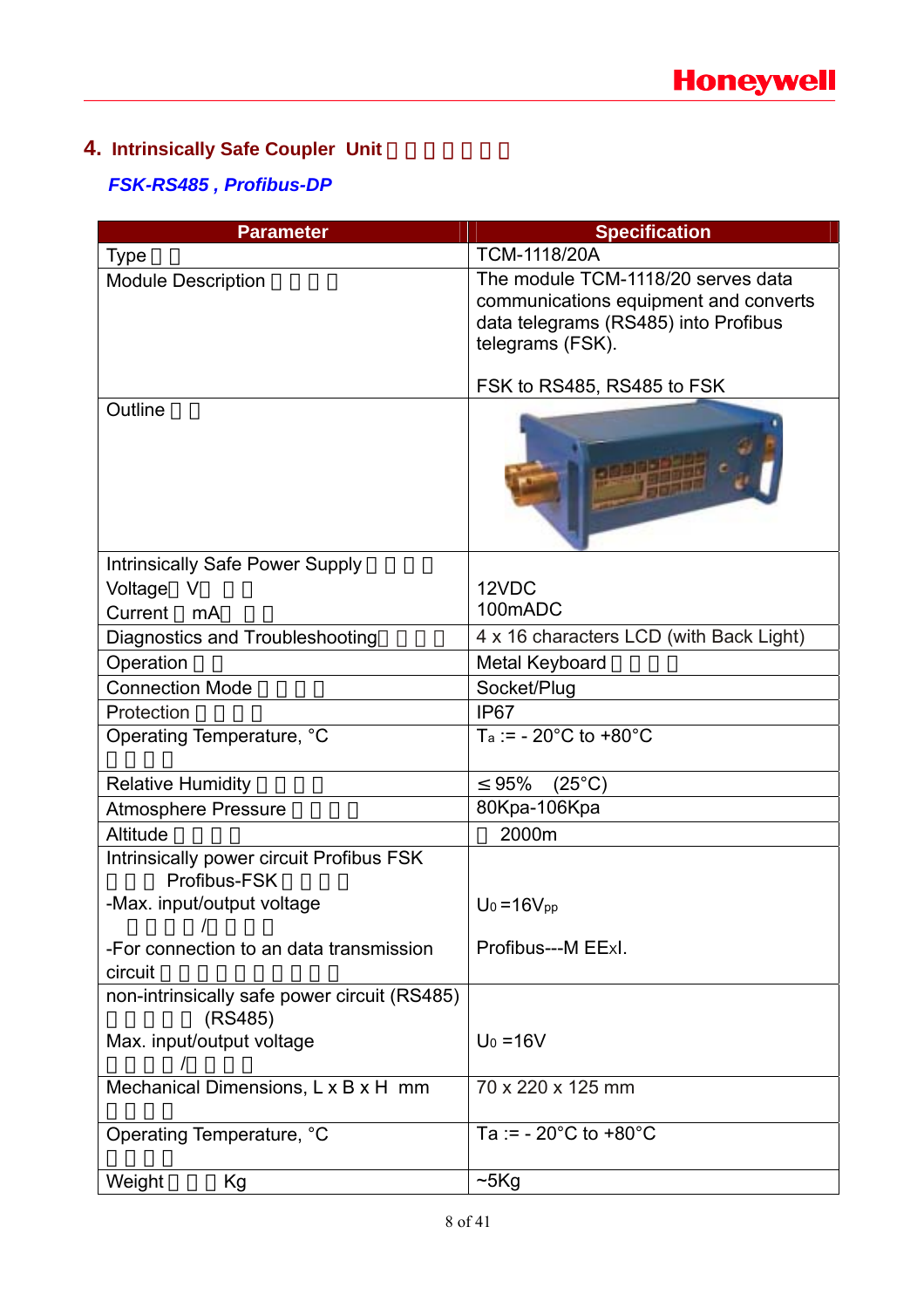## **4. Intrinsically Safe Coupler Unit**

### *FSK-RS485 , Profibus-DP*

| <b>Parameter</b>                                         | <b>Specification</b>                                                                                                                    |
|----------------------------------------------------------|-----------------------------------------------------------------------------------------------------------------------------------------|
| <b>Type</b>                                              | <b>TCM-1118/20A</b>                                                                                                                     |
| <b>Module Description</b>                                | The module TCM-1118/20 serves data<br>communications equipment and converts<br>data telegrams (RS485) into Profibus<br>telegrams (FSK). |
|                                                          | FSK to RS485, RS485 to FSK                                                                                                              |
| Outline                                                  |                                                                                                                                         |
| <b>Intrinsically Safe Power Supply</b>                   |                                                                                                                                         |
| Voltage                                                  | 12VDC                                                                                                                                   |
| Current<br>mA                                            | 100mADC                                                                                                                                 |
| Diagnostics and Troubleshooting                          | 4 x 16 characters LCD (with Back Light)                                                                                                 |
| Operation                                                | Metal Keyboard                                                                                                                          |
| <b>Connection Mode</b>                                   | Socket/Plug                                                                                                                             |
| Protection                                               | IP <sub>67</sub>                                                                                                                        |
| Operating Temperature, °C                                | $T_a := -20^{\circ}C$ to $+80^{\circ}C$                                                                                                 |
| <b>Relative Humidity</b>                                 | 95%<br>$(25^{\circ}C)$                                                                                                                  |
| <b>Atmosphere Pressure</b>                               | 80Kpa-106Kpa                                                                                                                            |
| Altitude                                                 | 2000m                                                                                                                                   |
| Intrinsically power circuit Profibus FSK<br>Profibus-FSK |                                                                                                                                         |
| -Max. input/output voltage                               | $U_0 = 16V_{pp}$                                                                                                                        |
| -For connection to an data transmission<br>circuit       | Profibus---M EExl.                                                                                                                      |
| non-intrinsically safe power circuit (RS485)<br>(RS485)  |                                                                                                                                         |
| Max. input/output voltage                                | $U_0 = 16V$                                                                                                                             |
| Mechanical Dimensions, L x B x H mm                      | 70 x 220 x 125 mm                                                                                                                       |
| Operating Temperature, °C                                | Ta := $-20^{\circ}$ C to $+80^{\circ}$ C                                                                                                |
| Weight<br>Κg                                             | ~5Kg                                                                                                                                    |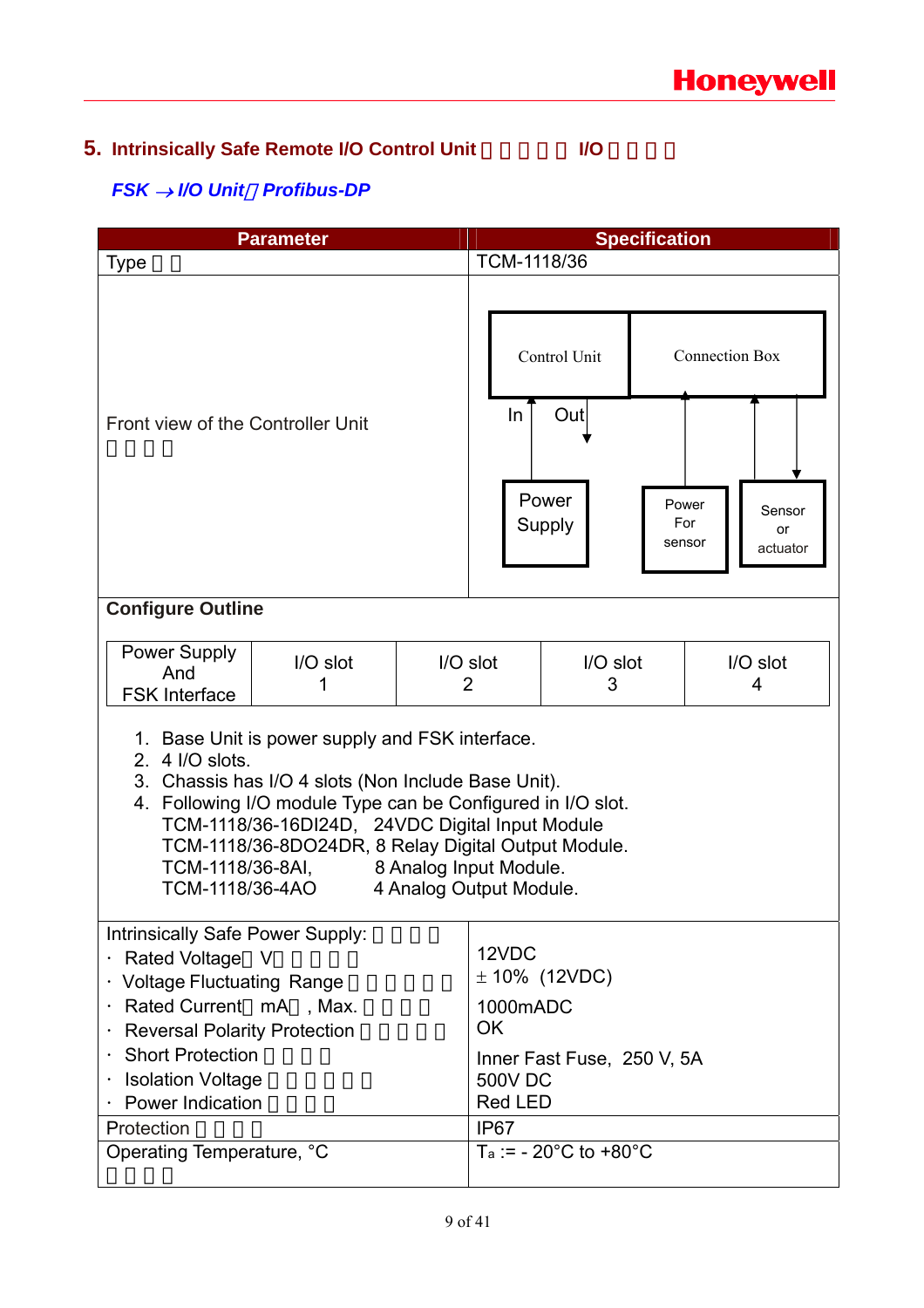## **5. Intrinsically Safe Remote I/O Control Unit # | I/O**

### *FSK* → *I/O Unit*,*Profibus-DP*

| Parameter                                                                                                                                                                                                                                                                                                                                                                                   |  |                                    | <b>Specification</b>                                                                   |                                                |  |                                                 |                          |
|---------------------------------------------------------------------------------------------------------------------------------------------------------------------------------------------------------------------------------------------------------------------------------------------------------------------------------------------------------------------------------------------|--|------------------------------------|----------------------------------------------------------------------------------------|------------------------------------------------|--|-------------------------------------------------|--------------------------|
| <b>Type</b>                                                                                                                                                                                                                                                                                                                                                                                 |  |                                    | TCM-1118/36                                                                            |                                                |  |                                                 |                          |
| Front view of the Controller Unit                                                                                                                                                                                                                                                                                                                                                           |  |                                    | In                                                                                     | Control Unit<br>Out<br>Power<br>Supply         |  | <b>Connection Box</b><br>Power<br>For<br>sensor | Sensor<br>or<br>actuator |
| <b>Configure Outline</b>                                                                                                                                                                                                                                                                                                                                                                    |  |                                    |                                                                                        |                                                |  |                                                 |                          |
| Power Supply<br>I/O slot<br>I/O slot<br>And<br>2<br>1<br><b>FSK Interface</b>                                                                                                                                                                                                                                                                                                               |  | $I/O$ slot<br>$I/O$ slot<br>3<br>4 |                                                                                        |                                                |  |                                                 |                          |
| 1. Base Unit is power supply and FSK interface.<br>2. 4 I/O slots.<br>3. Chassis has I/O 4 slots (Non Include Base Unit).<br>4. Following I/O module Type can be Configured in I/O slot.<br>TCM-1118/36-16DI24D, 24VDC Digital Input Module<br>TCM-1118/36-8DO24DR, 8 Relay Digital Output Module.<br>TCM-1118/36-8AI, 8 Analog Input Module.<br>TCM-1118/36-4AO<br>4 Analog Output Module. |  |                                    |                                                                                        |                                                |  |                                                 |                          |
| Intrinsically Safe Power Supply:<br>Rated Voltage<br>$\vee$<br><b>Voltage Fluctuating Range</b><br>Rated Current mA, Max.<br><b>Reversal Polarity Protection</b><br>$\bullet$<br><b>Short Protection</b><br><b>Isolation Voltage</b><br><b>Power Indication</b><br>Protection                                                                                                               |  |                                    | 12VDC<br>1000mADC<br><b>OK</b><br><b>500V DC</b><br><b>Red LED</b><br>IP <sub>67</sub> | $± 10\%$ (12VDC)<br>Inner Fast Fuse, 250 V, 5A |  |                                                 |                          |
| Operating Temperature, °C                                                                                                                                                                                                                                                                                                                                                                   |  |                                    |                                                                                        | $Ta := -20^{\circ}C$ to $+80^{\circ}C$         |  |                                                 |                          |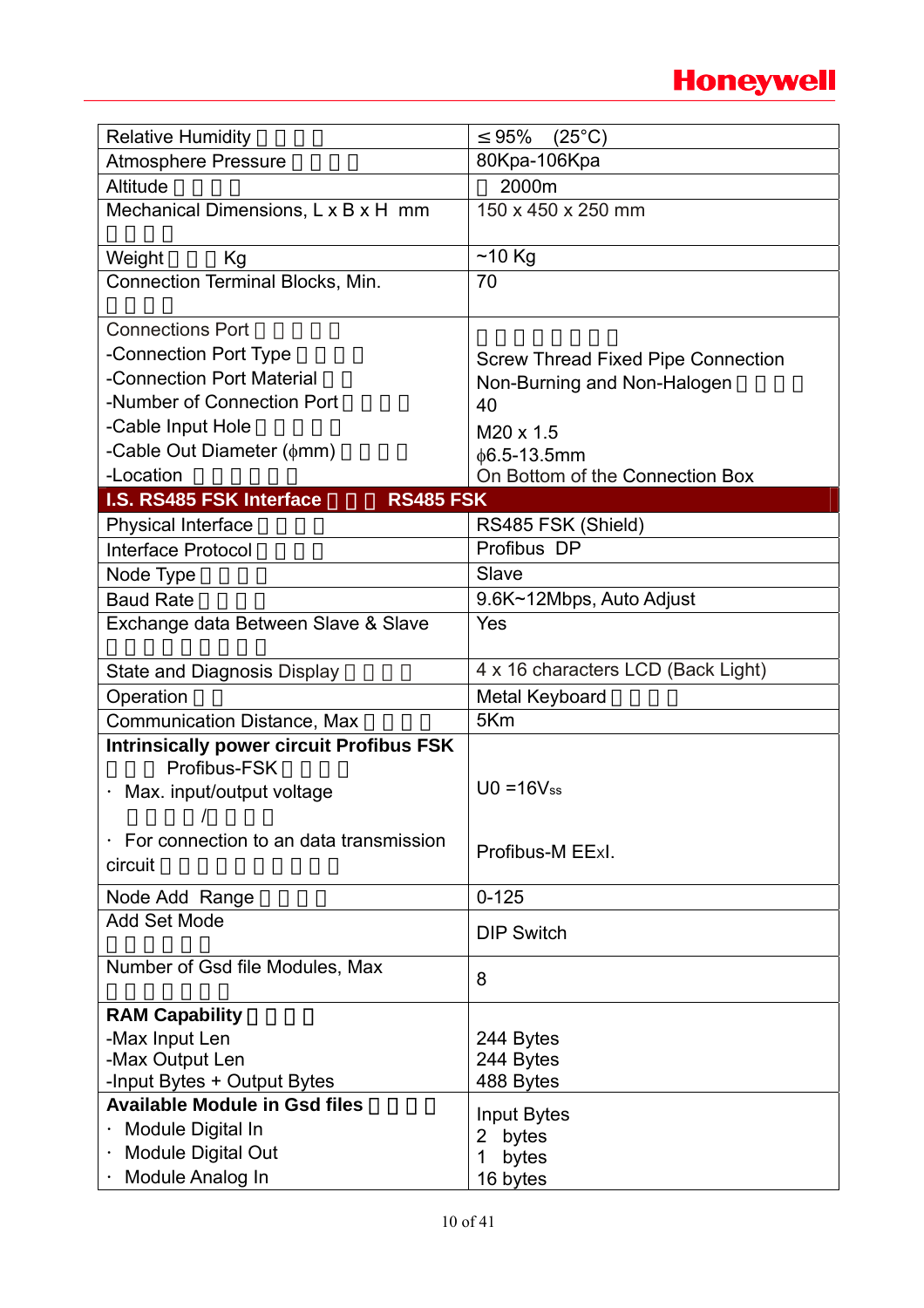## **Honeywell**

| <b>Relative Humidity</b>                                            | $(25^{\circ}C)$<br>95%                          |
|---------------------------------------------------------------------|-------------------------------------------------|
| <b>Atmosphere Pressure</b>                                          | 80Kpa-106Kpa                                    |
| Altitude                                                            | 2000m                                           |
| Mechanical Dimensions, L x B x H mm                                 | 150 x 450 x 250 mm                              |
| Weight<br>Kg                                                        | $~10$ Kg                                        |
| Connection Terminal Blocks, Min.                                    | 70                                              |
| <b>Connections Port</b>                                             |                                                 |
| -Connection Port Type                                               |                                                 |
| -Connection Port Material                                           | <b>Screw Thread Fixed Pipe Connection</b>       |
| -Number of Connection Port                                          | Non-Burning and Non-Halogen<br>40               |
| -Cable Input Hole                                                   |                                                 |
| -Cable Out Diameter $(\phi$ mm)                                     | M20 x 1.5<br>$\phi$ 6.5-13.5mm                  |
| -Location                                                           | On Bottom of the Connection Box                 |
| I.S. RS485 FSK Interface<br><b>RS485 FSK</b>                        |                                                 |
| <b>Physical Interface</b>                                           | RS485 FSK (Shield)                              |
| <b>Interface Protocol</b>                                           | Profibus DP                                     |
| Node Type                                                           | Slave                                           |
| <b>Baud Rate</b>                                                    | 9.6K~12Mbps, Auto Adjust                        |
| Exchange data Between Slave & Slave                                 | Yes                                             |
|                                                                     |                                                 |
| <b>State and Diagnosis Display</b>                                  | 4 x 16 characters LCD (Back Light)              |
| Operation                                                           | Metal Keyboard                                  |
| <b>Communication Distance, Max</b>                                  | 5Km                                             |
| <b>Intrinsically power circuit Profibus FSK</b>                     |                                                 |
| Profibus-FSK                                                        | $U0 = 16V$ ss                                   |
| Max. input/output voltage<br>$\overline{1}$                         |                                                 |
|                                                                     |                                                 |
| For connection to an data transmission<br>circuit                   | Profibus-M EExl.                                |
|                                                                     |                                                 |
| Node Add Range                                                      | $0 - 125$                                       |
| <b>Add Set Mode</b>                                                 | <b>DIP Switch</b>                               |
| Number of Gsd file Modules, Max                                     | 8                                               |
|                                                                     |                                                 |
| <b>RAM Capability</b>                                               |                                                 |
| -Max Input Len                                                      | 244 Bytes                                       |
| -Max Output Len                                                     | 244 Bytes                                       |
| -Input Bytes + Output Bytes<br><b>Available Module in Gsd files</b> | 488 Bytes                                       |
|                                                                     | Input Bytes                                     |
|                                                                     |                                                 |
|                                                                     |                                                 |
| Module Digital In<br>Module Digital Out<br>Module Analog In         | bytes<br>$\mathbf{2}$<br>bytes<br>1<br>16 bytes |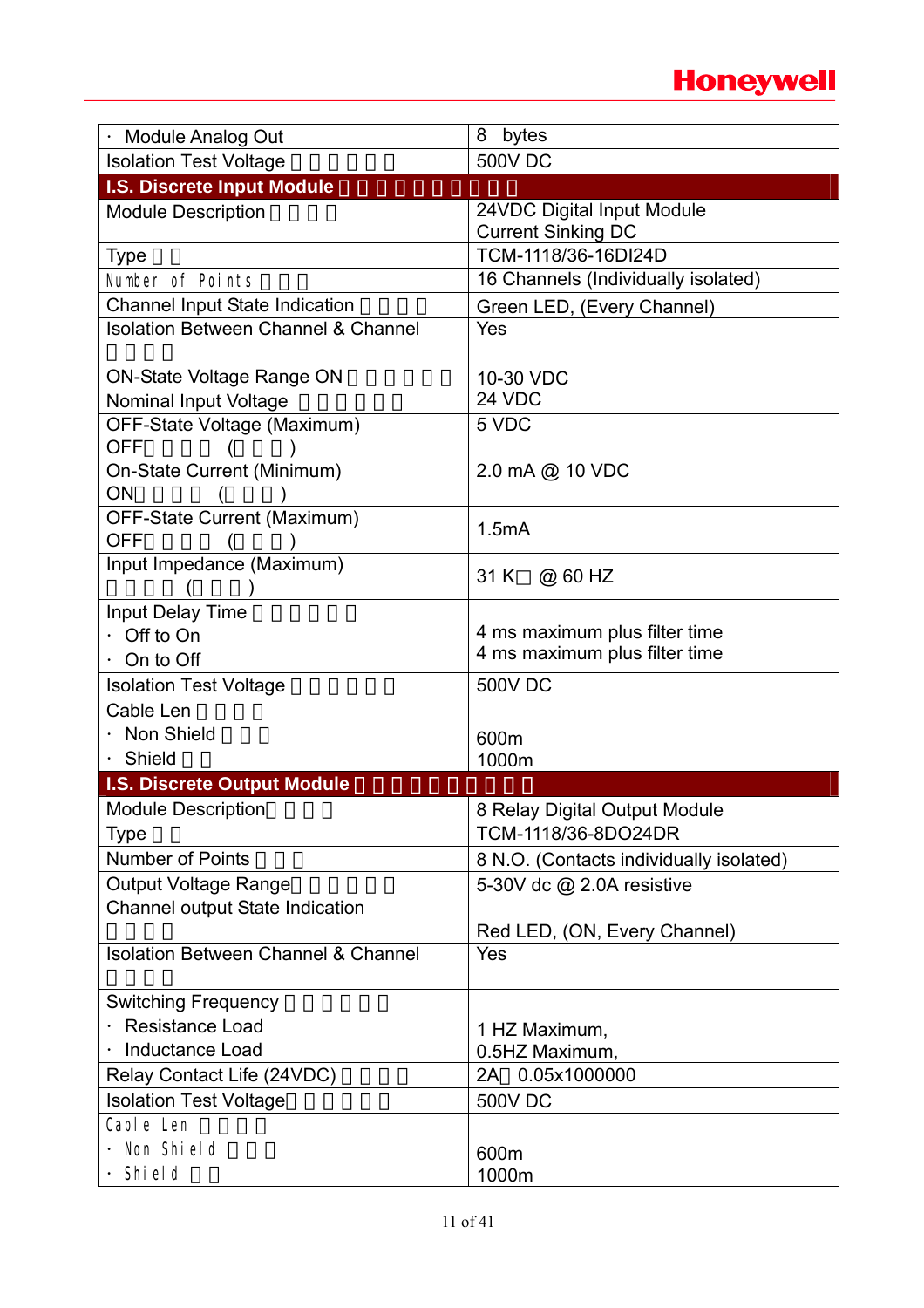## **Honeywell**

| <b>Module Analog Out</b>                       | 8<br>bytes                              |
|------------------------------------------------|-----------------------------------------|
| <b>Isolation Test Voltage</b>                  | <b>500V DC</b>                          |
| I.S. Discrete Input Module                     |                                         |
| <b>Module Description</b>                      | 24VDC Digital Input Module              |
|                                                | <b>Current Sinking DC</b>               |
| <b>Type</b>                                    | TCM-1118/36-16DI24D                     |
| Number of Points                               | 16 Channels (Individually isolated)     |
| <b>Channel Input State Indication</b>          | Green LED, (Every Channel)              |
| <b>Isolation Between Channel &amp; Channel</b> | Yes                                     |
| <b>ON-State Voltage Range ON</b>               | 10-30 VDC                               |
| Nominal Input Voltage                          | 24 VDC                                  |
| OFF-State Voltage (Maximum)                    | 5 VDC                                   |
| <b>OFF</b>                                     |                                         |
| On-State Current (Minimum)                     | 2.0 mA @ 10 VDC                         |
| <b>ON</b>                                      |                                         |
| OFF-State Current (Maximum)                    | 1.5mA                                   |
| <b>OFF</b>                                     |                                         |
| Input Impedance (Maximum)                      | 31 K<br>@ 60 HZ                         |
| Input Delay Time                               |                                         |
| Off to On                                      | 4 ms maximum plus filter time           |
| On to Off                                      | 4 ms maximum plus filter time           |
| <b>Isolation Test Voltage</b>                  | <b>500V DC</b>                          |
| Cable Len                                      |                                         |
| Non Shield                                     | 600m                                    |
| Shield                                         | 1000m                                   |
| I.S. Discrete Output Module                    |                                         |
| <b>Module Description</b>                      | 8 Relay Digital Output Module           |
| <b>Type</b>                                    | TCM-1118/36-8DO24DR                     |
| <b>Number of Points</b>                        | 8 N.O. (Contacts individually isolated) |
| <b>Output Voltage Range</b>                    | 5-30V dc @ 2.0A resistive               |
| Channel output State Indication                |                                         |
|                                                | Red LED, (ON, Every Channel)            |
| <b>Isolation Between Channel &amp; Channel</b> | Yes                                     |
| <b>Switching Frequency</b>                     |                                         |
| <b>Resistance Load</b>                         | 1 HZ Maximum,                           |
| <b>Inductance Load</b>                         | 0.5HZ Maximum,                          |
| Relay Contact Life (24VDC)                     | 2A 0.05x1000000                         |
| <b>Isolation Test Voltage</b>                  | <b>500V DC</b>                          |
| Cable Len                                      |                                         |
| Non Shield                                     | 600m                                    |
| Shi el d                                       | 1000m                                   |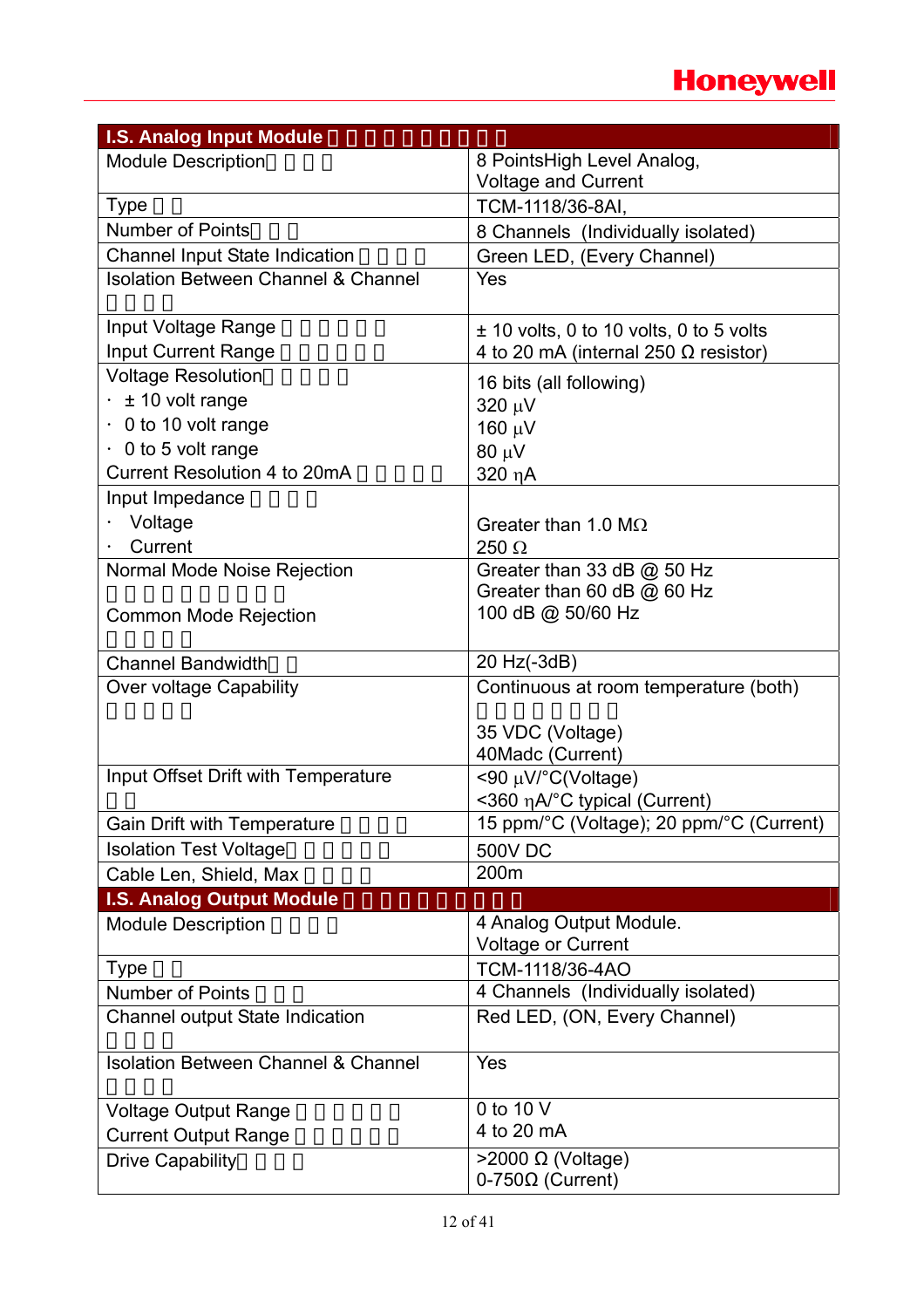

| <b>I.S. Analog Input Module</b>                |                                                 |
|------------------------------------------------|-------------------------------------------------|
| <b>Module Description</b>                      | 8 PointsHigh Level Analog,                      |
|                                                | <b>Voltage and Current</b>                      |
| <b>Type</b>                                    | TCM-1118/36-8AI,                                |
| <b>Number of Points</b>                        | 8 Channels (Individually isolated)              |
| <b>Channel Input State Indication</b>          | Green LED, (Every Channel)                      |
| <b>Isolation Between Channel &amp; Channel</b> | Yes                                             |
| Input Voltage Range                            | $±$ 10 volts, 0 to 10 volts, 0 to 5 volts       |
| <b>Input Current Range</b>                     | 4 to 20 mA (internal 250 $\Omega$ resistor)     |
| <b>Voltage Resolution</b>                      | 16 bits (all following)                         |
| ± 10 volt range                                | 320 µV                                          |
| 0 to 10 volt range                             | 160 μV                                          |
| $\cdot$ 0 to 5 volt range                      | $80 \mu V$                                      |
| Current Resolution 4 to 20mA                   | 320 ηΑ                                          |
| Input Impedance                                |                                                 |
| Voltage                                        | Greater than 1.0 M $\Omega$                     |
| Current                                        | 250 $\Omega$                                    |
| Normal Mode Noise Rejection                    | Greater than 33 dB @ 50 Hz                      |
|                                                | Greater than 60 dB @ 60 Hz                      |
| <b>Common Mode Rejection</b>                   | 100 dB @ 50/60 Hz                               |
|                                                |                                                 |
| <b>Channel Bandwidth</b>                       | 20 Hz(-3dB)                                     |
| Over voltage Capability                        | Continuous at room temperature (both)           |
|                                                |                                                 |
|                                                | 35 VDC (Voltage)                                |
|                                                | 40Madc (Current)                                |
| Input Offset Drift with Temperature            | <90 μV/°C(Voltage)                              |
|                                                | <360 η A/°C typical (Current)                   |
| <b>Gain Drift with Temperature</b>             | 15 ppm/°C (Voltage); 20 ppm/°C (Current)        |
| <b>Isolation Test Voltage</b>                  | <b>500V DC</b>                                  |
| Cable Len, Shield, Max                         | 200m                                            |
| <b>I.S. Analog Output Module</b>               |                                                 |
| <b>Module Description</b>                      | 4 Analog Output Module.                         |
|                                                | Voltage or Current                              |
| <b>Type</b>                                    | TCM-1118/36-4AO                                 |
| <b>Number of Points</b>                        | 4 Channels (Individually isolated)              |
| Channel output State Indication                | Red LED, (ON, Every Channel)                    |
| <b>Isolation Between Channel &amp; Channel</b> | Yes                                             |
|                                                | 0 to 10 V                                       |
| <b>Voltage Output Range</b>                    | 4 to 20 mA                                      |
| <b>Current Output Range</b>                    |                                                 |
| <b>Drive Capability</b>                        | $>$ 2000 Ω (Voltage)<br>$0-750\Omega$ (Current) |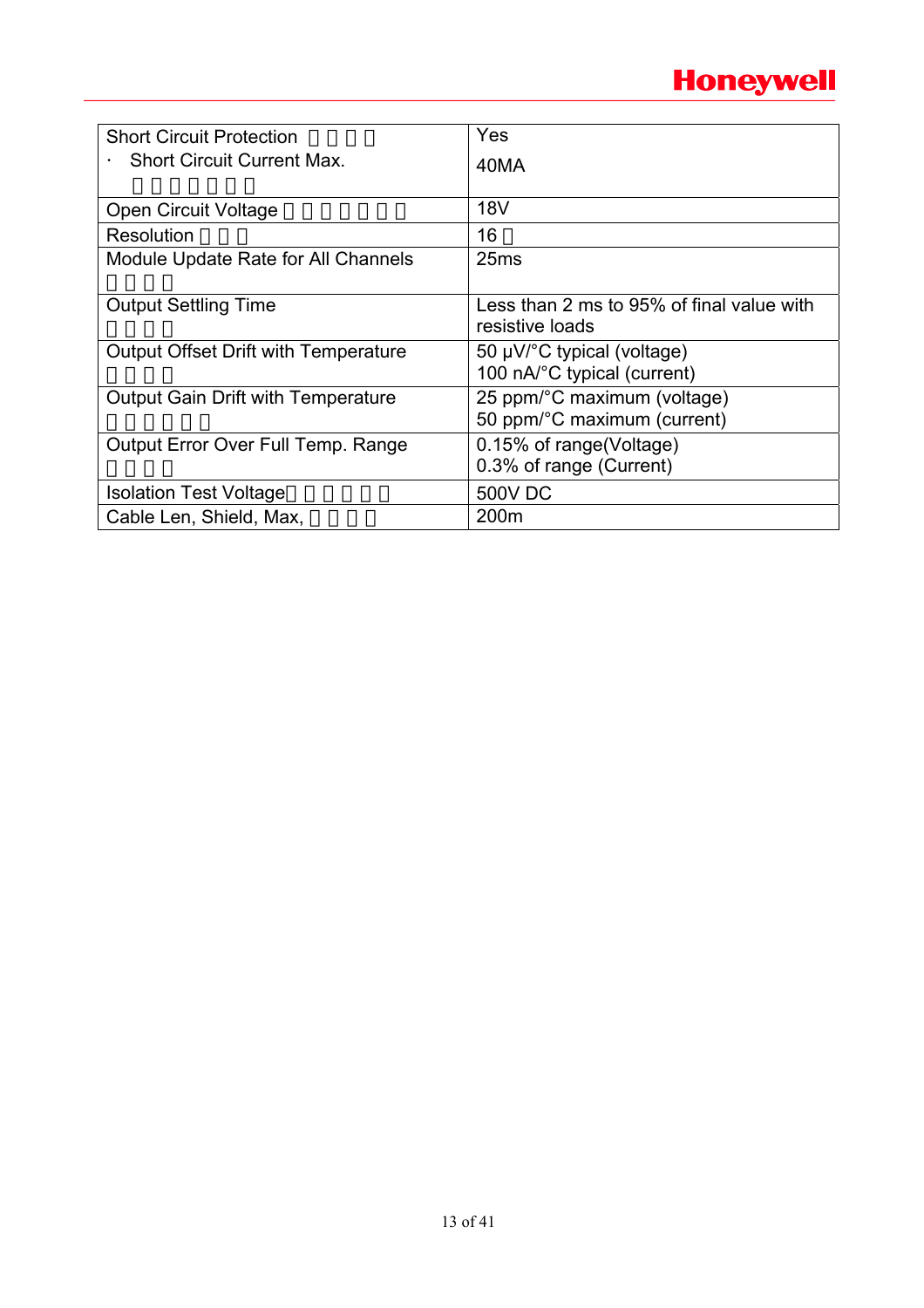| <b>Short Circuit Protection</b>             | Yes                                                          |
|---------------------------------------------|--------------------------------------------------------------|
| <b>Short Circuit Current Max.</b>           | 40MA                                                         |
|                                             |                                                              |
| <b>Open Circuit Voltage</b>                 | <b>18V</b>                                                   |
| Resolution                                  | 16                                                           |
| Module Update Rate for All Channels         | 25 <sub>ms</sub>                                             |
| <b>Output Settling Time</b>                 | Less than 2 ms to 95% of final value with<br>resistive loads |
| <b>Output Offset Drift with Temperature</b> | 50 µV/°C typical (voltage)<br>100 nA/°C typical (current)    |
| Output Gain Drift with Temperature          | 25 ppm/°C maximum (voltage)<br>50 ppm/°C maximum (current)   |
| Output Error Over Full Temp. Range          | 0.15% of range (Voltage)<br>0.3% of range (Current)          |
| <b>Isolation Test Voltage</b>               | <b>500V DC</b>                                               |
| Cable Len, Shield, Max,                     | 200 <sub>m</sub>                                             |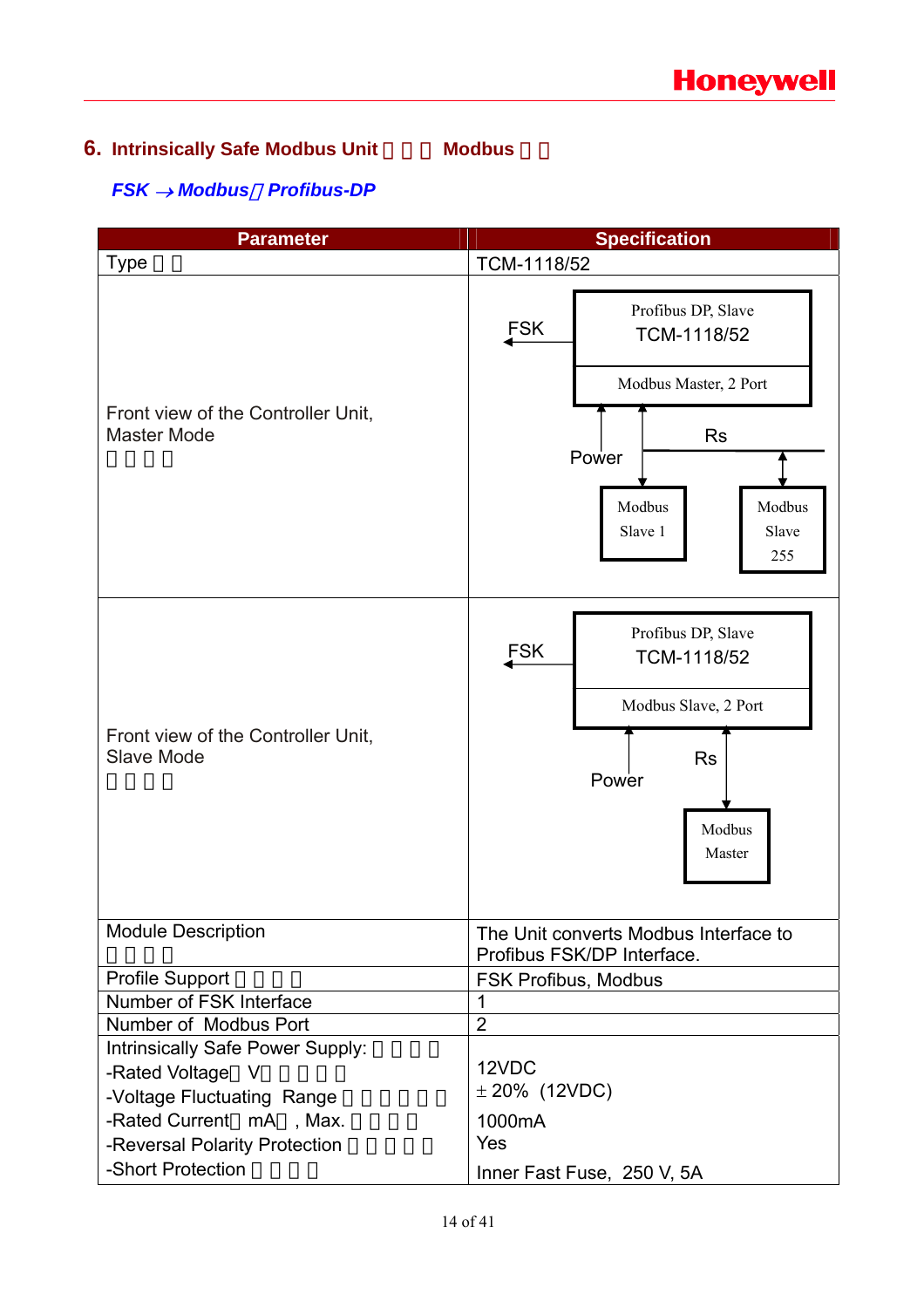## **6. Intrinsically Safe Modbus Unit** Modbus

### *FSK* → *Modbus*,*Profibus-DP*

| <b>Parameter</b>                                         | <b>Specification</b>                                                                                                                          |  |  |  |
|----------------------------------------------------------|-----------------------------------------------------------------------------------------------------------------------------------------------|--|--|--|
| <b>Type</b>                                              | TCM-1118/52                                                                                                                                   |  |  |  |
| Front view of the Controller Unit.<br><b>Master Mode</b> | Profibus DP, Slave<br><b>FSK</b><br>TCM-1118/52<br>Modbus Master, 2 Port<br><b>Rs</b><br>Power<br>Modbus<br>Modbus<br>Slave 1<br>Slave<br>255 |  |  |  |
| Front view of the Controller Unit,<br><b>Slave Mode</b>  | Profibus DP, Slave<br><b>FSK</b><br>TCM-1118/52<br>Modbus Slave, 2 Port<br><b>Rs</b><br>Power<br>Modbus<br>Master                             |  |  |  |
| <b>Module Description</b>                                | The Unit converts Modbus Interface to<br>Profibus FSK/DP Interface.                                                                           |  |  |  |
| Profile Support                                          | FSK Profibus, Modbus                                                                                                                          |  |  |  |
| Number of FSK Interface                                  | 1                                                                                                                                             |  |  |  |
| Number of Modbus Port                                    | $\overline{2}$                                                                                                                                |  |  |  |
| Intrinsically Safe Power Supply:                         |                                                                                                                                               |  |  |  |
| -Rated Voltage V                                         | 12VDC                                                                                                                                         |  |  |  |
| -Voltage Fluctuating Range                               | $± 20\%$ (12VDC)                                                                                                                              |  |  |  |
| -Rated Current mA, Max.                                  | 1000mA                                                                                                                                        |  |  |  |
| -Reversal Polarity Protection                            | Yes                                                                                                                                           |  |  |  |
| -Short Protection                                        | Inner Fast Fuse, 250 V, 5A                                                                                                                    |  |  |  |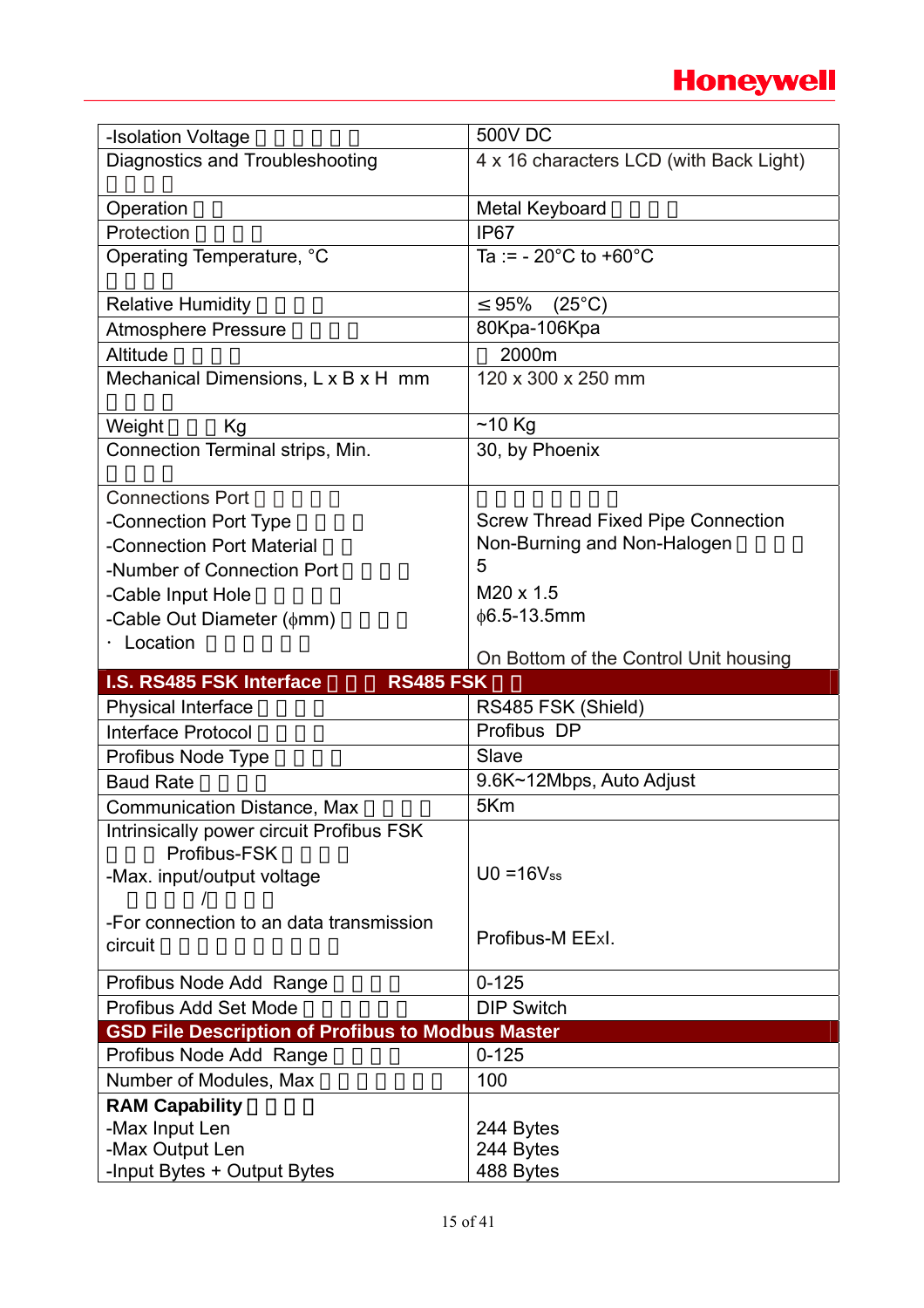## **Honeywell**

| -Isolation Voltage                                       | <b>500V DC</b>                            |
|----------------------------------------------------------|-------------------------------------------|
| Diagnostics and Troubleshooting                          | 4 x 16 characters LCD (with Back Light)   |
|                                                          |                                           |
| Operation                                                | Metal Keyboard                            |
| Protection                                               | <b>IP67</b>                               |
| Operating Temperature, °C                                | Ta := $-20^{\circ}$ C to $+60^{\circ}$ C  |
|                                                          |                                           |
| <b>Relative Humidity</b>                                 | 95%<br>$(25^{\circ}C)$                    |
| <b>Atmosphere Pressure</b>                               | 80Kpa-106Kpa                              |
| Altitude                                                 | 2000m                                     |
| Mechanical Dimensions, L x B x H mm                      | 120 x 300 x 250 mm                        |
|                                                          |                                           |
| Weight<br>Kg                                             | $~10$ Kg                                  |
| Connection Terminal strips, Min.                         | 30, by Phoenix                            |
|                                                          |                                           |
| <b>Connections Port</b>                                  |                                           |
| -Connection Port Type                                    | <b>Screw Thread Fixed Pipe Connection</b> |
| -Connection Port Material                                | Non-Burning and Non-Halogen               |
| -Number of Connection Port                               | 5                                         |
| -Cable Input Hole                                        | M20 x 1.5                                 |
| -Cable Out Diameter $(\phi$ mm)                          | $\phi$ 6.5-13.5mm                         |
| · Location                                               |                                           |
|                                                          |                                           |
|                                                          | On Bottom of the Control Unit housing     |
| <b>RS485 FSK</b><br>I.S. RS485 FSK Interface             |                                           |
| <b>Physical Interface</b>                                | RS485 FSK (Shield)                        |
| <b>Interface Protocol</b>                                | Profibus DP                               |
| Profibus Node Type                                       | Slave                                     |
| <b>Baud Rate</b>                                         | 9.6K~12Mbps, Auto Adjust                  |
| <b>Communication Distance, Max</b>                       | 5Km                                       |
| Intrinsically power circuit Profibus FSK                 |                                           |
| Profibus-FSK                                             |                                           |
| -Max. input/output voltage                               | $U0 = 16V$ ss                             |
|                                                          |                                           |
| -For connection to an data transmission                  |                                           |
| circuit                                                  | Profibus-M EExl.                          |
|                                                          |                                           |
| Profibus Node Add Range                                  | $0 - 125$                                 |
| Profibus Add Set Mode                                    | <b>DIP Switch</b>                         |
| <b>GSD File Description of Profibus to Modbus Master</b> |                                           |
| Profibus Node Add Range                                  | $0 - 125$                                 |
| Number of Modules, Max                                   | 100                                       |
| <b>RAM Capability</b>                                    |                                           |
| -Max Input Len<br>-Max Output Len                        | 244 Bytes<br>244 Bytes                    |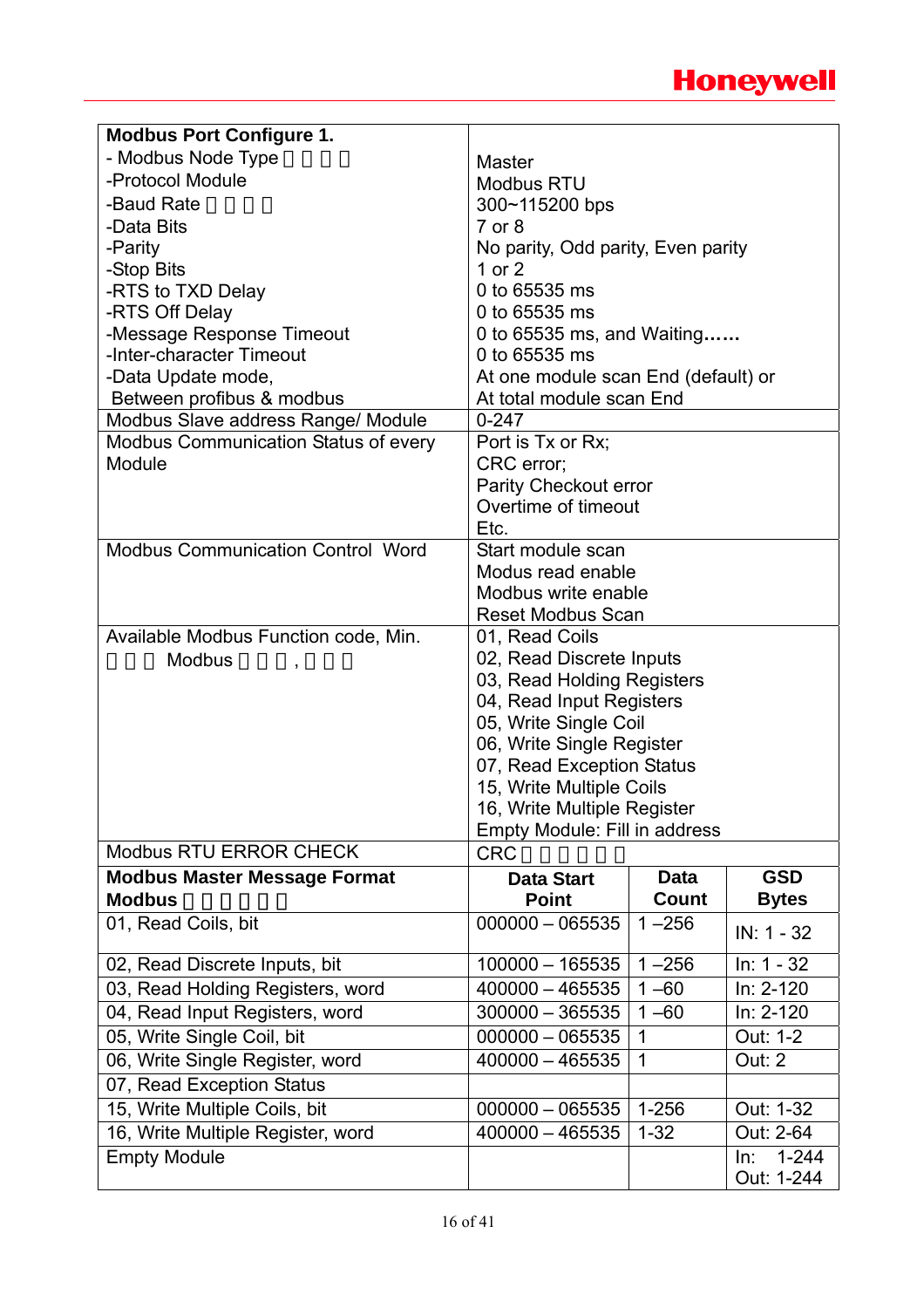| <b>Modbus Port Configure 1.</b>             |                                                   |              |                  |  |  |
|---------------------------------------------|---------------------------------------------------|--------------|------------------|--|--|
| - Modbus Node Type                          | <b>Master</b>                                     |              |                  |  |  |
| -Protocol Module                            | <b>Modbus RTU</b>                                 |              |                  |  |  |
| -Baud Rate                                  | 300~115200 bps                                    |              |                  |  |  |
| -Data Bits                                  | $7$ or $8$                                        |              |                  |  |  |
| -Parity                                     | No parity, Odd parity, Even parity                |              |                  |  |  |
| -Stop Bits                                  | 1 or 2                                            |              |                  |  |  |
| -RTS to TXD Delay                           | 0 to 65535 ms                                     |              |                  |  |  |
| -RTS Off Delay                              | 0 to 65535 ms                                     |              |                  |  |  |
| -Message Response Timeout                   | 0 to 65535 ms, and Waiting                        |              |                  |  |  |
| -Inter-character Timeout                    | 0 to 65535 ms                                     |              |                  |  |  |
| -Data Update mode,                          | At one module scan End (default) or               |              |                  |  |  |
| Between profibus & modbus                   | At total module scan End                          |              |                  |  |  |
| Modbus Slave address Range/ Module          | $0 - 247$                                         |              |                  |  |  |
| <b>Modbus Communication Status of every</b> | Port is Tx or Rx;                                 |              |                  |  |  |
| Module                                      | CRC error;                                        |              |                  |  |  |
|                                             | Parity Checkout error                             |              |                  |  |  |
|                                             | Overtime of timeout                               |              |                  |  |  |
|                                             | Etc.                                              |              |                  |  |  |
| <b>Modbus Communication Control Word</b>    | Start module scan                                 |              |                  |  |  |
|                                             | Modus read enable                                 |              |                  |  |  |
|                                             | Modbus write enable                               |              |                  |  |  |
|                                             | <b>Reset Modbus Scan</b>                          |              |                  |  |  |
| Available Modbus Function code, Min.        | 01, Read Coils                                    |              |                  |  |  |
| <b>Modbus</b>                               | 02, Read Discrete Inputs                          |              |                  |  |  |
|                                             | 03, Read Holding Registers                        |              |                  |  |  |
|                                             | 04, Read Input Registers<br>05, Write Single Coil |              |                  |  |  |
|                                             | 06, Write Single Register                         |              |                  |  |  |
|                                             | 07, Read Exception Status                         |              |                  |  |  |
|                                             | 15, Write Multiple Coils                          |              |                  |  |  |
|                                             | 16, Write Multiple Register                       |              |                  |  |  |
|                                             | Empty Module: Fill in address                     |              |                  |  |  |
| <b>Modbus RTU ERROR CHECK</b>               | <b>CRC</b>                                        |              |                  |  |  |
| <b>Modbus Master Message Format</b>         | <b>Data Start</b>                                 | <b>Data</b>  | <b>GSD</b>       |  |  |
| <b>Modbus</b>                               | <b>Point</b>                                      | Count        | <b>Bytes</b>     |  |  |
| 01, Read Coils, bit                         | $000000 - 065535$                                 | $1 - 256$    | IN: 1 - 32       |  |  |
| 02, Read Discrete Inputs, bit               | 100000 - 165535                                   | $1 - 256$    | $In: 1 - 32$     |  |  |
| 03, Read Holding Registers, word            | $400000 - 465535$                                 | $1 - 60$     | In: 2-120        |  |  |
| 04, Read Input Registers, word              | $300000 - 365535$                                 | $1 - 60$     | In: 2-120        |  |  |
| 05, Write Single Coil, bit                  | $000000 - 065535$                                 | $\mathbf 1$  | Out: 1-2         |  |  |
| 06, Write Single Register, word             | $400000 - 465535$                                 | $\mathbf{1}$ | <b>Out: 2</b>    |  |  |
| 07, Read Exception Status                   |                                                   |              |                  |  |  |
| 15, Write Multiple Coils, bit               | $000000 - 065535$                                 | $1 - 256$    | Out: 1-32        |  |  |
| 16, Write Multiple Register, word           | $400000 - 465535$                                 | $1 - 32$     | Out: 2-64        |  |  |
| <b>Empty Module</b>                         |                                                   |              | In:<br>$1 - 244$ |  |  |
|                                             |                                                   |              | Out: 1-244       |  |  |
|                                             |                                                   |              |                  |  |  |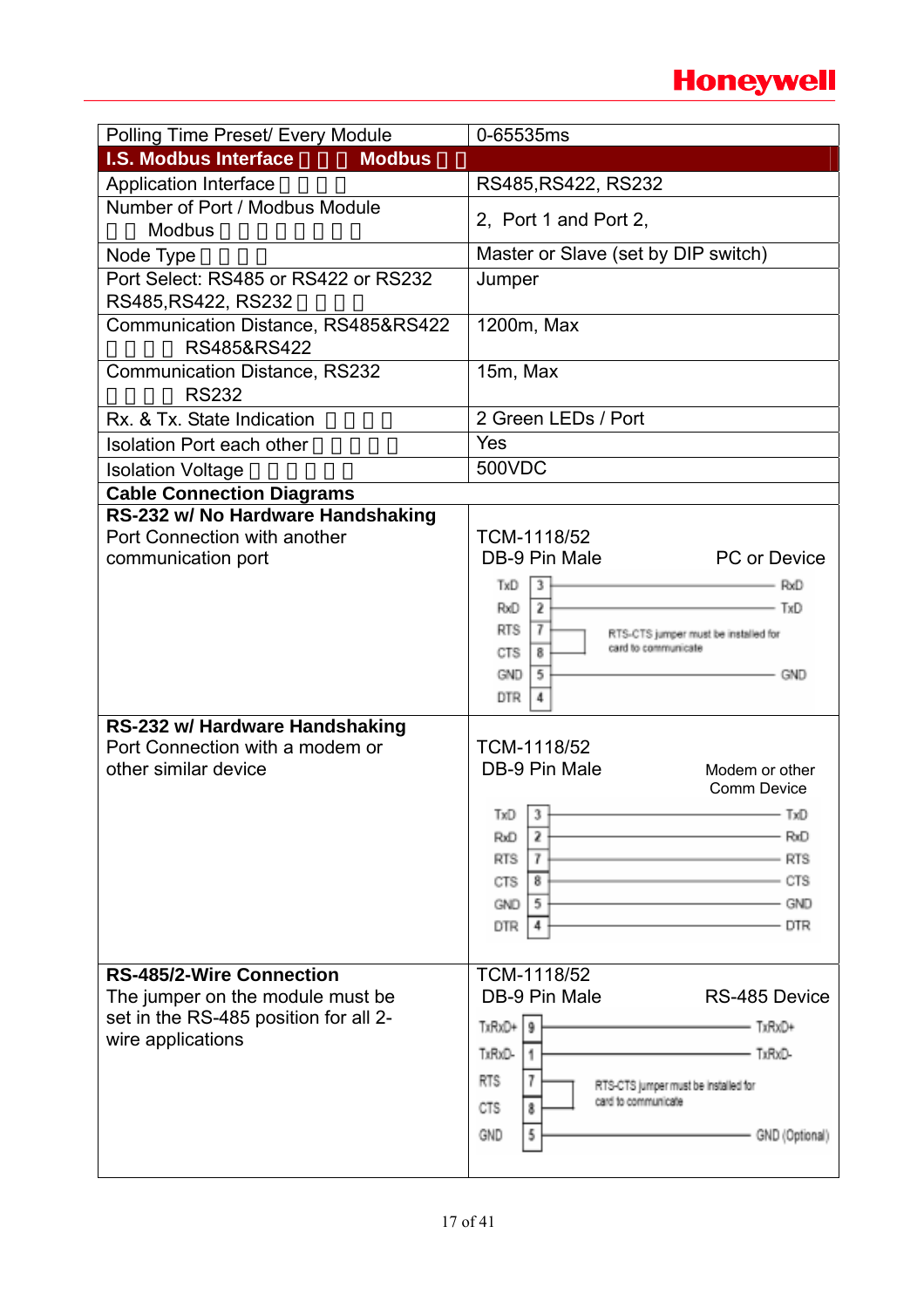## **Honeywell**

| Polling Time Preset/ Every Module                                   | 0-65535ms                                                |
|---------------------------------------------------------------------|----------------------------------------------------------|
| <b>I.S. Modbus Interface</b><br><b>Modbus</b>                       |                                                          |
| <b>Application Interface</b>                                        | RS485, RS422, RS232                                      |
| Number of Port / Modbus Module                                      | 2. Port 1 and Port 2.                                    |
| <b>Modbus</b>                                                       |                                                          |
| Node Type                                                           | Master or Slave (set by DIP switch)                      |
| Port Select: RS485 or RS422 or RS232                                | Jumper                                                   |
| RS485, RS422, RS232                                                 |                                                          |
| Communication Distance, RS485&RS422<br>RS485&RS422                  | 1200m, Max                                               |
| <b>Communication Distance, RS232</b><br><b>RS232</b>                | 15m, Max                                                 |
| Rx. & Tx. State Indication                                          | 2 Green LEDs / Port                                      |
| <b>Isolation Port each other</b>                                    | Yes                                                      |
| <b>Isolation Voltage</b>                                            | 500VDC                                                   |
| <b>Cable Connection Diagrams</b>                                    |                                                          |
| RS-232 w/ No Hardware Handshaking                                   |                                                          |
| Port Connection with another                                        | TCM-1118/52                                              |
| communication port                                                  | DB-9 Pin Male<br><b>PC</b> or Device                     |
|                                                                     | TxD<br>- RxD<br>3                                        |
|                                                                     | $-$ TxD<br>2<br>RxD                                      |
|                                                                     | <b>RTS</b><br>17<br>RTS-CTS jumper must be installed for |
|                                                                     | card to communicate<br>CTS<br>8                          |
|                                                                     | GND<br>5<br>- GND<br><b>DTR</b>                          |
|                                                                     |                                                          |
| RS-232 w/ Hardware Handshaking<br>Port Connection with a modem or   | TCM-1118/52                                              |
| other similar device                                                | DB-9 Pin Male<br>Modem or other                          |
|                                                                     | <b>Comm Device</b>                                       |
|                                                                     | $TxD$ 3                                                  |
|                                                                     | 2<br>RxD<br>RxD                                          |
|                                                                     | <b>RTS</b><br><b>RTS</b><br>7                            |
|                                                                     | CTS<br>CTS<br>8                                          |
|                                                                     | GND<br><b>GND</b><br>5                                   |
|                                                                     | <b>DTR</b><br>DTR<br>4                                   |
|                                                                     |                                                          |
| <b>RS-485/2-Wire Connection</b><br>The jumper on the module must be | TCM-1118/52<br>DB-9 Pin Male<br>RS-485 Device            |
| set in the RS-485 position for all 2-                               |                                                          |
| wire applications                                                   | TxRxD+ 9<br>- TxRxD+                                     |
|                                                                     | TxRxD-<br>- TxRxD-                                       |
|                                                                     | <b>RTS</b><br>RTS-CTS jumper must be installed for       |
|                                                                     | card to communicate<br><b>CTS</b><br>8                   |
|                                                                     | 5<br>GND<br>GND (Optional)                               |
|                                                                     |                                                          |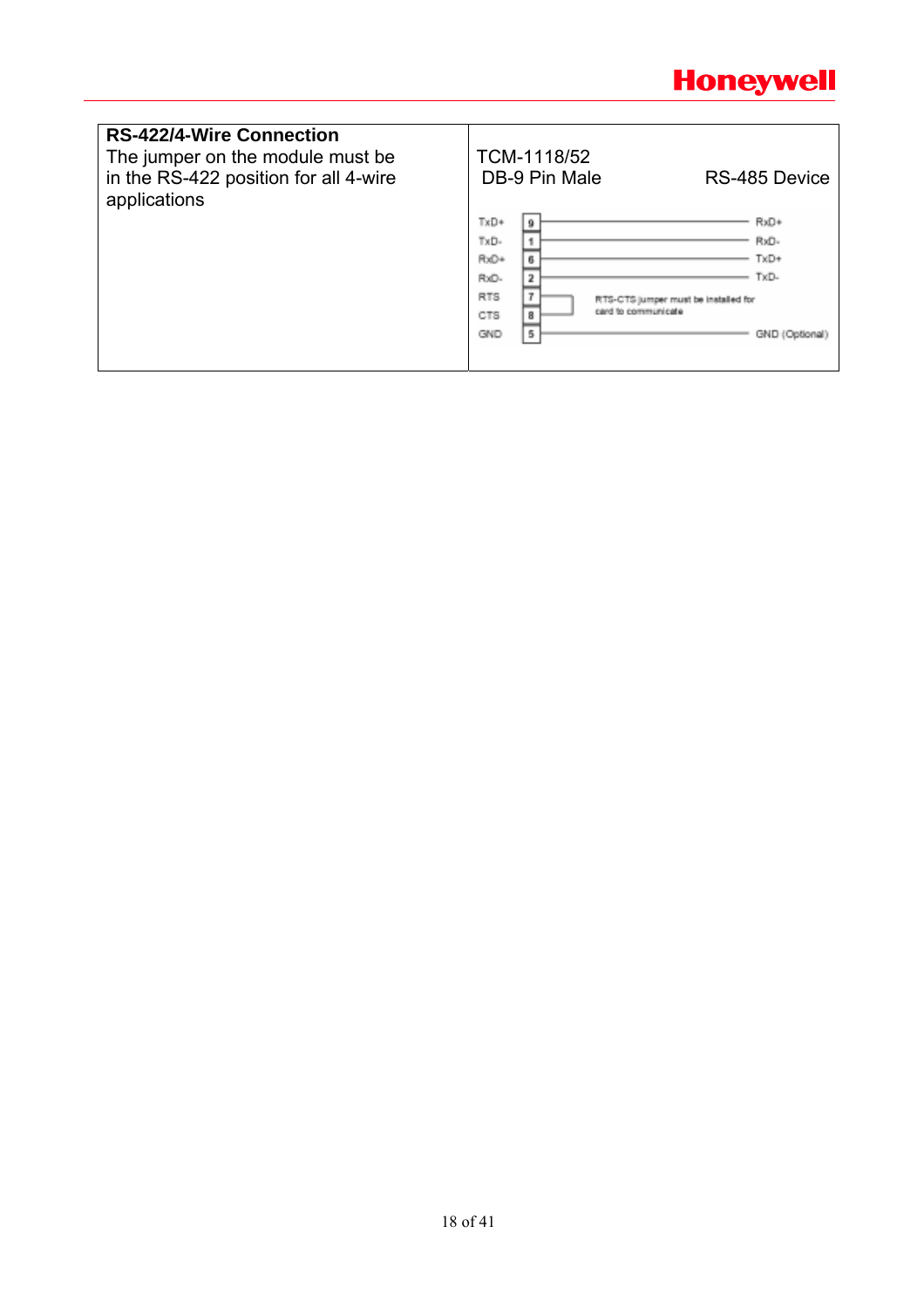

| <b>RS-422/4-Wire Connection</b><br>The jumper on the module must be<br>in the RS-422 position for all 4-wire<br>applications | TCM-1118/52<br>DB-9 Pin Male                                                                                                                      | RS-485 Device                                  |
|------------------------------------------------------------------------------------------------------------------------------|---------------------------------------------------------------------------------------------------------------------------------------------------|------------------------------------------------|
|                                                                                                                              | TxD+<br>9<br>$TxD -$<br>RxD+<br>6<br>2<br>RxD-<br>RTS<br>٠<br>RTS-CTS jumper must be installed for<br>card to communicate<br>8<br>CTS<br>5<br>GND | RxD+<br>RxD-<br>TxD+<br>TxD-<br>GND (Optional) |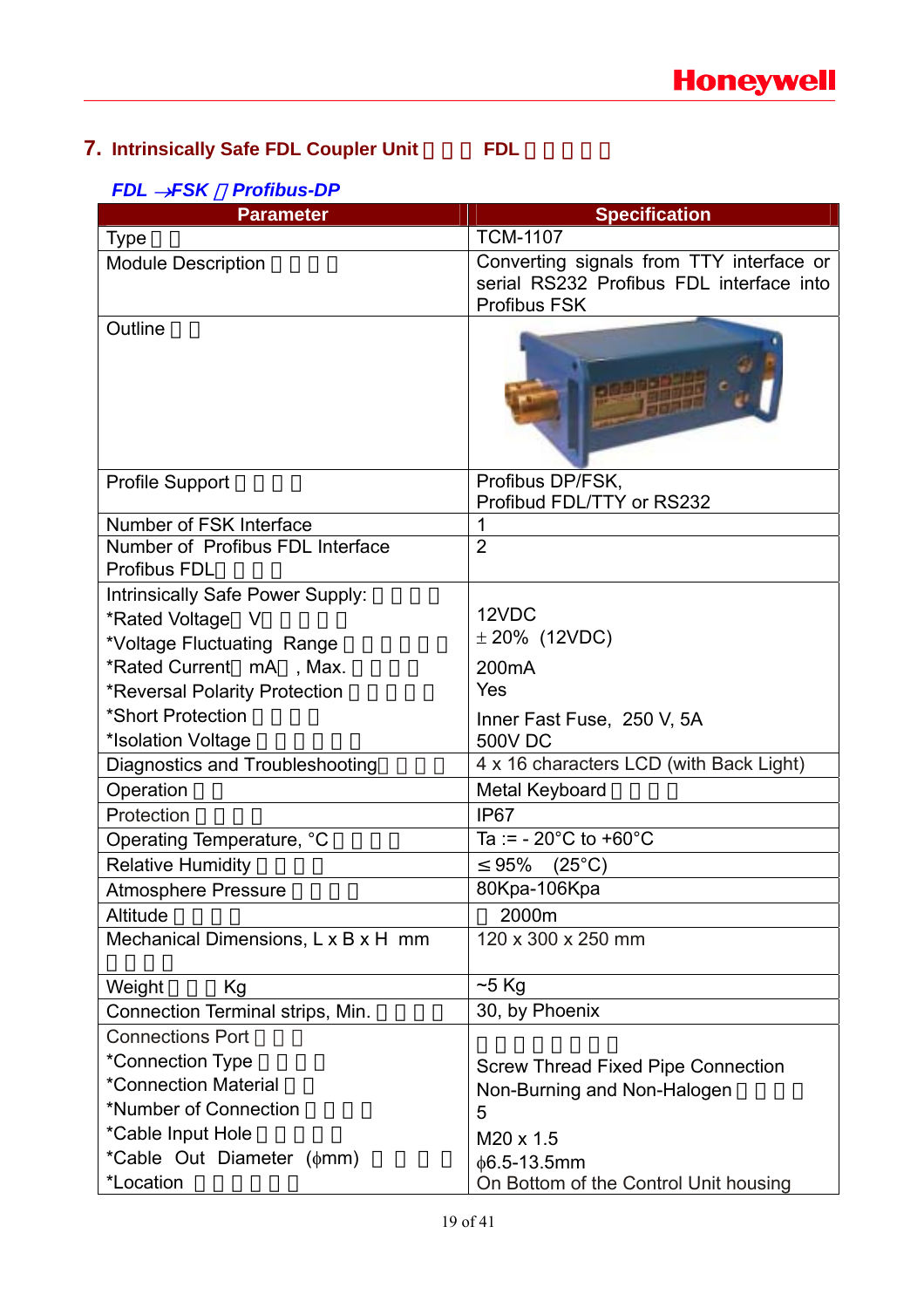## **7. Intrinsically Safe FDL Coupler Unit** FDL

## *FDL* →*FSK* ,*Profibus-DP*

| <b>Parameter</b>                    | <b>Specification</b>                          |
|-------------------------------------|-----------------------------------------------|
| <b>Type</b>                         | <b>TCM-1107</b>                               |
| <b>Module Description</b>           | Converting signals from TTY interface or      |
|                                     | serial RS232 Profibus FDL interface into      |
| Outline                             | <b>Profibus FSK</b>                           |
|                                     |                                               |
| <b>Profile Support</b>              | Profibus DP/FSK,<br>Profibud FDL/TTY or RS232 |
| Number of FSK Interface             | 1                                             |
| Number of Profibus FDL Interface    | $\overline{2}$                                |
| <b>Profibus FDL</b>                 |                                               |
| Intrinsically Safe Power Supply:    |                                               |
| *Rated Voltage V                    | 12VDC                                         |
| *Voltage Fluctuating Range          | $± 20\%$ (12VDC)                              |
| *Rated Current mA, Max.             | 200mA                                         |
| *Reversal Polarity Protection       | Yes                                           |
| *Short Protection                   | Inner Fast Fuse, 250 V, 5A                    |
| *Isolation Voltage                  | <b>500V DC</b>                                |
| Diagnostics and Troubleshooting     | 4 x 16 characters LCD (with Back Light)       |
| Operation                           | Metal Keyboard                                |
| Protection                          | IP <sub>67</sub>                              |
| Operating Temperature, °C           | Ta := $-20^{\circ}$ C to $+60^{\circ}$ C      |
| <b>Relative Humidity</b>            | 95%<br>$(25^{\circ}C)$                        |
| <b>Atmosphere Pressure</b>          | 80Kpa-106Kpa                                  |
| Altitude                            | 2000m                                         |
| Mechanical Dimensions, L x B x H mm | 120 x 300 x 250 mm                            |
| Weight<br>Kg                        | $~5$ Kg                                       |
| Connection Terminal strips, Min.    | 30, by Phoenix                                |
| <b>Connections Port</b>             |                                               |
| *Connection Type                    | <b>Screw Thread Fixed Pipe Connection</b>     |
| *Connection Material                | Non-Burning and Non-Halogen                   |
| *Number of Connection               | 5                                             |
| *Cable Input Hole                   | M20 x 1.5                                     |
| *Cable Out Diameter ( $\phi$ mm)    | $\phi$ 6.5-13.5mm                             |
| *Location                           | On Bottom of the Control Unit housing         |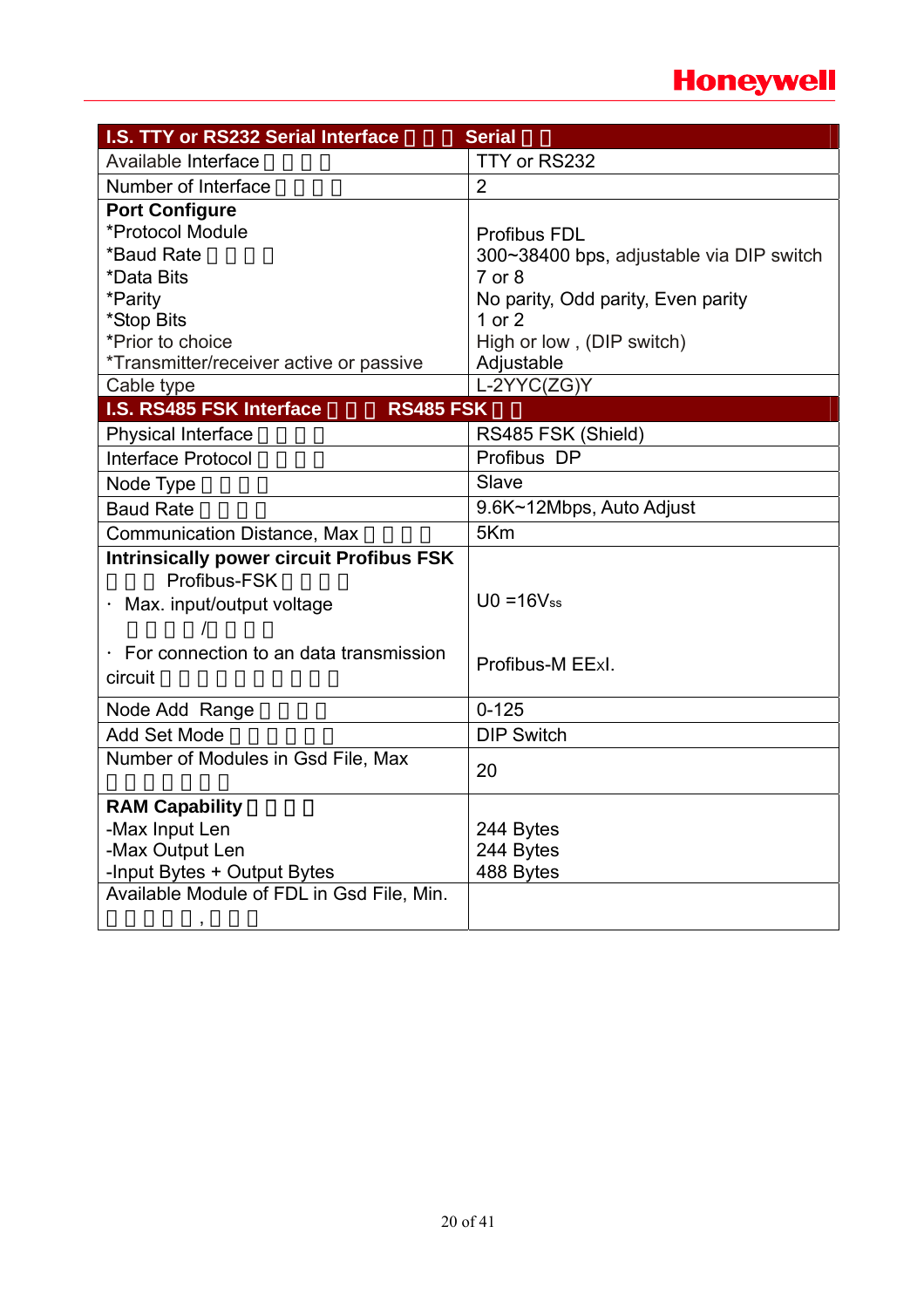## **Honeywell**

| I.S. TTY or RS232 Serial Interface              | <b>Serial</b>                            |
|-------------------------------------------------|------------------------------------------|
| Available Interface                             | TTY or RS232                             |
| Number of Interface                             | $\overline{2}$                           |
| <b>Port Configure</b>                           |                                          |
| *Protocol Module                                | <b>Profibus FDL</b>                      |
| *Baud Rate                                      | 300~38400 bps, adjustable via DIP switch |
| *Data Bits                                      | 7 or 8                                   |
| *Parity                                         | No parity, Odd parity, Even parity       |
| *Stop Bits                                      | 1 or $2$                                 |
| *Prior to choice                                | High or low, (DIP switch)                |
| *Transmitter/receiver active or passive         | Adjustable                               |
| Cable type                                      | L-2YYC(ZG)Y                              |
| I.S. RS485 FSK Interface<br><b>RS485 FSK</b>    |                                          |
| <b>Physical Interface</b>                       | RS485 FSK (Shield)                       |
| <b>Interface Protocol</b>                       | Profibus DP                              |
| Node Type                                       | Slave                                    |
| <b>Baud Rate</b>                                | 9.6K~12Mbps, Auto Adjust                 |
| <b>Communication Distance, Max</b>              | 5Km                                      |
| <b>Intrinsically power circuit Profibus FSK</b> |                                          |
| Profibus-FSK                                    |                                          |
| Max. input/output voltage                       | $U0 = 16V$ ss                            |
|                                                 |                                          |
| Evert connection to an data transmission        |                                          |
| circuit                                         | Profibus-M EExl.                         |
| Node Add Range                                  | $0 - 125$                                |
| <b>Add Set Mode</b>                             | <b>DIP Switch</b>                        |
|                                                 |                                          |
| Number of Modules in Gsd File, Max              | 20                                       |
| <b>RAM Capability</b>                           |                                          |
| -Max Input Len                                  | 244 Bytes                                |
| -Max Output Len                                 | 244 Bytes                                |
| -Input Bytes + Output Bytes                     | 488 Bytes                                |
| Available Module of FDL in Gsd File, Min.       |                                          |
| ,                                               |                                          |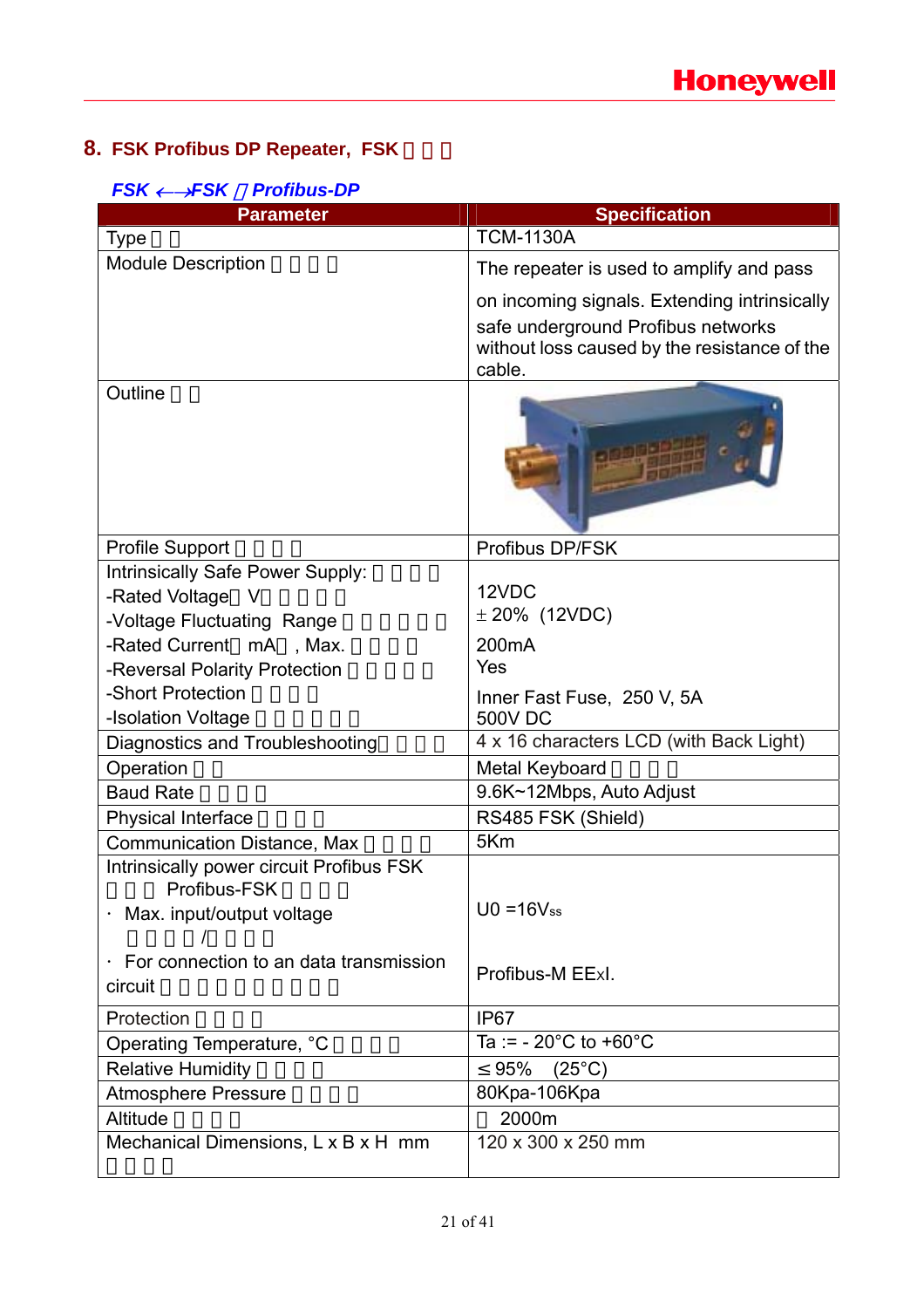## **8. FSK Profibus DP Repeater, FSK**

| $FSK \leftarrow \rightarrow FSK$ | <b>Profibus-DP</b> |
|----------------------------------|--------------------|
|----------------------------------|--------------------|

| <b>Parameter</b>                                                                        | <b>Specification</b>                                                                                                                         |
|-----------------------------------------------------------------------------------------|----------------------------------------------------------------------------------------------------------------------------------------------|
| <b>Type</b>                                                                             | <b>TCM-1130A</b>                                                                                                                             |
| <b>Module Description</b>                                                               | The repeater is used to amplify and pass                                                                                                     |
|                                                                                         | on incoming signals. Extending intrinsically<br>safe underground Profibus networks<br>without loss caused by the resistance of the<br>cable. |
| Outline                                                                                 |                                                                                                                                              |
| <b>Profile Support</b>                                                                  | Profibus DP/FSK                                                                                                                              |
| Intrinsically Safe Power Supply:<br>-Rated Voltage<br>- V<br>-Voltage Fluctuating Range | 12VDC<br>$\pm$ 20% (12VDC)                                                                                                                   |
| -Rated Current mA, Max.                                                                 | 200 <sub>m</sub> A                                                                                                                           |
| -Reversal Polarity Protection                                                           | Yes                                                                                                                                          |
| -Short Protection<br>-Isolation Voltage                                                 | Inner Fast Fuse, 250 V, 5A<br><b>500V DC</b>                                                                                                 |
| Diagnostics and Troubleshooting                                                         | 4 x 16 characters LCD (with Back Light)                                                                                                      |
| Operation                                                                               | Metal Keyboard                                                                                                                               |
| <b>Baud Rate</b>                                                                        | 9.6K~12Mbps, Auto Adjust                                                                                                                     |
| <b>Physical Interface</b>                                                               | RS485 FSK (Shield)                                                                                                                           |
| <b>Communication Distance, Max</b>                                                      | 5Km                                                                                                                                          |
| Intrinsically power circuit Profibus FSK<br>Profibus-FSK<br>Max. input/output voltage   | $U0 = 16V$ ss                                                                                                                                |
| For connection to an data transmission<br>circuit                                       | Profibus-M EExl.                                                                                                                             |
| Protection                                                                              | IP <sub>67</sub>                                                                                                                             |
| Operating Temperature, °C                                                               | Ta := $-20^{\circ}$ C to $+60^{\circ}$ C                                                                                                     |
| <b>Relative Humidity</b>                                                                | 95%<br>$(25^{\circ}C)$                                                                                                                       |
| <b>Atmosphere Pressure</b>                                                              | 80Kpa-106Kpa                                                                                                                                 |
| Altitude                                                                                | 2000m                                                                                                                                        |
| Mechanical Dimensions, L x B x H mm                                                     | 120 x 300 x 250 mm                                                                                                                           |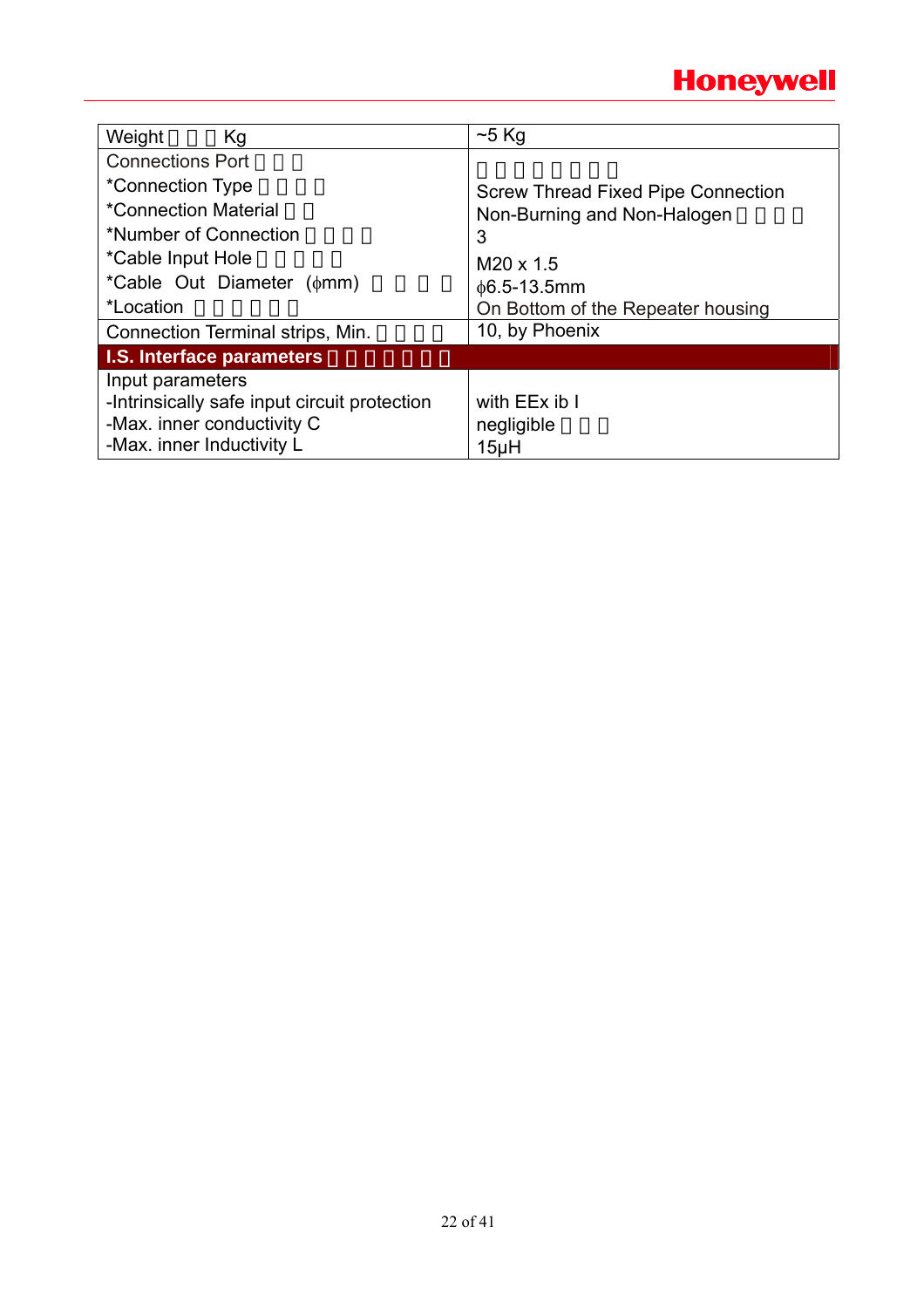

| Weight<br>Kg                                                                                                                | $~5$ Kg                                   |
|-----------------------------------------------------------------------------------------------------------------------------|-------------------------------------------|
| <b>Connections Port</b>                                                                                                     |                                           |
| *Connection Type                                                                                                            | <b>Screw Thread Fixed Pipe Connection</b> |
| <i>*Connection Material</i>                                                                                                 | Non-Burning and Non-Halogen               |
| *Number of Connection                                                                                                       | 3                                         |
| *Cable Input Hole                                                                                                           | $M20 \times 1.5$                          |
| *Cable Out Diameter ( $\phi$ mm)                                                                                            | $\phi$ 6.5-13.5mm                         |
| *Location                                                                                                                   | On Bottom of the Repeater housing         |
| Connection Terminal strips, Min.                                                                                            | 10, by Phoenix                            |
| I.S. Interface parameters                                                                                                   |                                           |
| Input parameters<br>-Intrinsically safe input circuit protection<br>-Max. inner conductivity C<br>-Max. inner Inductivity L | with EEx ib I<br>negligible<br>15µH       |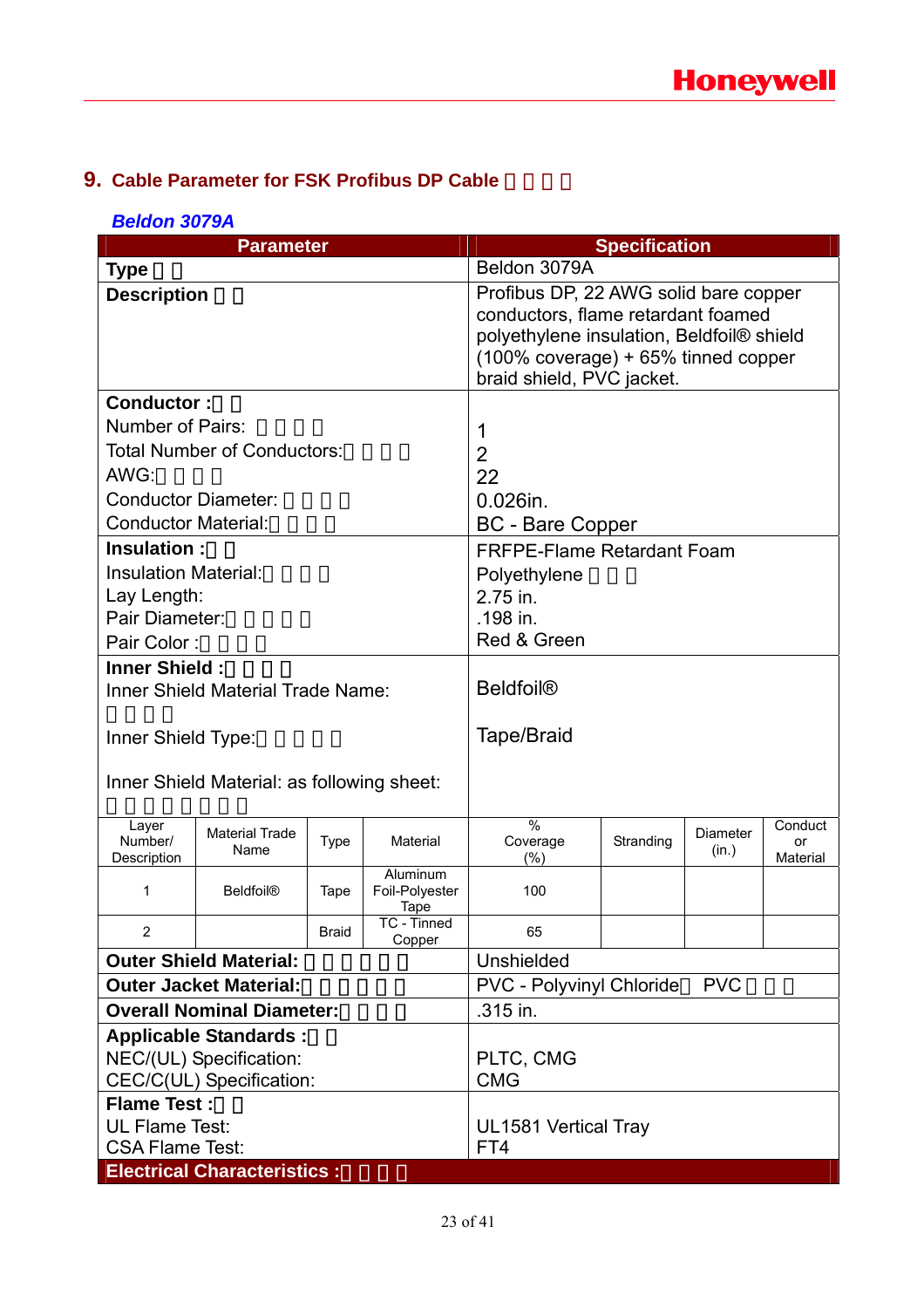## **9. Cable Parameter for FSK Profibus DP Cable**

### *Beldon 3079A*

|                                            | <b>Specification</b><br><b>Parameter</b>                                       |              |                                                                                                                                                                                              |                                               |           |                   |                           |
|--------------------------------------------|--------------------------------------------------------------------------------|--------------|----------------------------------------------------------------------------------------------------------------------------------------------------------------------------------------------|-----------------------------------------------|-----------|-------------------|---------------------------|
| <b>Type</b>                                |                                                                                |              | Beldon 3079A                                                                                                                                                                                 |                                               |           |                   |                           |
| <b>Description</b>                         |                                                                                |              | Profibus DP, 22 AWG solid bare copper<br>conductors, flame retardant foamed<br>polyethylene insulation, Beldfoil® shield<br>(100% coverage) + 65% tinned copper<br>braid shield, PVC jacket. |                                               |           |                   |                           |
| <b>Conductor:</b>                          |                                                                                |              |                                                                                                                                                                                              |                                               |           |                   |                           |
| <b>Number of Pairs:</b>                    |                                                                                |              |                                                                                                                                                                                              | 1                                             |           |                   |                           |
|                                            | <b>Total Number of Conductors:</b>                                             |              |                                                                                                                                                                                              | $\overline{2}$                                |           |                   |                           |
| AWG:                                       |                                                                                |              |                                                                                                                                                                                              | 22                                            |           |                   |                           |
| <b>Conductor Diameter:</b>                 |                                                                                |              |                                                                                                                                                                                              | $0.026$ in.                                   |           |                   |                           |
| <b>Conductor Material:</b>                 |                                                                                |              |                                                                                                                                                                                              | <b>BC</b> - Bare Copper                       |           |                   |                           |
| Insulation:                                |                                                                                |              |                                                                                                                                                                                              | <b>FRFPE-Flame Retardant Foam</b>             |           |                   |                           |
| <b>Insulation Material:</b>                |                                                                                |              |                                                                                                                                                                                              | Polyethylene                                  |           |                   |                           |
| Lay Length:                                |                                                                                |              |                                                                                                                                                                                              | 2.75 in.                                      |           |                   |                           |
| Pair Diameter:                             |                                                                                |              |                                                                                                                                                                                              | .198 in.                                      |           |                   |                           |
| Pair Color:                                |                                                                                |              |                                                                                                                                                                                              | Red & Green                                   |           |                   |                           |
| <b>Inner Shield:</b>                       |                                                                                |              |                                                                                                                                                                                              |                                               |           |                   |                           |
|                                            | <b>Inner Shield Material Trade Name:</b>                                       |              |                                                                                                                                                                                              | <b>Beldfoil®</b>                              |           |                   |                           |
| Inner Shield Type:                         |                                                                                |              | Tape/Braid                                                                                                                                                                                   |                                               |           |                   |                           |
| Inner Shield Material: as following sheet: |                                                                                |              |                                                                                                                                                                                              |                                               |           |                   |                           |
| Layer<br>Number/<br>Description            | <b>Material Trade</b><br>Name                                                  | <b>Type</b>  | Material                                                                                                                                                                                     | $\frac{0}{0}$<br>Coverage<br>$(\%)$           | Stranding | Diameter<br>(in.) | Conduct<br>or<br>Material |
| 1                                          | <b>Beldfoil®</b>                                                               | Tape         | Aluminum<br>Foil-Polyester<br>Tape                                                                                                                                                           | 100                                           |           |                   |                           |
|                                            |                                                                                | <b>Braid</b> | TC - Tinned<br>Copper                                                                                                                                                                        | 65                                            |           |                   |                           |
|                                            | <b>Outer Shield Material:</b>                                                  |              |                                                                                                                                                                                              | Unshielded                                    |           |                   |                           |
|                                            | <b>Outer Jacket Material:</b>                                                  |              |                                                                                                                                                                                              | <b>PVC</b><br><b>PVC - Polyvinyl Chloride</b> |           |                   |                           |
|                                            | <b>Overall Nominal Diameter:</b>                                               |              | .315 in.                                                                                                                                                                                     |                                               |           |                   |                           |
|                                            | <b>Applicable Standards:</b>                                                   |              |                                                                                                                                                                                              |                                               |           |                   |                           |
| NEC/(UL) Specification:                    |                                                                                |              | PLTC, CMG                                                                                                                                                                                    |                                               |           |                   |                           |
|                                            | CEC/C(UL) Specification:                                                       |              | <b>CMG</b>                                                                                                                                                                                   |                                               |           |                   |                           |
| <b>Flame Test:</b>                         |                                                                                |              |                                                                                                                                                                                              |                                               |           |                   |                           |
|                                            | <b>UL Flame Test:</b><br>UL1581 Vertical Tray<br><b>CSA Flame Test:</b><br>FT4 |              |                                                                                                                                                                                              |                                               |           |                   |                           |
|                                            | <b>Electrical Characteristics:</b>                                             |              |                                                                                                                                                                                              |                                               |           |                   |                           |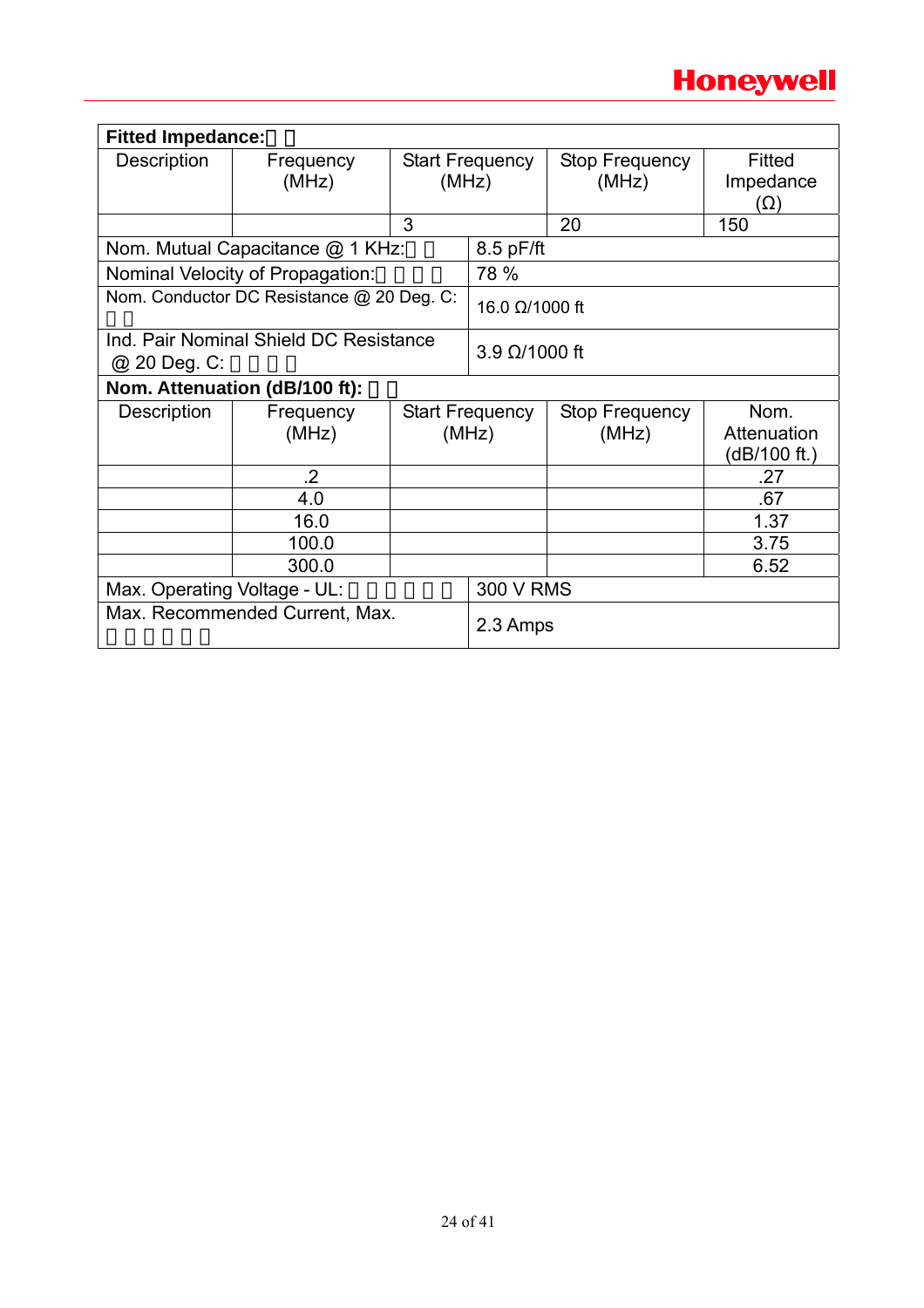

| <b>Fitted Impedance:</b>     |                                           |       |                                 |                         |                                     |  |
|------------------------------|-------------------------------------------|-------|---------------------------------|-------------------------|-------------------------------------|--|
| Description                  | Frequency<br>(MHz)                        | (MHz) | <b>Start Frequency</b>          | Stop Frequency<br>(MHz) | Fitted<br>Impedance<br>(Ω)          |  |
|                              |                                           | 3     |                                 | 20                      | 150                                 |  |
|                              | Nom. Mutual Capacitance @ 1 KHz:          |       | $8.5$ pF/ft                     |                         |                                     |  |
|                              | Nominal Velocity of Propagation:          |       | 78 %                            |                         |                                     |  |
|                              | Nom. Conductor DC Resistance @ 20 Deg. C: |       | 16.0 Ω/1000 ft                  |                         |                                     |  |
| @ 20 Deg. C:                 | Ind. Pair Nominal Shield DC Resistance    |       | $3.9 \Omega/1000$ ft            |                         |                                     |  |
|                              | Nom. Attenuation (dB/100 ft):             |       |                                 |                         |                                     |  |
| Description                  | Frequency<br>(MHz)                        |       | <b>Start Frequency</b><br>(MHz) | Stop Frequency<br>(MHz) | Nom.<br>Attenuation<br>(dB/100 ft.) |  |
|                              | $\cdot$                                   |       |                                 |                         | .27                                 |  |
|                              | 4.0                                       |       |                                 |                         | .67                                 |  |
|                              | 16.0                                      |       |                                 |                         | 1.37                                |  |
|                              | 100.0                                     |       |                                 |                         | 3.75                                |  |
|                              | 300.0                                     |       |                                 |                         | 6.52                                |  |
| Max. Operating Voltage - UL: |                                           |       | <b>300 V RMS</b>                |                         |                                     |  |
|                              | Max. Recommended Current, Max.            |       | 2.3 Amps                        |                         |                                     |  |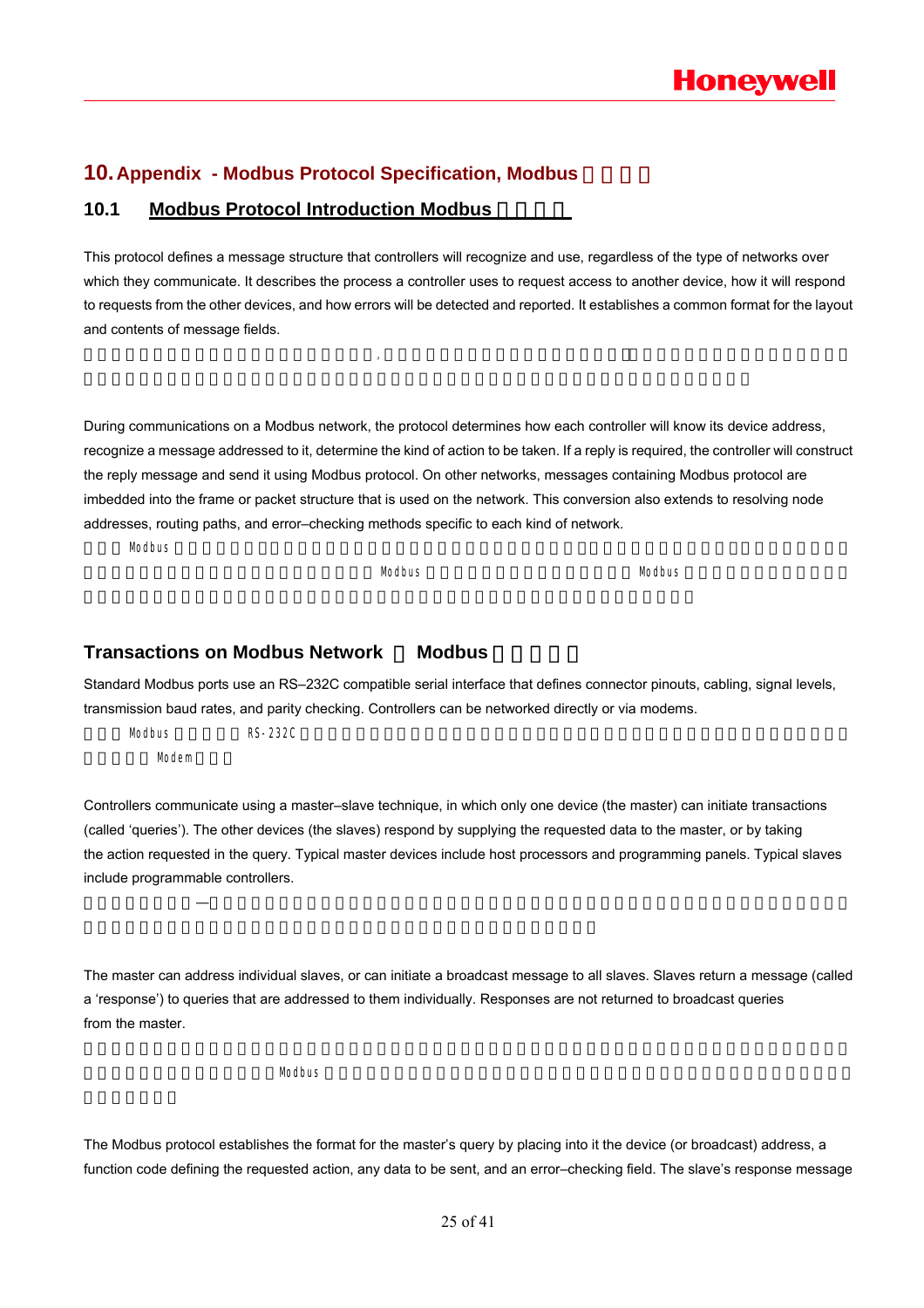### **10. Appendix - Modbus Protocol Specification, Modbus**

### **10.1 Modbus Protocol Introduction Modbus**

This protocol defines a message structure that controllers will recognize and use, regardless of the type of networks over which they communicate. It describes the process a controller uses to request access to another device, how it will respond to requests from the other devices, and how errors will be detected and reported. It establishes a common format for the layout and contents of message fields.

 $\mathcal{M}$ 

During communications on a Modbus network, the protocol determines how each controller will know its device address, recognize a message addressed to it, determine the kind of action to be taken. If a reply is required, the controller will construct the reply message and send it using Modbus protocol. On other networks, messages containing Modbus protocol are imbedded into the frame or packet structure that is used on the network. This conversion also extends to resolving node addresses, routing paths, and error–checking methods specific to each kind of network.

 $M$ odbus  $\blacksquare$ 

 $\blacksquare$ Modbus  $\blacksquare$ Modbus  $\blacksquare$ 

### **Transactions on Modbus Network Modbus**

Standard Modbus ports use an RS–232C compatible serial interface that defines connector pinouts, cabling, signal levels, transmission baud rates, and parity checking. Controllers can be networked directly or via modems.

 $**RS-232C**$ Modem

Controllers communicate using a master–slave technique, in which only one device (the master) can initiate transactions (called 'queries'). The other devices (the slaves) respond by supplying the requested data to the master, or by taking the action requested in the query. Typical master devices include host processors and programming panels. Typical slaves include programmable controllers.

控制器通信使用主—从技术,即仅一设备(主设备)能初始化传输(查询)。其它设备(从设备)根据主设备查询提供的数据

The master can address individual slaves, or can initiate a broadcast message to all slaves. Slaves return a message (called a 'response') to queries that are addressed to them individually. Responses are not returned to broadcast queries from the master.

 $M$ odbus  $\blacksquare$ 

The Modbus protocol establishes the format for the master's query by placing into it the device (or broadcast) address, a function code defining the requested action, any data to be sent, and an error–checking field. The slave's response message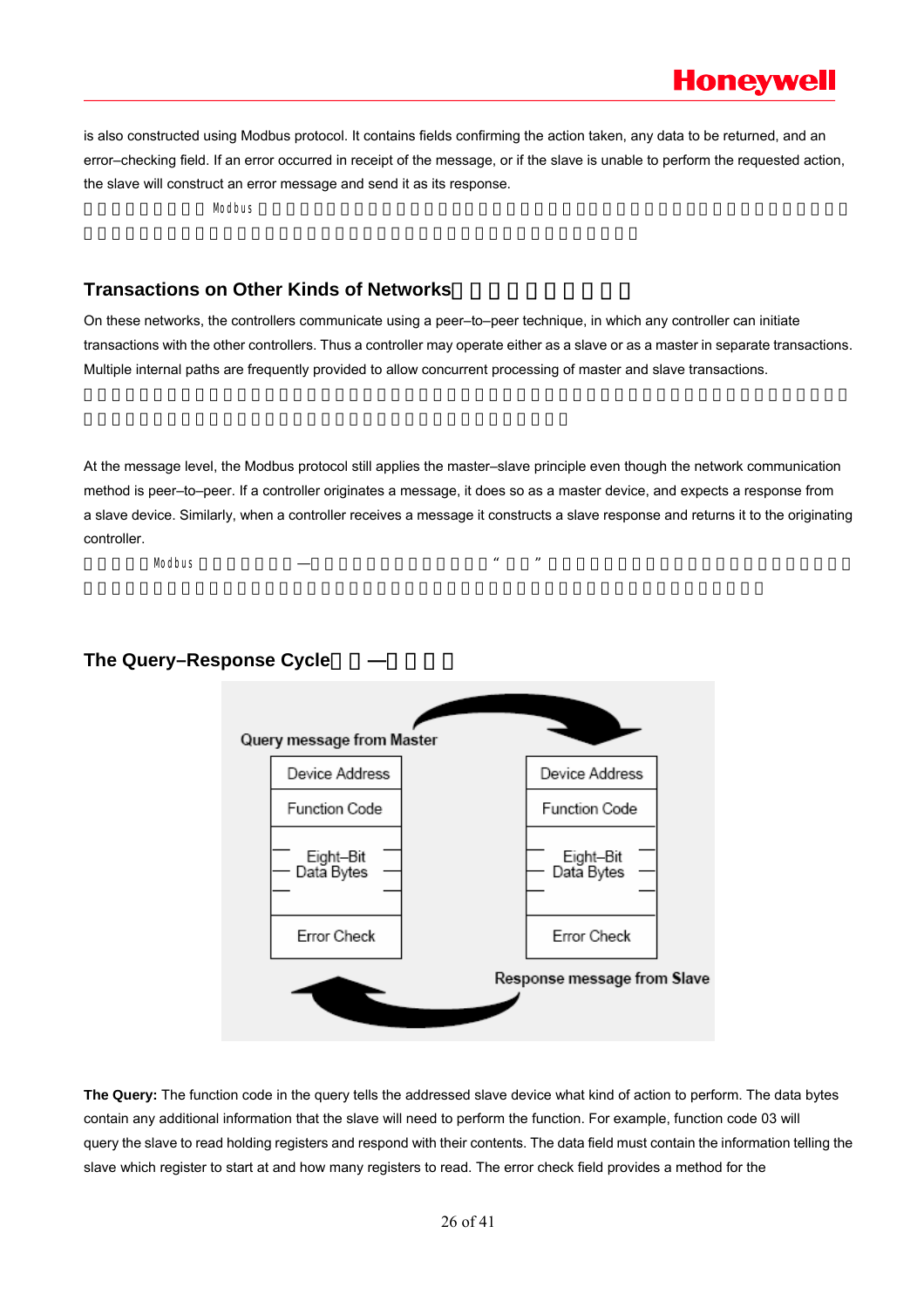is also constructed using Modbus protocol. It contains fields confirming the action taken, any data to be returned, and an error–checking field. If an error occurred in receipt of the message, or if the slave is unable to perform the requested action, the slave will construct an error message and send it as its response.

 $$ 

### **Transactions on Other Kinds of Networks**

On these networks, the controllers communicate using a peer–to–peer technique, in which any controller can initiate transactions with the other controllers. Thus a controller may operate either as a slave or as a master in separate transactions. Multiple internal paths are frequently provided to allow concurrent processing of master and slave transactions.

At the message level, the Modbus protocol still applies the master–slave principle even though the network communication method is peer–to–peer. If a controller originates a message, it does so as a master device, and expects a response from a slave device. Similarly, when a controller receives a message it constructs a slave response and returns it to the originating controller.

 $\text{Modbus}$  and  $\text{Modus}$  and  $\text{Modus}$  and  $\text{Modus}$  and  $\text{Modus}$  and  $\text{Modus}$  and  $\text{Modus}$  and  $\text{Modus}$ 

### **The Query-Response Cycle**



**The Query:** The function code in the query tells the addressed slave device what kind of action to perform. The data bytes contain any additional information that the slave will need to perform the function. For example, function code 03 will query the slave to read holding registers and respond with their contents. The data field must contain the information telling the slave which register to start at and how many registers to read. The error check field provides a method for the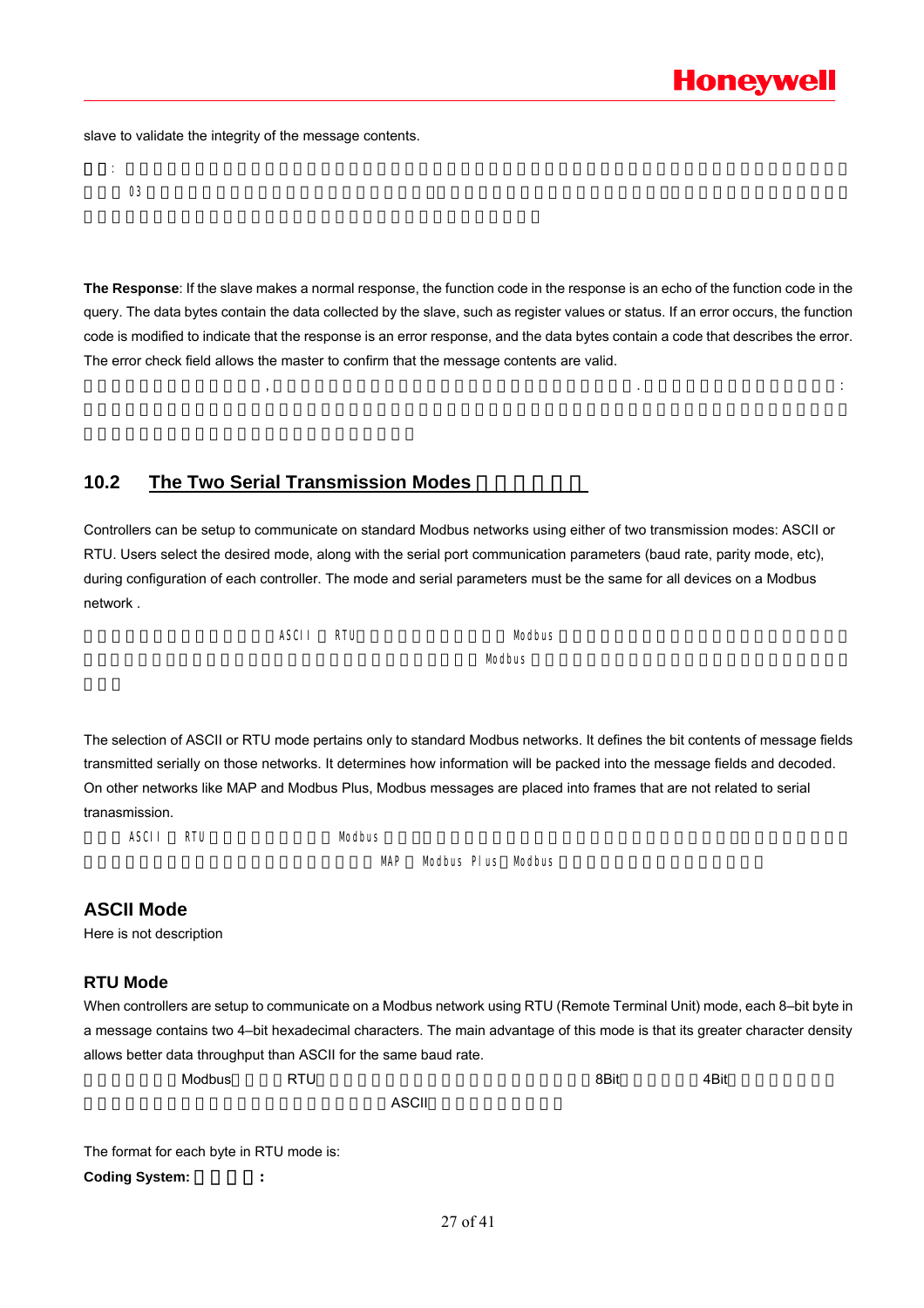slave to validate the integrity of the message contents.

| $\sim$<br>υJ |  |  |  |
|--------------|--|--|--|

**The Response**: If the slave makes a normal response, the function code in the response is an echo of the function code in the query. The data bytes contain the data collected by the slave, such as register values or status. If an error occurs, the function code is modified to indicate that the response is an error response, and the data bytes contain a code that describes the error. The error check field allows the master to confirm that the message contents are valid.

where  $\alpha$  is a set of the contract of the contract of the contract of the contract of the contract of the contract of the contract of the contract of the contract of the contract of the contract of the contract of the co

### 10.2 The Two Serial Transmission Modes

Controllers can be setup to communicate on standard Modbus networks using either of two transmission modes: ASCII or RTU. Users select the desired mode, along with the serial port communication parameters (baud rate, parity mode, etc), during configuration of each controller. The mode and serial parameters must be the same for all devices on a Modbus network .

| .<br>$\overline{\phantom{a}}$<br>$\cdots$<br>9.JU | RTU | ח∩.<br>.             |
|---------------------------------------------------|-----|----------------------|
|                                                   |     | <i>l</i> lodbus<br>. |

The selection of ASCII or RTU mode pertains only to standard Modbus networks. It defines the bit contents of message fields transmitted serially on those networks. It determines how information will be packed into the message fields and decoded. On other networks like MAP and Modbus Plus, Modbus messages are placed into frames that are not related to serial tranasmission.

ASCII RTU 5 Modbus Modbus 2012 The Modbus ASCII RTU

MAP Modbus Plus Modbus

### **ASCII Mode**

Here is not description

### **RTU Mode**

When controllers are setup to communicate on a Modbus network using RTU (Remote Terminal Unit) mode, each 8-bit byte in a message contains two 4–bit hexadecimal characters. The main advantage of this mode is that its greater character density allows better data throughput than ASCII for the same baud rate.

当控制器设为在Modbus RTU 网络上以 (远程终端单元)模式通信,在消息中的每个 字节包含两个 8Bit 4Bit的十六进制字符。  $\overline{A}$ SCII $\overline{A}$ SCII $\overline{A}$ 

The format for each byte in RTU mode is:

Coding System:  $\cdot$  :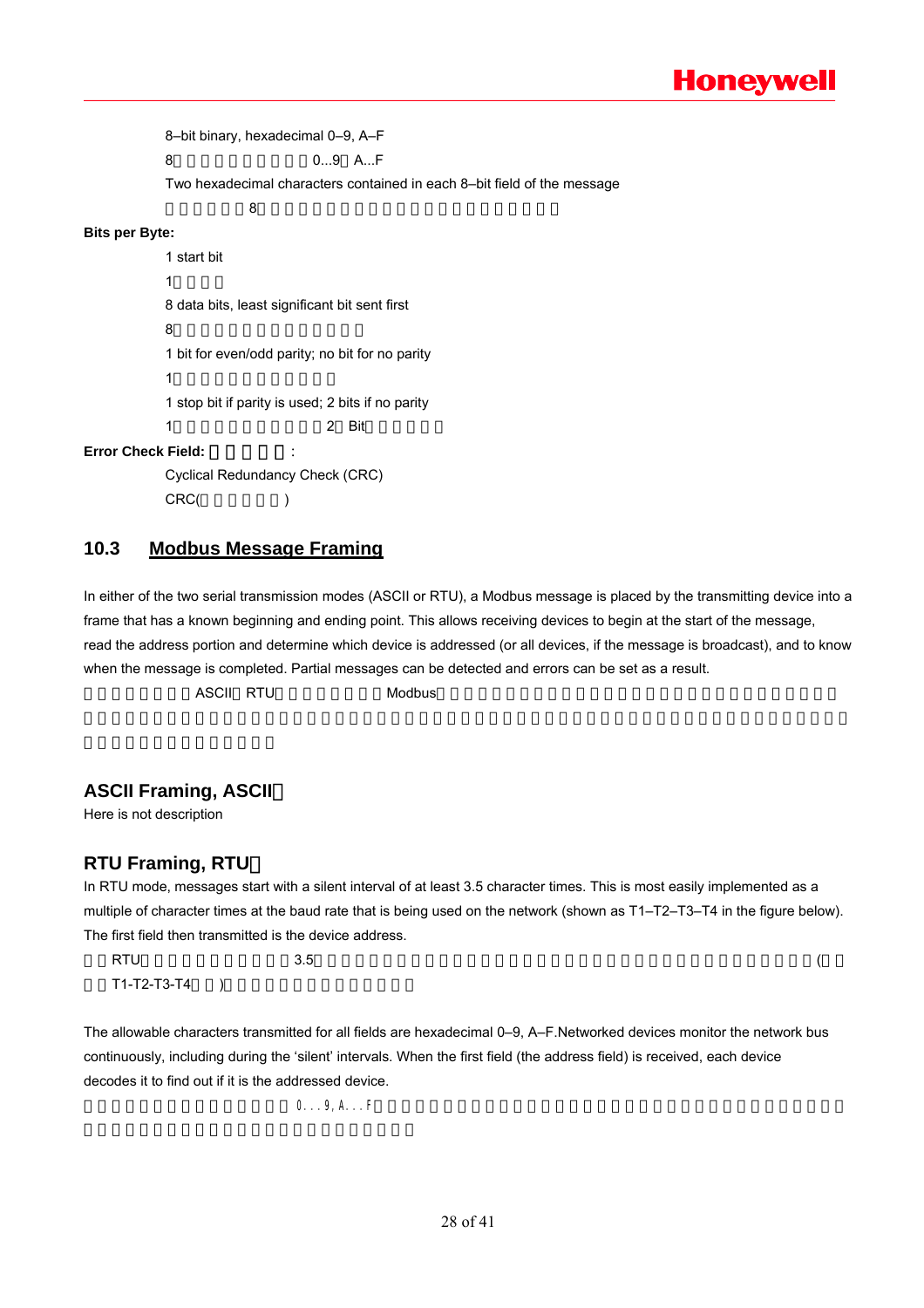8–bit binary, hexadecimal 0–9, A–F 8 0…9 A…F Two hexadecimal characters contained in each 8–bit field of the message  $8$ **Bits per Byte:**  1 start bit 1  $\blacksquare$ 8 data bits, least significant bit sent first  $8<sub>0</sub>$ 1 bit for even/odd parity; no bit for no parity 1 contracts to  $\sim$ 1 stop bit if parity is used; 2 bits if no parity 1 2 Rit

### **Error Check Field:**

Cyclical Redundancy Check (CRC) CRC( )

### **10.3 Modbus Message Framing**

In either of the two serial transmission modes (ASCII or RTU), a Modbus message is placed by the transmitting device into a frame that has a known beginning and ending point. This allows receiving devices to begin at the start of the message, read the address portion and determine which device is addressed (or all devices, if the message is broadcast), and to know when the message is completed. Partial messages can be detected and errors can be set as a result.

 $\,$  ASCII RTU  $\,$  Modbus  $\,$ 

### **ASCII Framing, ASCII**

Here is not description

### **RTU Framing, RTU**

In RTU mode, messages start with a silent interval of at least 3.5 character times. This is most easily implemented as a multiple of character times at the baud rate that is being used on the network (shown as T1–T2–T3–T4 in the figure below). The first field then transmitted is the device address.

 $R T U$  and the contract of  $3.5$  $T1-T2-T3-T4$  )

The allowable characters transmitted for all fields are hexadecimal 0–9, A–F.Networked devices monitor the network bus continuously, including during the 'silent' intervals. When the first field (the address field) is received, each device decodes it to find out if it is the addressed device.

 $0 \ldots 9, A \ldots F$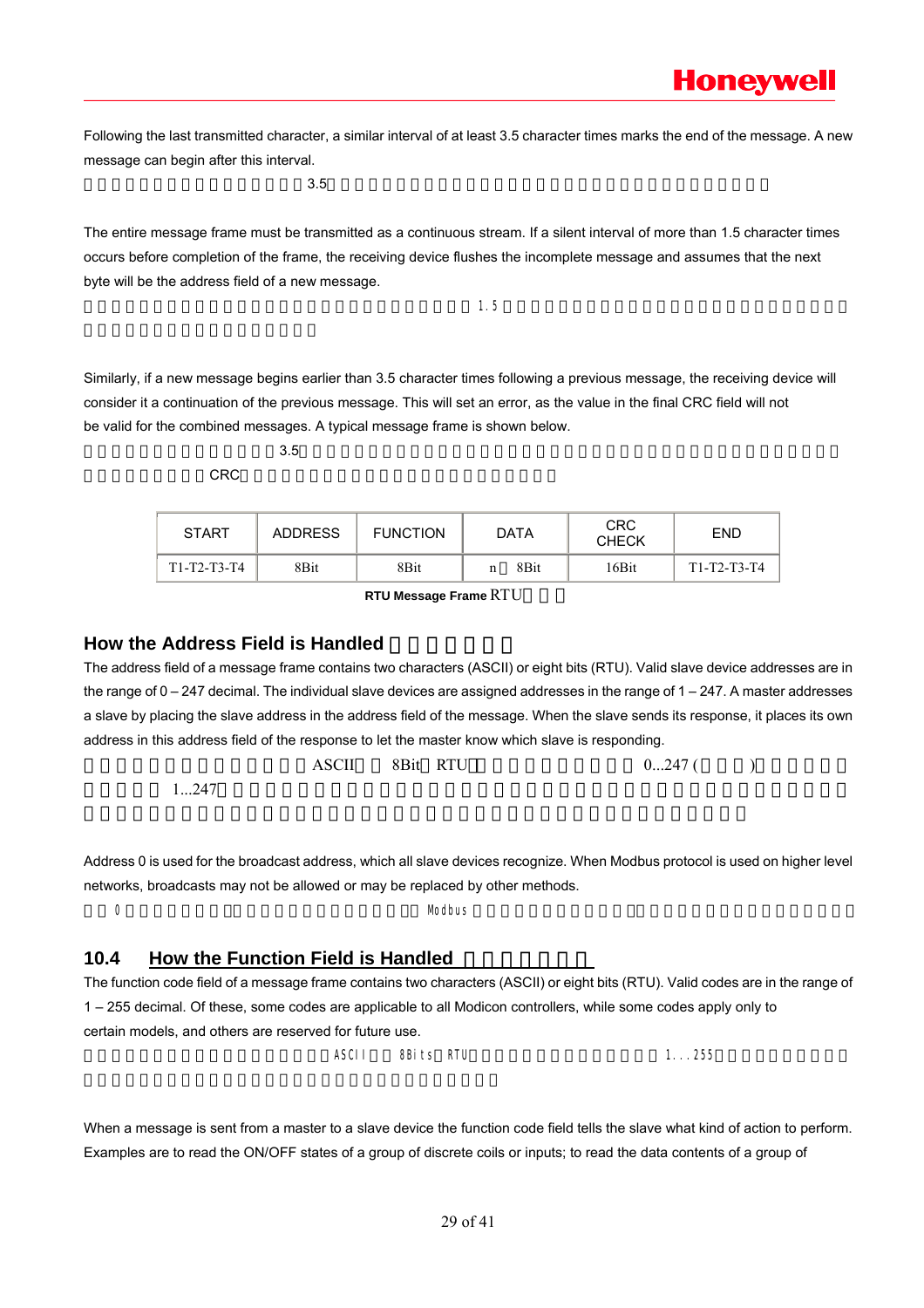Following the last transmitted character, a similar interval of at least 3.5 character times marks the end of the message. A new message can begin after this interval.

 $3.5$ 

The entire message frame must be transmitted as a continuous stream. If a silent interval of more than 1.5 character times occurs before completion of the frame, the receiving device flushes the incomplete message and assumes that the next byte will be the address field of a new message.

 $\sim$  1.5

Similarly, if a new message begins earlier than 3.5 character times following a previous message, the receiving device will consider it a continuation of the previous message. This will set an error, as the value in the final CRC field will not be valid for the combined messages. A typical message frame is shown below.

 $3.5$  $CRC$ 

| <b>START</b>  | <b>ADDRESS</b> | <b>FUNCTION</b> | <b>DATA</b>      | <b>CRC</b><br><b>CHECK</b> | <b>END</b>    |
|---------------|----------------|-----------------|------------------|----------------------------|---------------|
| $T1-T2-T3-T4$ | 8Bit           | 8Bit            | 8 <sub>Bit</sub> | 16Bit                      | $T1-T2-T3-T4$ |

**RTU Message Frame RTU** 

### **How the Address Field is Handled**

The address field of a message frame contains two characters (ASCII) or eight bits (RTU). Valid slave device addresses are in the range of 0 – 247 decimal. The individual slave devices are assigned addresses in the range of 1 – 247. A master addresses a slave by placing the slave address in the address field of the message. When the slave sends its response, it places its own address in this address field of the response to let the master know which slave is responding.

|      | ASCII | 8Bit RTU<br>$\sim$ | $0247$ ( |
|------|-------|--------------------|----------|
| 1247 |       |                    |          |

Address 0 is used for the broadcast address, which all slave devices recognize. When Modbus protocol is used on higher level networks, broadcasts may not be allowed or may be replaced by other methods.

 $0$  example of the contract of the Modbus of Modbus of the  $\mathbb{N}$  Modbus of the  $\mathbb{N}$ 

### **10.4 How the Function Field is Handled**

The function code field of a message frame contains two characters (ASCII) or eight bits (RTU). Valid codes are in the range of 1 – 255 decimal. Of these, some codes are applicable to all Modicon controllers, while some codes apply only to certain models, and others are reserved for future use.

 $\overline{ASCI}$  and  $\overline{BSI}$  between  $\overline{BSI}$  between  $\overline{BSI}$  and  $\overline{BSI}$  and  $\overline{BSI}$  and  $\overline{BSI}$  and  $\overline{BSI}$  and  $\overline{BSI}$  and  $\overline{BSI}$  and  $\overline{BSI}$  and  $\overline{BSI}$  and  $\overline{BSI}$  and  $\overline{BSI}$  and  $\overline{BSI}$  and  $\over$ 

When a message is sent from a master to a slave device the function code field tells the slave what kind of action to perform. Examples are to read the ON/OFF states of a group of discrete coils or inputs; to read the data contents of a group of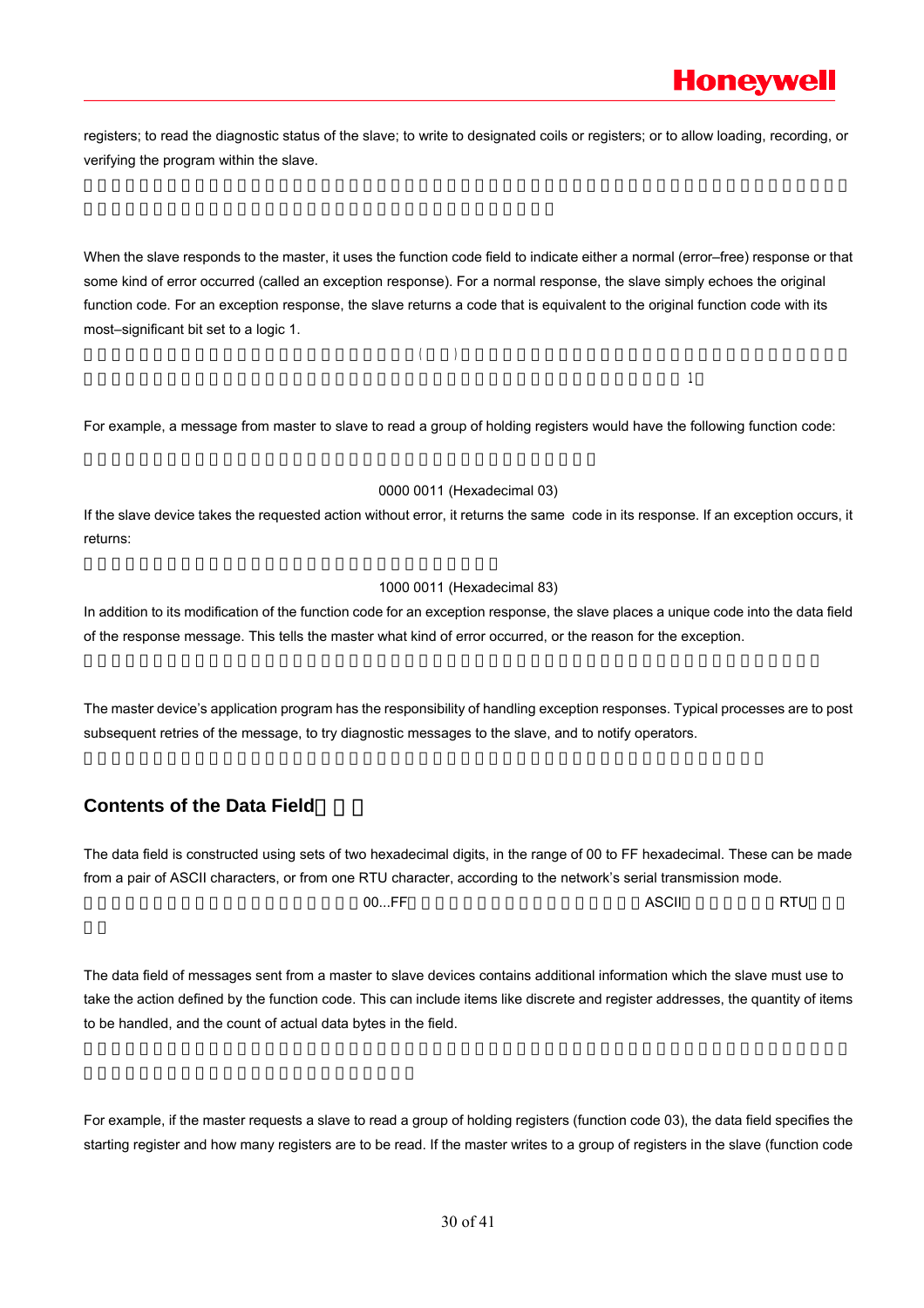registers; to read the diagnostic status of the slave; to write to designated coils or registers; or to allow loading, recording, or verifying the program within the slave.

When the slave responds to the master, it uses the function code field to indicate either a normal (error–free) response or that some kind of error occurred (called an exception response). For a normal response, the slave simply echoes the original function code. For an exception response, the slave returns a code that is equivalent to the original function code with its most–significant bit set to a logic 1.

 $\left(\begin{array}{c}\right)\end{array}$ 

 $\Box$ 

For example, a message from master to slave to read a group of holding registers would have the following function code:

### 0000 0011 (Hexadecimal 03)

If the slave device takes the requested action without error, it returns the same code in its response. If an exception occurs, it returns:

### 1000 0011 (Hexadecimal 83)

In addition to its modification of the function code for an exception response, the slave places a unique code into the data field of the response message. This tells the master what kind of error occurred, or the reason for the exception.

The master device's application program has the responsibility of handling exception responses. Typical processes are to post subsequent retries of the message, to try diagnostic messages to the slave, and to notify operators.

### **Contents of the Data Field**

The data field is constructed using sets of two hexadecimal digits, in the range of 00 to FF hexadecimal. These can be made from a pair of ASCII characters, or from one RTU character, according to the network's serial transmission mode. 数据域是由两个十六进制数集合构成的,范围00...FF。根据网络传输模式,这可以是由一对 字符组成或由一 字符组 ASCII RTU

The data field of messages sent from a master to slave devices contains additional information which the slave must use to take the action defined by the function code. This can include items like discrete and register addresses, the quantity of items to be handled, and the count of actual data bytes in the field.

For example, if the master requests a slave to read a group of holding registers (function code 03), the data field specifies the starting register and how many registers are to be read. If the master writes to a group of registers in the slave (function code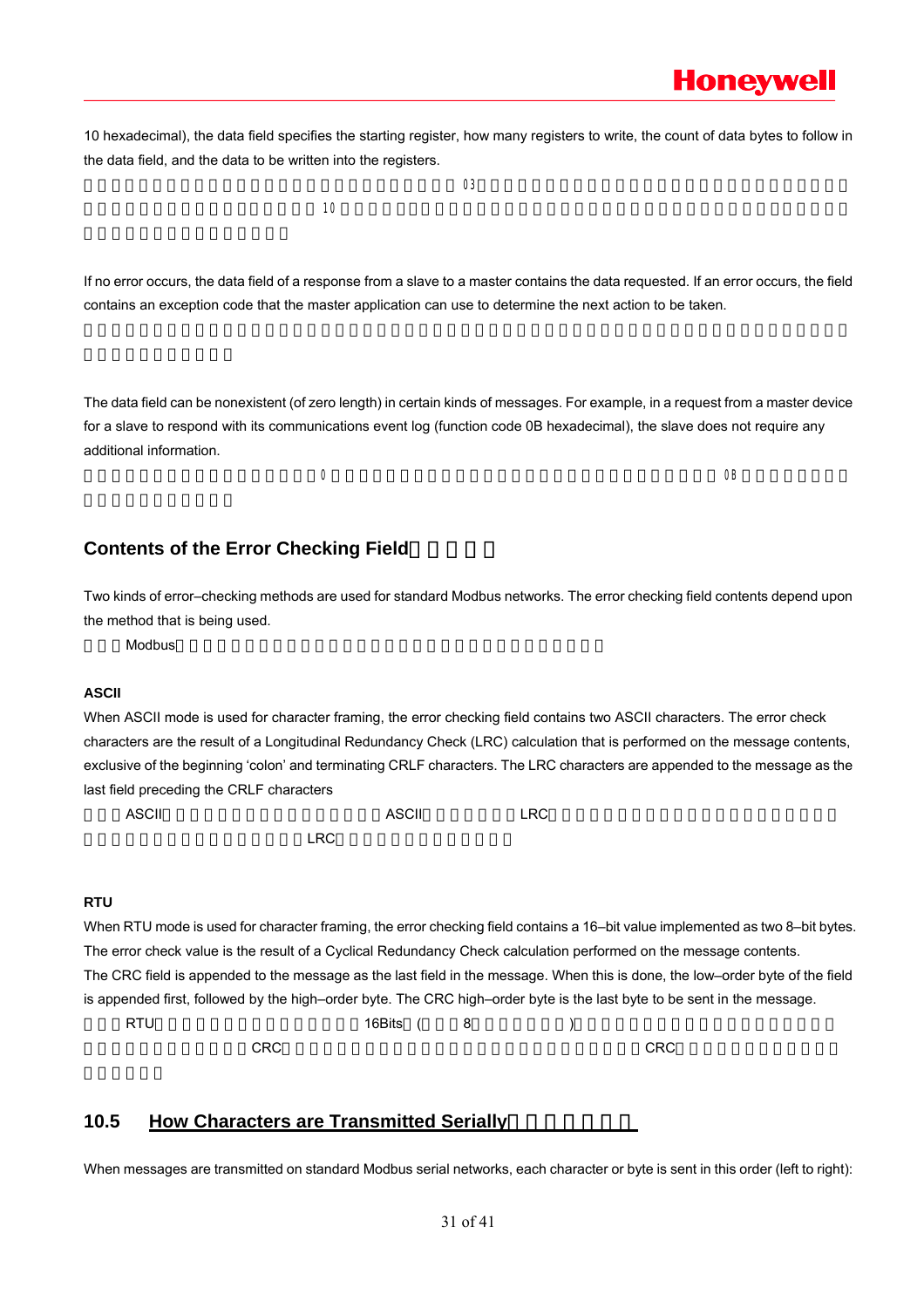10 hexadecimal), the data field specifies the starting register, how many registers to write, the count of data bytes to follow in the data field, and the data to be written into the registers.

 $03$  $\sim$  10  $\sim$ 

If no error occurs, the data field of a response from a slave to a master contains the data requested. If an error occurs, the field contains an exception code that the master application can use to determine the next action to be taken.

The data field can be nonexistent (of zero length) in certain kinds of messages. For example, in a request from a master device for a slave to respond with its communications event log (function code 0B hexadecimal), the slave does not require any additional information.

 $0$  GB

### **Contents of the Error Checking Field**

Two kinds of error–checking methods are used for standard Modbus networks. The error checking field contents depend upon the method that is being used.

标准的Modbus网络有两种错误检测方法。错误检测域的内容视所选的检测方法而定。

### **ASCII**

When ASCII mode is used for character framing, the error checking field contains two ASCII characters. The error check characters are the result of a Longitudinal Redundancy Check (LRC) calculation that is performed on the message contents, exclusive of the beginning 'colon' and terminating CRLF characters. The LRC characters are appended to the message as the last field preceding the CRLF characters

当选用ASCII模式作字符帧,错误检测域包含两个 字符。这是使用 (纵向冗长检测)方法对消息内容计算得出的, ASCII LRC

 $R$ <sub>a</sub>  $R$ <sub>n</sub>  $R$ <sub>n</sub>  $R$ <sub>n</sub>  $R$ <sub>n</sub>  $R$ <sub>n</sub>  $R$ <sub>n</sub>  $R$ <sub>n</sub>  $R$ <sub>n</sub>  $R$ <sub>n</sub>  $R$ <sub>n</sub>  $R$ <sub>n</sub>  $R$ <sub>n</sub>  $R$ <sub>n</sub>  $R$ <sub>n</sub>  $R$ <sub>n</sub>  $R$ <sub>n</sub>  $R$ <sub>n</sub>  $R$ <sub>n</sub>  $R$ <sub>n</sub>  $R$ <sub>n</sub>  $R$ <sub>n</sub>  $R$ <sub>n</sub>  $R$ <sub>n</sub>  $R$ <sub>n</sub>  $R$ <sub>n</sub>  $R$ <sub>n</sub>  $R$ <sub>n</sub>  $R$ <sub>n</sub>  $R$ <sub>n</sub>  $R$ <sub>n</sub>  $R$ <sub></sub>

### **RTU**

When RTU mode is used for character framing, the error checking field contains a 16–bit value implemented as two 8–bit bytes. The error check value is the result of a Cyclical Redundancy Check calculation performed on the message contents. The CRC field is appended to the message as the last field in the message. When this is done, the low–order byte of the field is appended first, followed by the high–order byte. The CRC high–order byte is the last byte to be sent in the message.

ext run and the control of the control of the following the control of the control of the control of the control of the control of the control of the control of the control of the control of the control of the control of  $C$ RC $C$ 

### 10.5 How Characters are Transmitted Serially

When messages are transmitted on standard Modbus serial networks, each character or byte is sent in this order (left to right):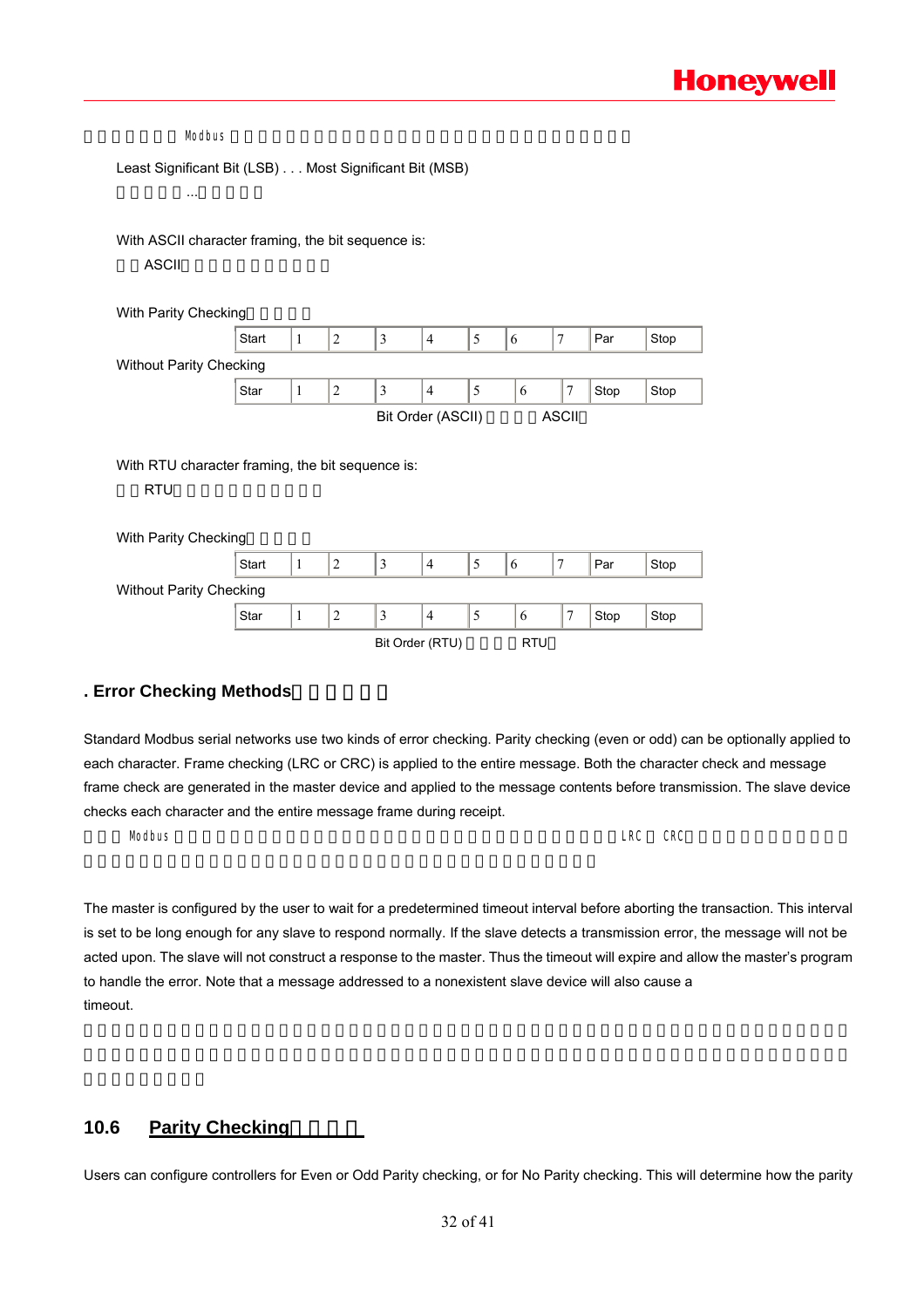| Least Significant Bit (LSB) Most Significant Bit (MSB)         |       |              |                |                |                   |   |   |                |      |      |
|----------------------------------------------------------------|-------|--------------|----------------|----------------|-------------------|---|---|----------------|------|------|
| $\cdots$                                                       |       |              |                |                |                   |   |   |                |      |      |
|                                                                |       |              |                |                |                   |   |   |                |      |      |
| With ASCII character framing, the bit sequence is:             |       |              |                |                |                   |   |   |                |      |      |
| <b>ASCII</b>                                                   |       |              |                |                |                   |   |   |                |      |      |
|                                                                |       |              |                |                |                   |   |   |                |      |      |
| With Parity Checking                                           |       |              |                |                |                   |   |   |                |      |      |
|                                                                | Start | $\mathbf{1}$ | $\overline{2}$ | $\mathfrak{Z}$ | $\overline{4}$    | 5 | 6 | $\tau$         | Par  | Stop |
| <b>Without Parity Checking</b>                                 |       |              |                |                |                   |   |   |                |      |      |
|                                                                |       |              |                |                |                   |   |   |                |      |      |
|                                                                | Star  | $\mathbf{1}$ | $\overline{2}$ | $\mathfrak{Z}$ | $\overline{4}$    | 5 | 6 | 7              | Stop | Stop |
|                                                                |       |              |                |                | Bit Order (ASCII) |   |   | <b>ASCII</b>   |      |      |
|                                                                |       |              |                |                |                   |   |   |                |      |      |
|                                                                |       |              |                |                |                   |   |   |                |      |      |
| With RTU character framing, the bit sequence is:<br><b>RTU</b> |       |              |                |                |                   |   |   |                |      |      |
|                                                                |       |              |                |                |                   |   |   |                |      |      |
| With Parity Checking                                           |       |              |                |                |                   |   |   |                |      |      |
|                                                                | Start | $\mathbf{1}$ | $\overline{2}$ | $\mathfrak{Z}$ | $\overline{4}$    | 5 | 6 | $\overline{7}$ | Par  | Stop |
| Without Parity Checking                                        |       |              |                |                |                   |   |   |                |      |      |

### **. Error Checking Methods**错误检测方法

Standard Modbus serial networks use two kinds of error checking. Parity checking (even or odd) can be optionally applied to each character. Frame checking (LRC or CRC) is applied to the entire message. Both the character check and message frame check are generated in the master device and applied to the message contents before transmission. The slave device checks each character and the entire message frame during receipt.

 $\blacksquare$ Modbus  $\blacksquare$ 

The master is configured by the user to wait for a predetermined timeout interval before aborting the transaction. This interval is set to be long enough for any slave to respond normally. If the slave detects a transmission error, the message will not be acted upon. The slave will not construct a response to the master. Thus the timeout will expire and allow the master's program to handle the error. Note that a message addressed to a nonexistent slave device will also cause a timeout.

### **10.6 Parity Checking**

Users can configure controllers for Even or Odd Parity checking, or for No Parity checking. This will determine how the parity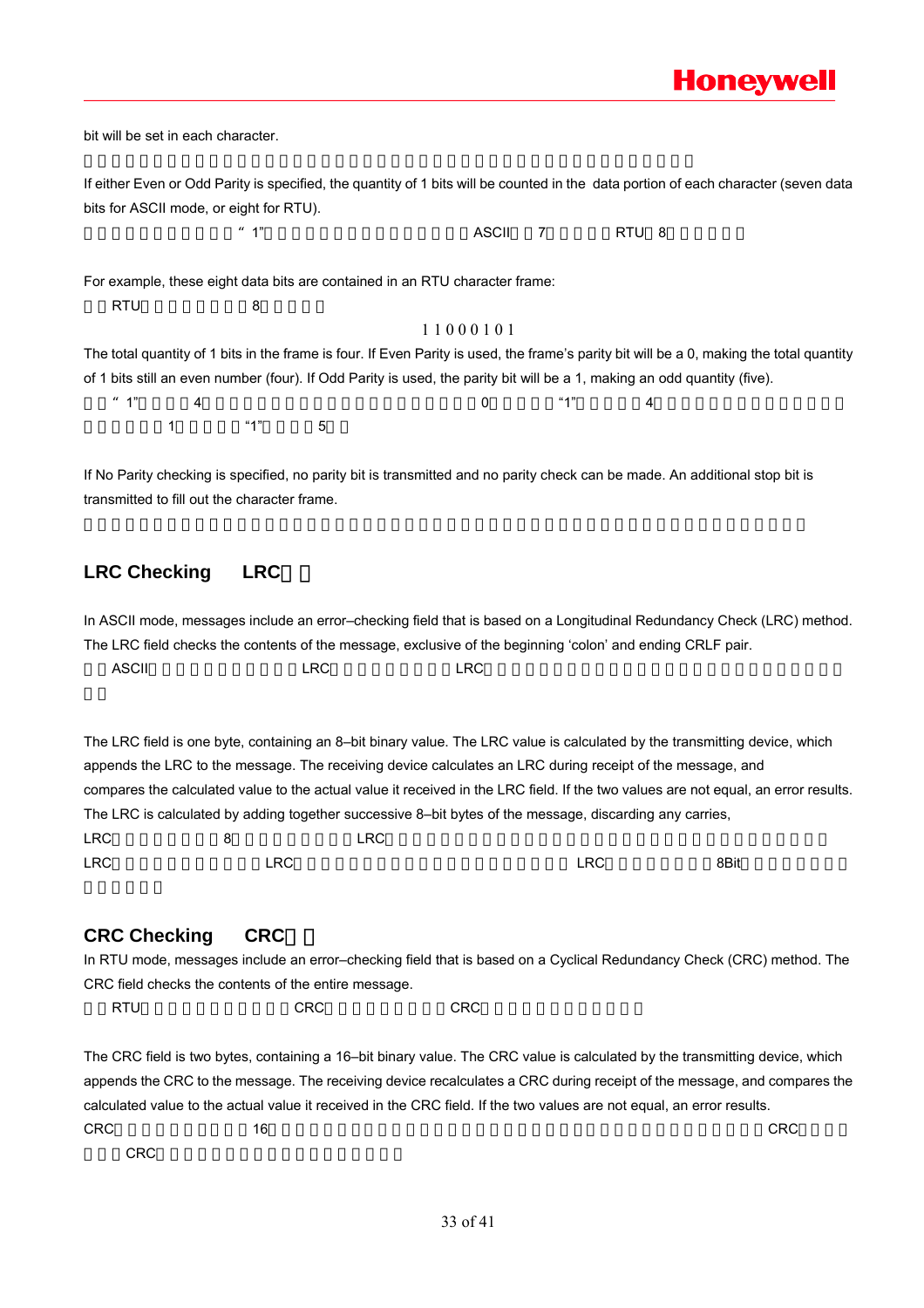bit will be set in each character.

If either Even or Odd Parity is specified, the quantity of 1 bits will be counted in the data portion of each character (seven data bits for ASCII mode, or eight for RTU).

如果指定了奇或偶校验,"1"的位数将算到每个字符的位数中(ASCII模式7个数据位,RTU 8个数据位)。 For example, these eight data bits are contained in an RTU character frame: RTU 8 1 1 0 0 0 1 0 1 The total quantity of 1 bits in the frame is four. If Even Parity is used, the frame's parity bit will be a 0, making the total quantity of 1 bits still an even number (four). If Odd Parity is used, the parity bit will be a 1, making an odd quantity (five).  $*$  1" a 4 a  $0$   $*$  1" a  $4$  $1$  "1"  $5$ 

If No Parity checking is specified, no parity bit is transmitted and no parity check can be made. An additional stop bit is transmitted to fill out the character frame.

### LRC Checking LRC

In ASCII mode, messages include an error–checking field that is based on a Longitudinal Redundancy Check (LRC) method. The LRC field checks the contents of the message, exclusive of the beginning 'colon' and ending CRLF pair.  $\,$ ASCII $\,$ 

The LRC field is one byte, containing an 8–bit binary value. The LRC value is calculated by the transmitting device, which appends the LRC to the message. The receiving device calculates an LRC during receipt of the message, and compares the calculated value to the actual value it received in the LRC field. If the two values are not equal, an error results. The LRC is calculated by adding together successive 8–bit bytes of the message, discarding any carries, LRC a  $8$  LRC  $\overline{R}$  $LRC$  ,  $LRC$  ,  $LRC$  ,  $LRC$  ,  $LRC$  ,  $RCC$  ,  $8Bit$ 

### **CRC Checking CRC**

In RTU mode, messages include an error–checking field that is based on a Cyclical Redundancy Check (CRC) method. The CRC field checks the contents of the entire message.

ext diffusive diffusive cross of the cross of cross of the cross of the cross of the cross of the cross of the

The CRC field is two bytes, containing a 16–bit binary value. The CRC value is calculated by the transmitting device, which appends the CRC to the message. The receiving device recalculates a CRC during receipt of the message, and compares the calculated value to the actual value it received in the CRC field. If the two values are not equal, an error results.  $\text{CRC}$  and the created the created three created three created terms created three created terms created three created terms of  $\text{CRC}$ 收到的CRC域中的值比较,如果两值不同,则有误。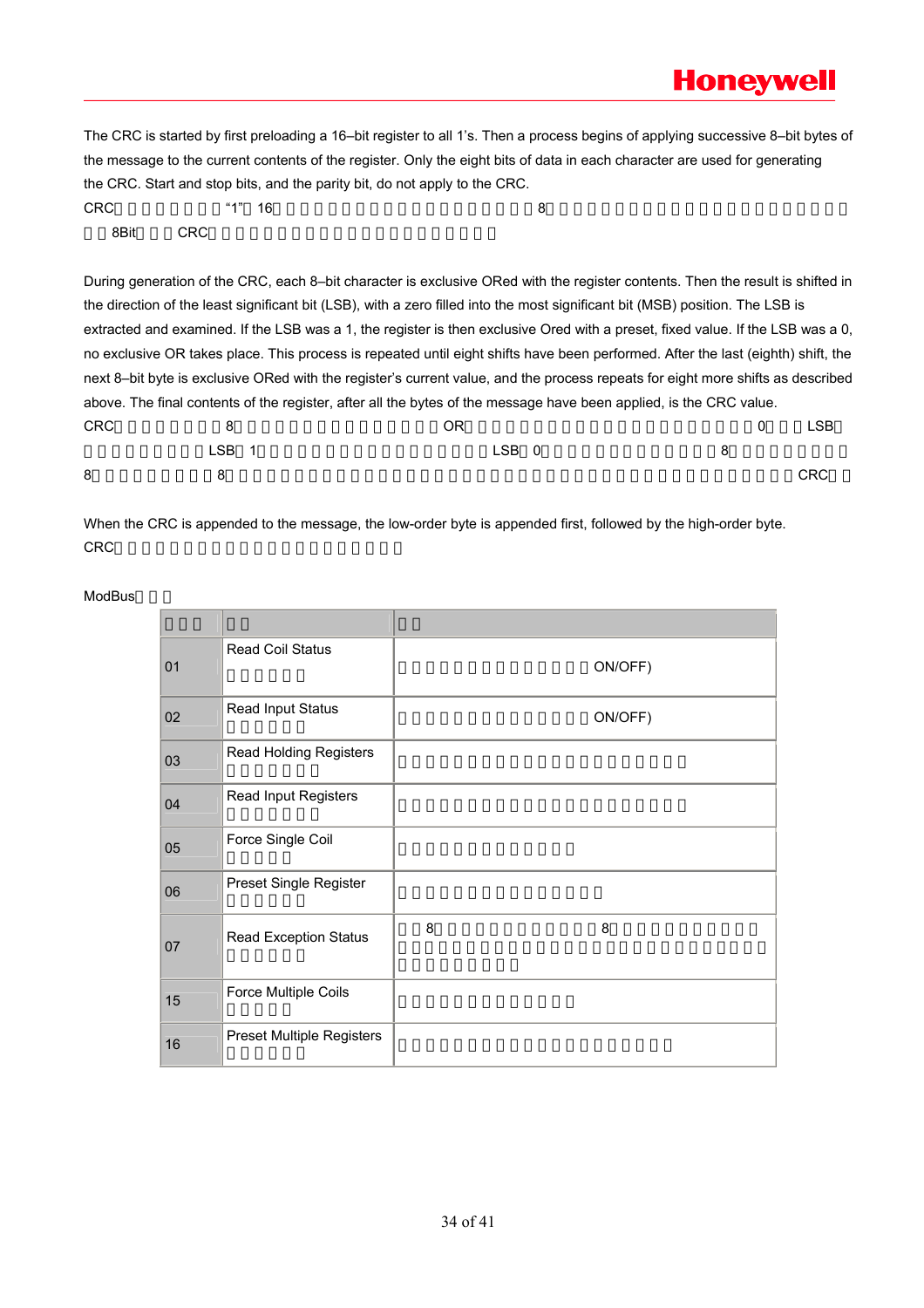The CRC is started by first preloading a 16–bit register to all 1's. Then a process begins of applying successive 8–bit bytes of the message to the current contents of the register. Only the eight bits of data in each character are used for generating the CRC. Start and stop bits, and the parity bit, do not apply to the CRC.

|            |            | the UNU. Start and Stup bits, and the panty bit, during apply to the UNU.                                                        |              |            |
|------------|------------|----------------------------------------------------------------------------------------------------------------------------------|--------------|------------|
| <b>CRC</b> | " $1"$ 16  | 8                                                                                                                                |              |            |
| 8Bit       | <b>CRC</b> |                                                                                                                                  |              |            |
|            |            |                                                                                                                                  |              |            |
|            |            | During generation of the CRC, each 8-bit character is exclusive ORed with the register contents. Then the result is shifted in   |              |            |
|            |            | the direction of the least significant bit (LSB), with a zero filled into the most significant bit (MSB) position. The LSB is    |              |            |
|            |            | extracted and examined. If the LSB was a 1, the register is then exclusive Ored with a preset, fixed value. If the LSB was a 0,  |              |            |
|            |            | no exclusive OR takes place. This process is repeated until eight shifts have been performed. After the last (eighth) shift, the |              |            |
|            |            | next 8-bit byte is exclusive ORed with the register's current value, and the process repeats for eight more shifts as described  |              |            |
|            |            | above. The final contents of the register, after all the bytes of the message have been applied, is the CRC value.               |              |            |
| <b>CRC</b> | 8          | OR.                                                                                                                              | $\mathbf{0}$ | <b>LSB</b> |
|            | LSB<br>-1  | LSB 0                                                                                                                            | 8            |            |
| 8          | 8          |                                                                                                                                  |              | <b>CRC</b> |

When the CRC is appended to the message, the low-order byte is appended first, followed by the high-order byte. CRC

| 01 | Read Coil Status                 |   | ON/OFF) |
|----|----------------------------------|---|---------|
| 02 | Read Input Status                |   | ON/OFF) |
| 03 | Read Holding Registers           |   |         |
| 04 | Read Input Registers             |   |         |
| 05 | Force Single Coil                |   |         |
| 06 | Preset Single Register           |   |         |
| 07 | Read Exception Status            | 8 | 8       |
| 15 | Force Multiple Coils             |   |         |
| 16 | <b>Preset Multiple Registers</b> |   |         |

ModBus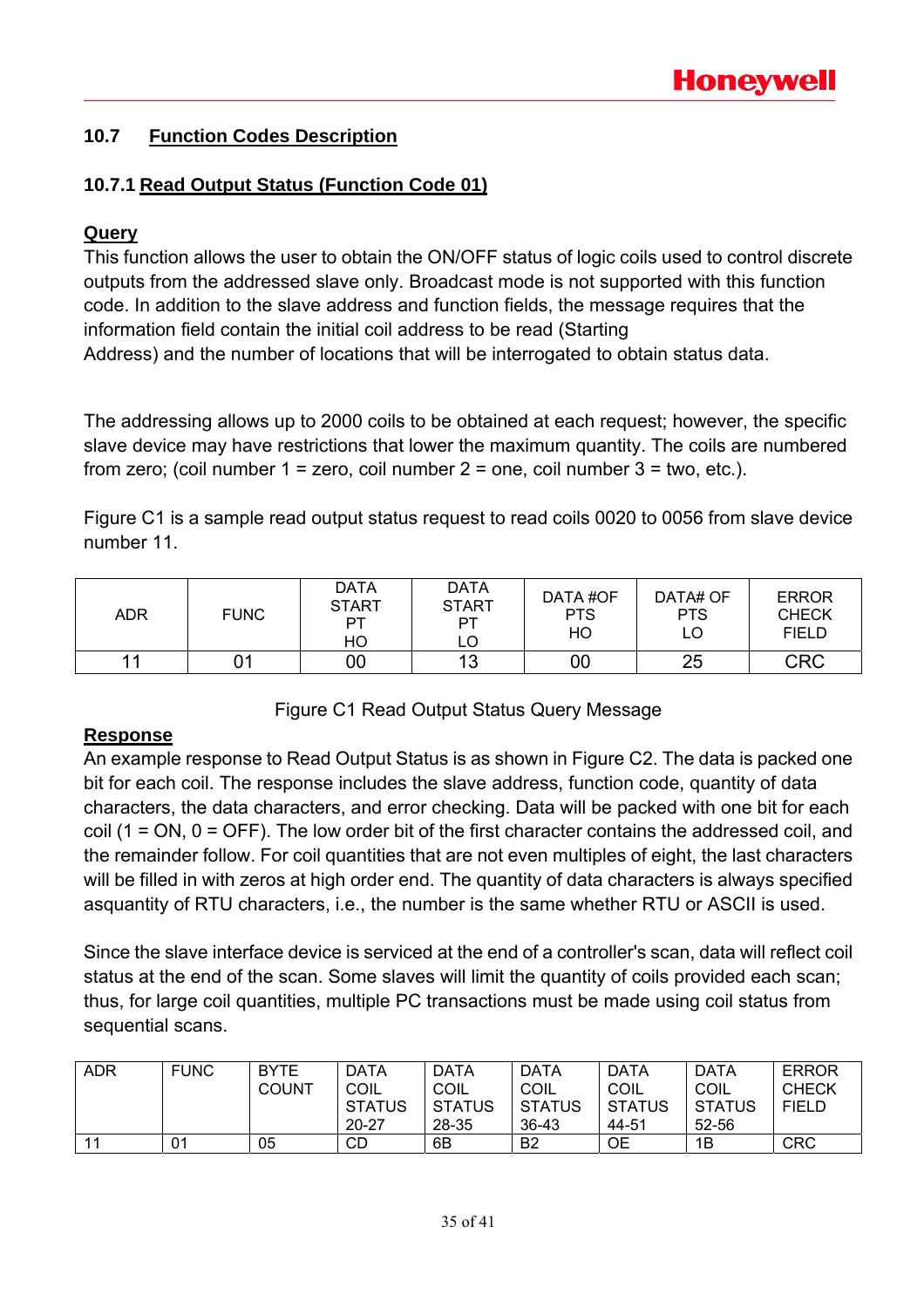### **10.7 Function Codes Description**

### **10.7.1 Read Output Status (Function Code 01)**

### **Query**

This function allows the user to obtain the ON/OFF status of logic coils used to control discrete outputs from the addressed slave only. Broadcast mode is not supported with this function code. In addition to the slave address and function fields, the message requires that the information field contain the initial coil address to be read (Starting Address) and the number of locations that will be interrogated to obtain status data.

The addressing allows up to 2000 coils to be obtained at each request; however, the specific slave device may have restrictions that lower the maximum quantity. The coils are numbered from zero; (coil number  $1 =$  zero, coil number  $2 =$  one, coil number  $3 =$  two, etc.).

Figure C1 is a sample read output status request to read coils 0020 to 0056 from slave device number 11.

| ADR | <b>FUNC</b> | <b>DATA</b><br><b>START</b><br>PT<br>HO | <b>DATA</b><br><b>START</b><br>PТ<br>LO | DATA #OF<br><b>PTS</b><br>HO | DATA# OF<br><b>PTS</b><br>LO | <b>ERROR</b><br><b>CHECK</b><br><b>FIELD</b> |
|-----|-------------|-----------------------------------------|-----------------------------------------|------------------------------|------------------------------|----------------------------------------------|
|     |             | 00                                      | 13                                      | 00                           | 25                           | <b>CRC</b>                                   |

Figure C1 Read Output Status Query Message

### **Response**

An example response to Read Output Status is as shown in Figure C2. The data is packed one bit for each coil. The response includes the slave address, function code, quantity of data characters, the data characters, and error checking. Data will be packed with one bit for each coil (1 = ON, 0 = OFF). The low order bit of the first character contains the addressed coil, and the remainder follow. For coil quantities that are not even multiples of eight, the last characters will be filled in with zeros at high order end. The quantity of data characters is always specified asquantity of RTU characters, i.e., the number is the same whether RTU or ASCII is used.

Since the slave interface device is serviced at the end of a controller's scan, data will reflect coil status at the end of the scan. Some slaves will limit the quantity of coils provided each scan; thus, for large coil quantities, multiple PC transactions must be made using coil status from sequential scans.

| <b>ADR</b> | <b>FUNC</b> | <b>BYTE</b><br><b>COUNT</b> | <b>DATA</b><br>COIL<br><b>STATUS</b> | <b>DATA</b><br>COIL<br><b>STATUS</b> | <b>DATA</b><br>COIL<br><b>STATUS</b> | <b>DATA</b><br>COIL<br><b>STATUS</b> | <b>DATA</b><br>COIL<br><b>STATUS</b> | <b>ERROR</b><br><b>CHECK</b><br><b>FIELD</b> |
|------------|-------------|-----------------------------|--------------------------------------|--------------------------------------|--------------------------------------|--------------------------------------|--------------------------------------|----------------------------------------------|
|            |             |                             | $20 - 27$                            | 28-35                                | 36-43                                | 44-51                                | 52-56                                |                                              |
| $-11$      | 01          | 05                          | CD                                   | 6B                                   | B <sub>2</sub>                       | ОE                                   | 1B                                   | <b>CRC</b>                                   |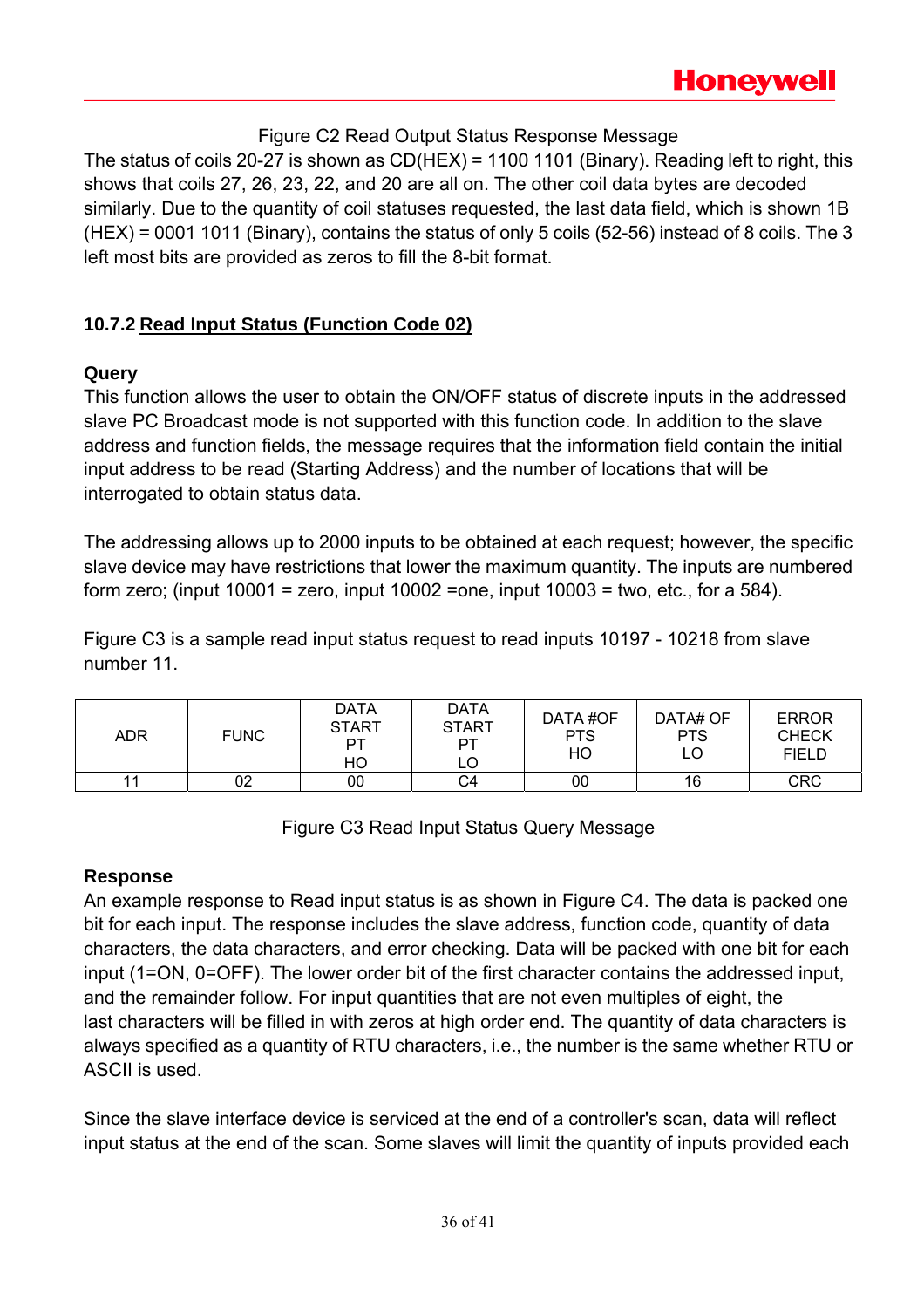### Figure C2 Read Output Status Response Message

The status of coils 20-27 is shown as CD(HEX) = 1100 1101 (Binary). Reading left to right, this shows that coils 27, 26, 23, 22, and 20 are all on. The other coil data bytes are decoded similarly. Due to the quantity of coil statuses requested, the last data field, which is shown 1B (HEX) = 0001 1011 (Binary), contains the status of only 5 coils (52-56) instead of 8 coils. The 3 left most bits are provided as zeros to fill the 8-bit format.

### **10.7.2 Read Input Status (Function Code 02)**

### **Query**

This function allows the user to obtain the ON/OFF status of discrete inputs in the addressed slave PC Broadcast mode is not supported with this function code. In addition to the slave address and function fields, the message requires that the information field contain the initial input address to be read (Starting Address) and the number of locations that will be interrogated to obtain status data.

The addressing allows up to 2000 inputs to be obtained at each request; however, the specific slave device may have restrictions that lower the maximum quantity. The inputs are numbered form zero; (input  $10001$  = zero, input  $10002$  =one, input  $10003$  = two, etc., for a 584).

Figure C3 is a sample read input status request to read inputs 10197 - 10218 from slave number 11.

| <b>ADR</b> | <b>FUNC</b> | <b>DATA</b><br><b>START</b><br>РT<br>HO | <b>DATA</b><br><b>START</b><br>PT<br>LO | DATA #OF<br><b>PTS</b><br>HO | DATA# OF<br><b>PTS</b><br>LO | <b>ERROR</b><br><b>CHECK</b><br><b>FIELD</b> |
|------------|-------------|-----------------------------------------|-----------------------------------------|------------------------------|------------------------------|----------------------------------------------|
| 11         | 02          | 00                                      | C4                                      | 00                           | 16                           | <b>CRC</b>                                   |

Figure C3 Read Input Status Query Message

### **Response**

An example response to Read input status is as shown in Figure C4. The data is packed one bit for each input. The response includes the slave address, function code, quantity of data characters, the data characters, and error checking. Data will be packed with one bit for each input (1=ON, 0=OFF). The lower order bit of the first character contains the addressed input, and the remainder follow. For input quantities that are not even multiples of eight, the last characters will be filled in with zeros at high order end. The quantity of data characters is always specified as a quantity of RTU characters, i.e., the number is the same whether RTU or ASCII is used.

Since the slave interface device is serviced at the end of a controller's scan, data will reflect input status at the end of the scan. Some slaves will limit the quantity of inputs provided each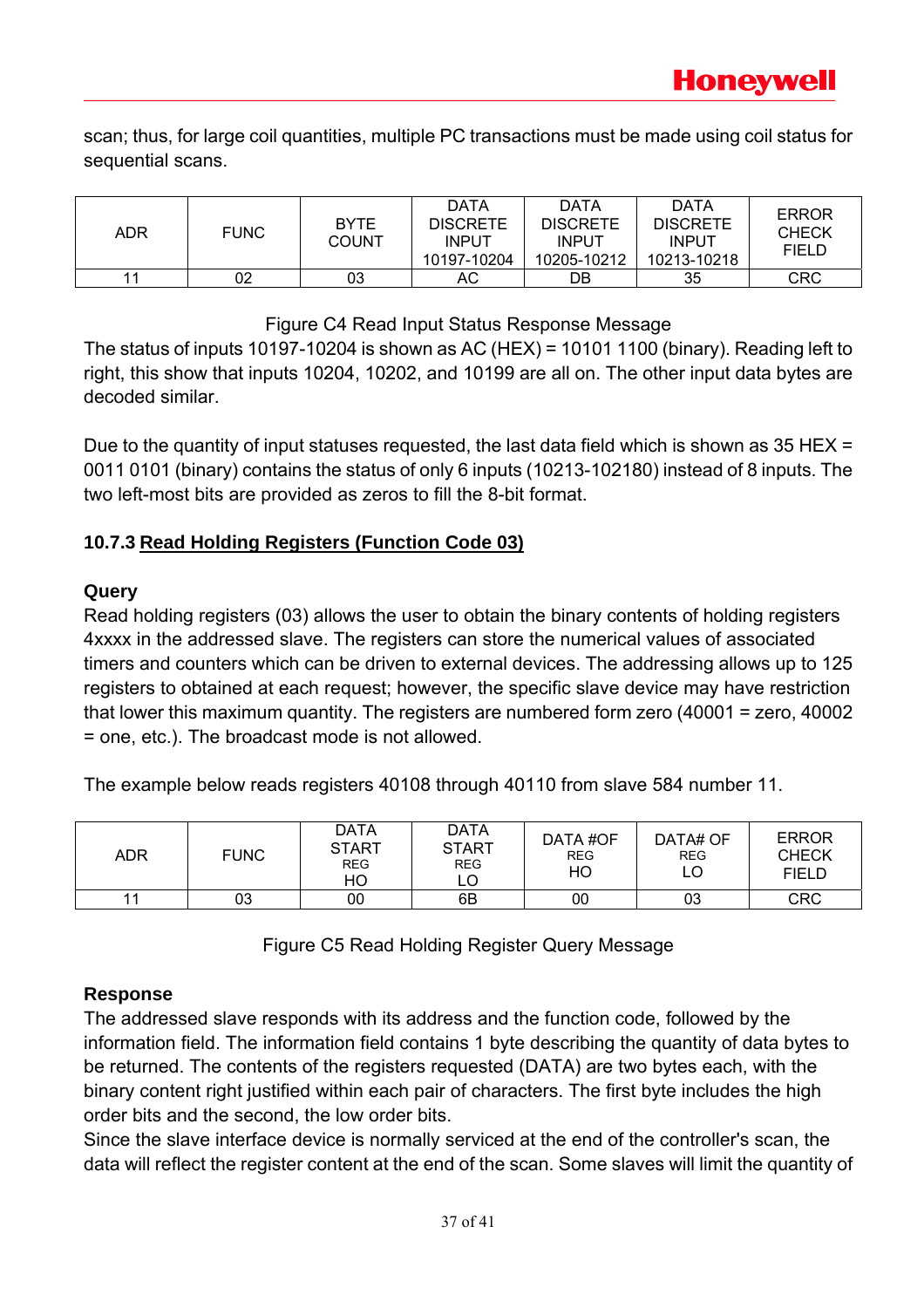scan; thus, for large coil quantities, multiple PC transactions must be made using coil status for sequential scans.

| <b>ADR</b> | <b>FUNC</b> | <b>BYTE</b><br><b>COUNT</b> | DATA<br><b>DISCRETE</b><br><b>INPUT</b><br>10197-10204 | <b>DATA</b><br><b>DISCRETE</b><br><b>INPUT</b><br>10205-10212 | DATA<br><b>DISCRETE</b><br><b>INPUT</b><br>10213-10218 | <b>ERROR</b><br><b>CHECK</b><br><b>FIELD</b> |
|------------|-------------|-----------------------------|--------------------------------------------------------|---------------------------------------------------------------|--------------------------------------------------------|----------------------------------------------|
| 11         | 02          | 03                          | АC                                                     | DB                                                            | 35                                                     | CRC                                          |

### Figure C4 Read Input Status Response Message

The status of inputs 10197-10204 is shown as AC (HEX) = 10101 1100 (binary). Reading left to right, this show that inputs 10204, 10202, and 10199 are all on. The other input data bytes are decoded similar.

Due to the quantity of input statuses requested, the last data field which is shown as 35 HEX = 0011 0101 (binary) contains the status of only 6 inputs (10213-102180) instead of 8 inputs. The two left-most bits are provided as zeros to fill the 8-bit format.

### **10.7.3 Read Holding Registers (Function Code 03)**

### **Query**

Read holding registers (03) allows the user to obtain the binary contents of holding registers 4xxxx in the addressed slave. The registers can store the numerical values of associated timers and counters which can be driven to external devices. The addressing allows up to 125 registers to obtained at each request; however, the specific slave device may have restriction that lower this maximum quantity. The registers are numbered form zero (40001 = zero, 40002 = one, etc.). The broadcast mode is not allowed.

The example below reads registers 40108 through 40110 from slave 584 number 11.

| <b>ADR</b> | <b>FUNC</b> | <b>DATA</b><br><b>START</b><br><b>REG</b><br>HO | DATA<br><b>START</b><br><b>REG</b><br>LO | DATA#OF<br><b>REG</b><br>HO | DATA# OF<br><b>REG</b> | <b>ERROR</b><br><b>CHECK</b><br><b>FIELD</b> |
|------------|-------------|-------------------------------------------------|------------------------------------------|-----------------------------|------------------------|----------------------------------------------|
|            | 03          | 00                                              | 6B                                       | 00                          | 03                     | <b>CRC</b>                                   |

Figure C5 Read Holding Register Query Message

### **Response**

The addressed slave responds with its address and the function code, followed by the information field. The information field contains 1 byte describing the quantity of data bytes to be returned. The contents of the registers requested (DATA) are two bytes each, with the binary content right justified within each pair of characters. The first byte includes the high order bits and the second, the low order bits.

Since the slave interface device is normally serviced at the end of the controller's scan, the data will reflect the register content at the end of the scan. Some slaves will limit the quantity of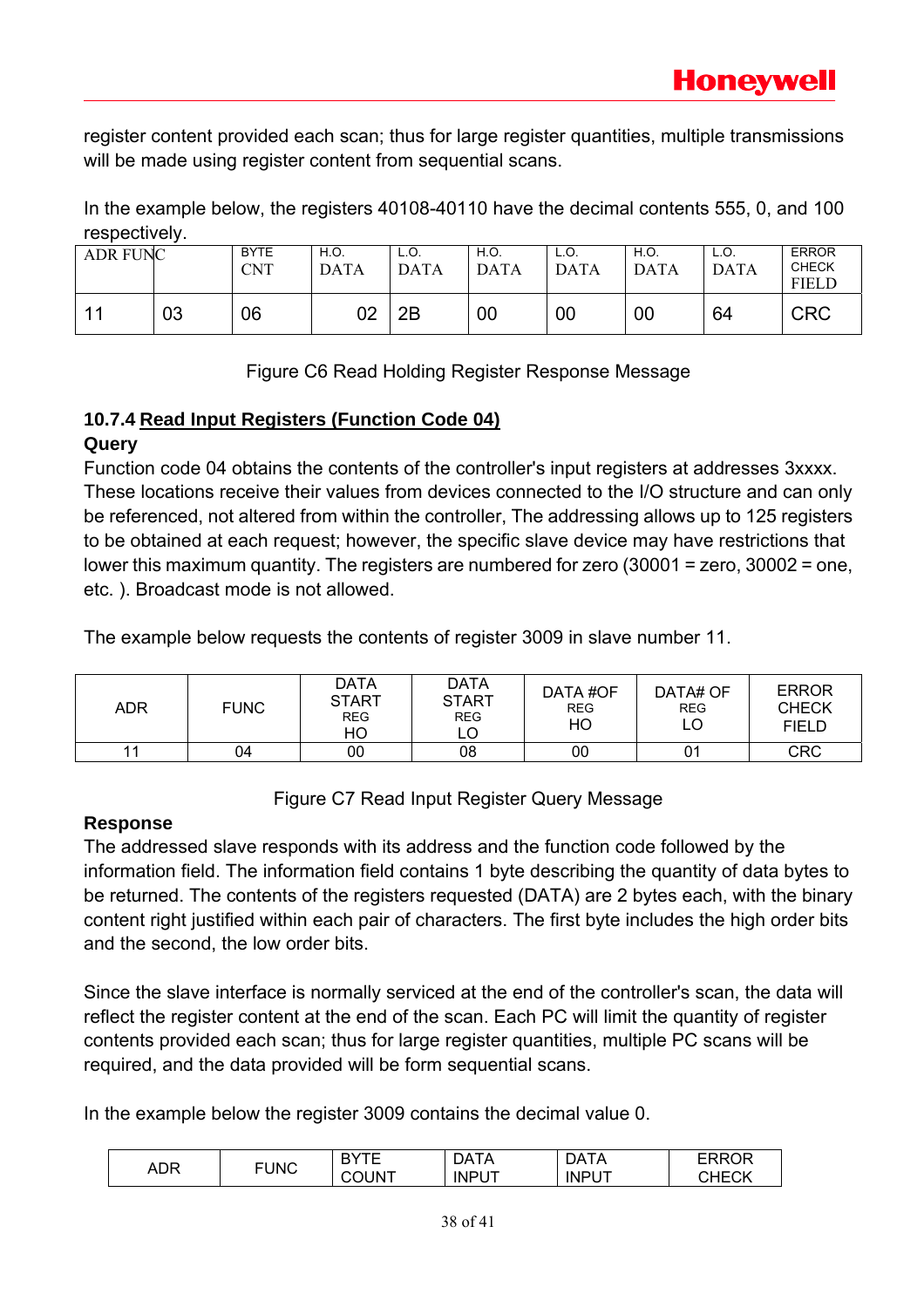register content provided each scan; thus for large register quantities, multiple transmissions will be made using register content from sequential scans.

In the example below, the registers 40108-40110 have the decimal contents 555, 0, and 100 respectively.

| <b>ADR FUNC</b> |    | <b>BYTE</b><br><b>CNT</b> | H.O.<br><b>DATA</b> | L.O.<br><b>DATA</b> | H.O.<br><b>DATA</b> | L.O.<br><b>DATA</b> | H.O.<br><b>DATA</b> | L.O.<br><b>DATA</b> | <b>ERROR</b><br><b>CHECK</b><br><b>FIELD</b> |
|-----------------|----|---------------------------|---------------------|---------------------|---------------------|---------------------|---------------------|---------------------|----------------------------------------------|
|                 | 03 | 06                        | 02                  | 2Β                  | 00                  | 00                  | 00                  | 64                  | <b>CRC</b>                                   |

Figure C6 Read Holding Register Response Message

### **10.7.4 Read Input Registers (Function Code 04)**

### **Query**

Function code 04 obtains the contents of the controller's input registers at addresses 3xxxx. These locations receive their values from devices connected to the I/O structure and can only be referenced, not altered from within the controller, The addressing allows up to 125 registers to be obtained at each request; however, the specific slave device may have restrictions that lower this maximum quantity. The registers are numbered for zero (30001 = zero, 30002 = one, etc. ). Broadcast mode is not allowed.

The example below requests the contents of register 3009 in slave number 11.

| ADR | <b>FUNC</b> | DATA<br><b>START</b><br><b>REG</b><br>HO | <b>DATA</b><br><b>START</b><br><b>REG</b> | DATA#OF<br><b>REG</b><br>HO | DATA# OF<br><b>REG</b><br>LO | <b>ERROR</b><br><b>CHECK</b><br><b>FIELD</b> |
|-----|-------------|------------------------------------------|-------------------------------------------|-----------------------------|------------------------------|----------------------------------------------|
|     | 04          | 00                                       | 08                                        | 00                          | 01                           | <b>CRC</b>                                   |

Figure C7 Read Input Register Query Message

### **Response**

The addressed slave responds with its address and the function code followed by the information field. The information field contains 1 byte describing the quantity of data bytes to be returned. The contents of the registers requested (DATA) are 2 bytes each, with the binary content right justified within each pair of characters. The first byte includes the high order bits and the second, the low order bits.

Since the slave interface is normally serviced at the end of the controller's scan, the data will reflect the register content at the end of the scan. Each PC will limit the quantity of register contents provided each scan; thus for large register quantities, multiple PC scans will be required, and the data provided will be form sequential scans.

In the example below the register 3009 contains the decimal value 0.

| ADR |             | DV  | DA<br>ТΔ<br>$\overline{a}$ | DAT/<br>ıΑ   | · ~ ~ ~ ≀    |
|-----|-------------|-----|----------------------------|--------------|--------------|
|     | <b>FUNC</b> | UN. | INPUT                      | <b>INPUT</b> | <b>ANECT</b> |
|     |             | ີ   |                            |              |              |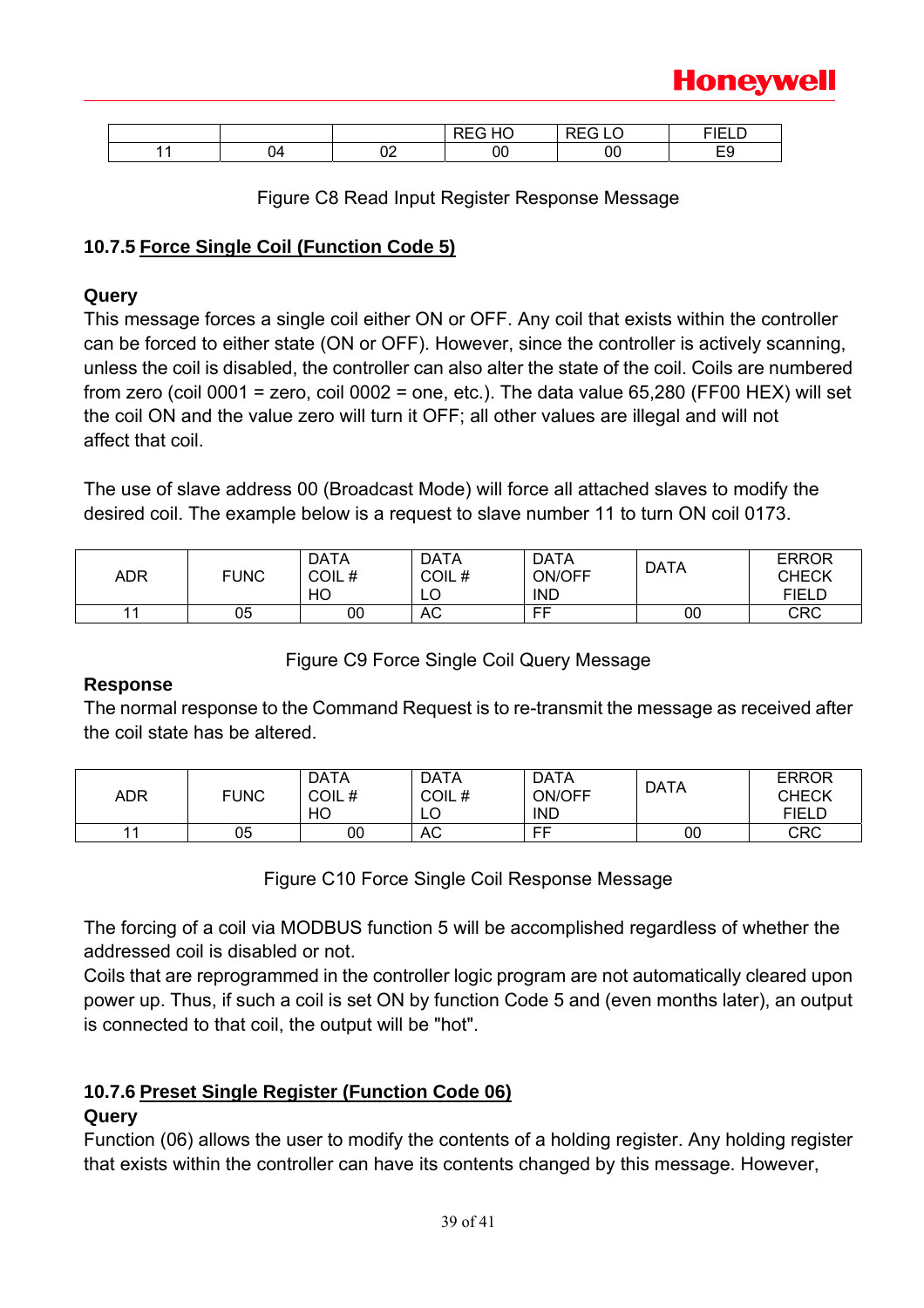

|   |          | $\blacksquare$<br>- | $- - - -$<br>---<br>$\sqrt{2}$ | $- \cdot - \cdot -$<br>. |
|---|----------|---------------------|--------------------------------|--------------------------|
| - | ``<br>◡▵ | ◡◡                  | 00                             | r c<br>∽−                |

Figure C8 Read Input Register Response Message

### **10.7.5 Force Single Coil (Function Code 5)**

### **Query**

This message forces a single coil either ON or OFF. Any coil that exists within the controller can be forced to either state (ON or OFF). However, since the controller is actively scanning, unless the coil is disabled, the controller can also alter the state of the coil. Coils are numbered from zero (coil 0001 = zero, coil 0002 = one, etc.). The data value 65,280 (FF00 HEX) will set the coil ON and the value zero will turn it OFF; all other values are illegal and will not affect that coil.

The use of slave address 00 (Broadcast Mode) will force all attached slaves to modify the desired coil. The example below is a request to slave number 11 to turn ON coil 0173.

| ADR | <b>FUNC</b> | <b>DATA</b><br>COIL#<br>НC | <b>DATA</b><br>COIL#<br>$\sim$<br>└ | <b>DATA</b><br>ON/OFF<br><b>IND</b> | <b>DATA</b> | <b>ERROR</b><br><b>CHECK</b><br>FIELD |
|-----|-------------|----------------------------|-------------------------------------|-------------------------------------|-------------|---------------------------------------|
|     | 05          | 00                         | AC                                  | FF                                  | 00          | <b>CRC</b>                            |

### Figure C9 Force Single Coil Query Message

### **Response**

The normal response to the Command Request is to re-transmit the message as received after the coil state has be altered.

| ADR | <b>FUNC</b> | <b>DATA</b><br>COIL#<br>HO | <b>DATA</b><br>COIL#<br>LO | <b>DATA</b><br>ON/OFF<br><b>IND</b> | <b>DATA</b> | <b>ERROR</b><br><b>CHECK</b><br>FIELD |
|-----|-------------|----------------------------|----------------------------|-------------------------------------|-------------|---------------------------------------|
|     | 05          | 00                         | AC                         | FF                                  | 00          | CRC                                   |

Figure C10 Force Single Coil Response Message

The forcing of a coil via MODBUS function 5 will be accomplished regardless of whether the addressed coil is disabled or not.

Coils that are reprogrammed in the controller logic program are not automatically cleared upon power up. Thus, if such a coil is set ON by function Code 5 and (even months later), an output is connected to that coil, the output will be "hot".

### **10.7.6 Preset Single Register (Function Code 06)**

### **Query**

Function (06) allows the user to modify the contents of a holding register. Any holding register that exists within the controller can have its contents changed by this message. However,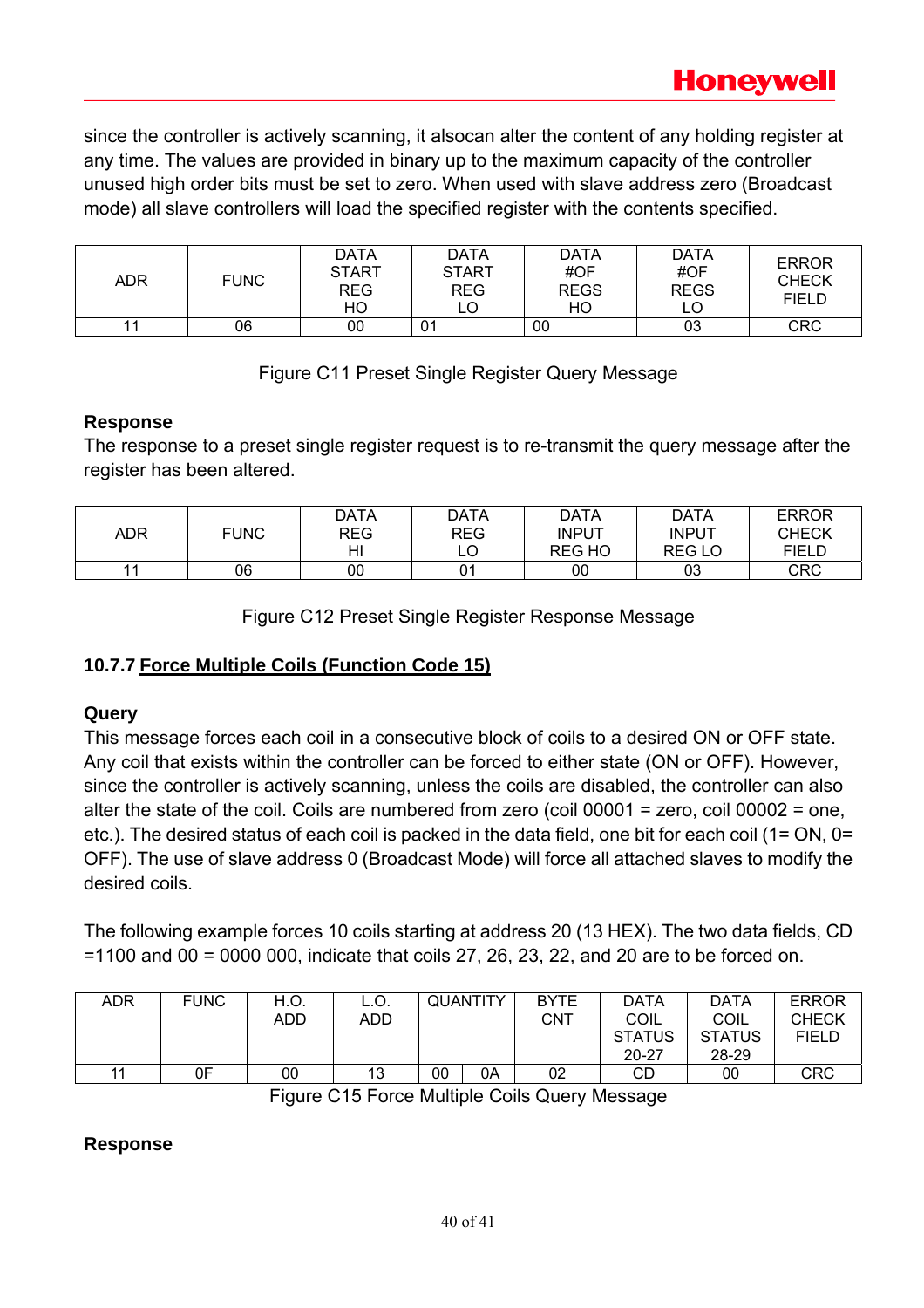since the controller is actively scanning, it alsocan alter the content of any holding register at any time. The values are provided in binary up to the maximum capacity of the controller unused high order bits must be set to zero. When used with slave address zero (Broadcast mode) all slave controllers will load the specified register with the contents specified.

| ADR | <b>FUNC</b> | <b>DATA</b><br><b>START</b><br><b>REG</b><br>HO | <b>DATA</b><br><b>START</b><br><b>REG</b><br>LO | <b>DATA</b><br>#OF<br><b>REGS</b><br>HO | <b>DATA</b><br>#OF<br><b>REGS</b> | <b>ERROR</b><br><b>CHECK</b><br><b>FIELD</b> |
|-----|-------------|-------------------------------------------------|-------------------------------------------------|-----------------------------------------|-----------------------------------|----------------------------------------------|
| 11  | 06          | 00                                              | 01                                              | 00                                      | 03                                | <b>CRC</b>                                   |

### Figure C11 Preset Single Register Query Message

### **Response**

The response to a preset single register request is to re-transmit the query message after the register has been altered.

|                |             | DATA       | DATA        | DATA          | DATA          | <b>ERROR</b> |
|----------------|-------------|------------|-------------|---------------|---------------|--------------|
| ADR            | <b>FUNC</b> | <b>REG</b> | REG         | <b>INPUT</b>  | INPUT         | <b>CHECK</b> |
|                |             | HI         | $\sim$<br>ᄔ | <b>REG HO</b> | <b>REG LO</b> | <b>FIELD</b> |
| 4 <sub>4</sub> | 06          | 00         | Λ1<br>U     | 00            | 03            | CRC          |

Figure C12 Preset Single Register Response Message

### **10.7.7 Force Multiple Coils (Function Code 15)**

### **Query**

This message forces each coil in a consecutive block of coils to a desired ON or OFF state. Any coil that exists within the controller can be forced to either state (ON or OFF). However, since the controller is actively scanning, unless the coils are disabled, the controller can also alter the state of the coil. Coils are numbered from zero (coil 00001 = zero, coil 00002 = one, etc.). The desired status of each coil is packed in the data field, one bit for each coil (1= ON, 0= OFF). The use of slave address 0 (Broadcast Mode) will force all attached slaves to modify the desired coils.

The following example forces 10 coils starting at address 20 (13 HEX). The two data fields, CD =1100 and 00 = 0000 000, indicate that coils 27, 26, 23, 22, and 20 are to be forced on.

| ADR | <b>FUNC</b> | H.O. | L.O. |    | <b>QUANTITY</b> | <b>BYTE</b> | <b>DATA</b>   | <b>DATA</b>   | <b>ERROR</b> |
|-----|-------------|------|------|----|-----------------|-------------|---------------|---------------|--------------|
|     |             | ADD  | ADD  |    |                 | CNT         | <b>COIL</b>   | COIL          | <b>CHECK</b> |
|     |             |      |      |    |                 |             | <b>STATUS</b> | <b>STATUS</b> | <b>FIELD</b> |
|     |             |      |      |    |                 |             | $20 - 27$     | 28-29         |              |
| 11  | 0F          | 00   | 13   | 00 | 0A              | 02          | CD            | 00            | <b>CRC</b>   |

Figure C15 Force Multiple Coils Query Message

### **Response**